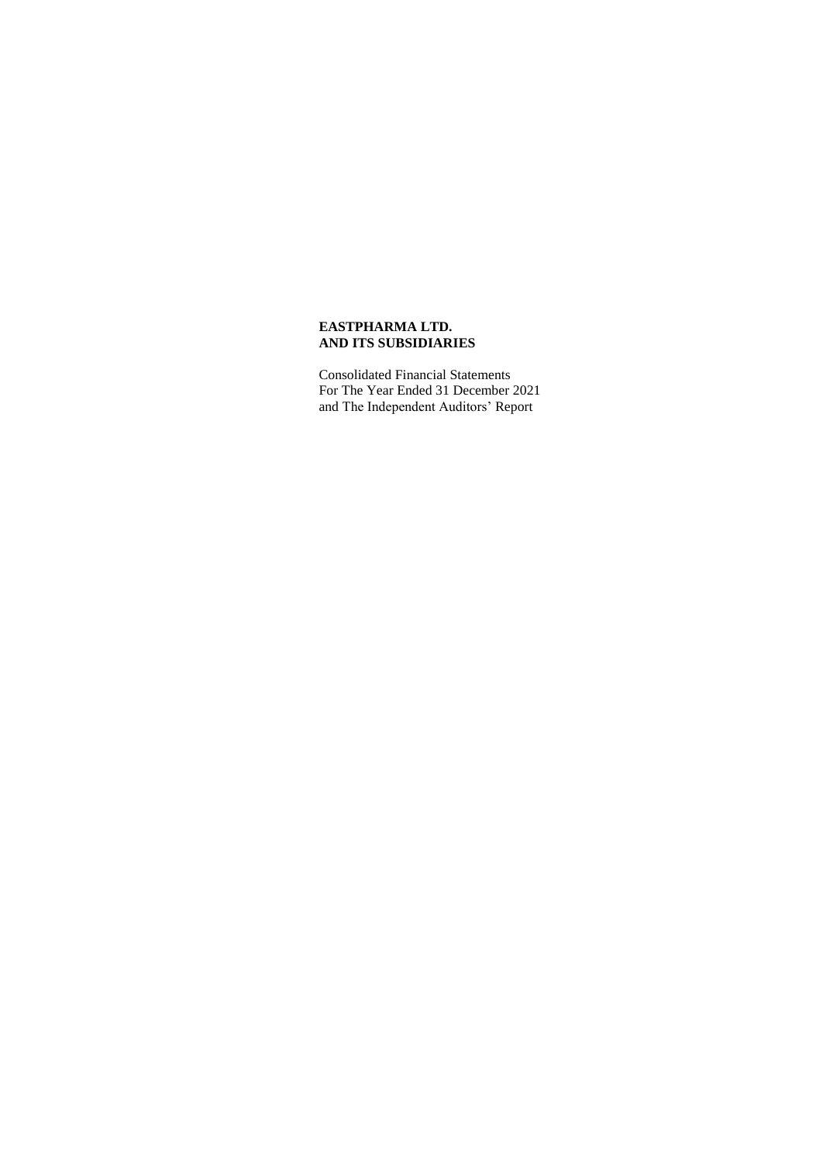Consolidated Financial Statements For The Year Ended 31 December 2021 and The Independent Auditors' Report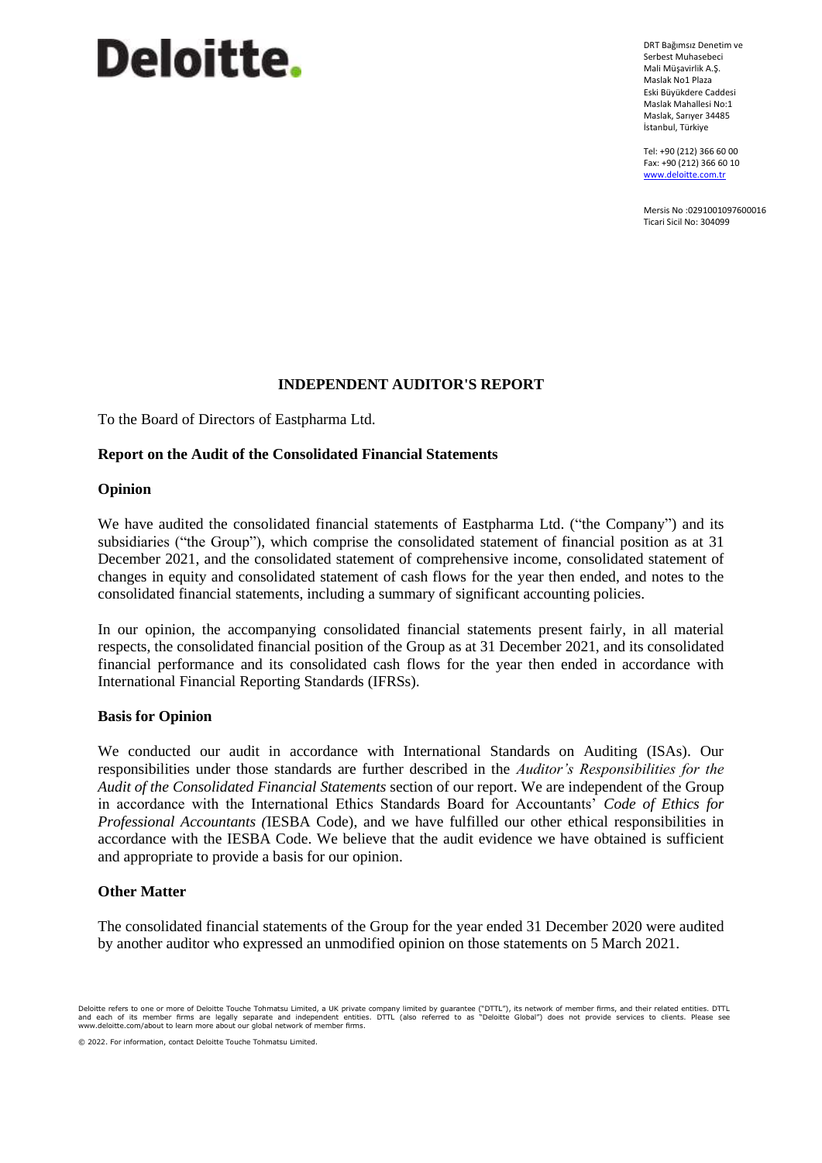# Deloitte.

DRT Bağımsız Denetim ve Serbest Muhasebeci Mali Müşavirlik A.Ş. Maslak No1 Plaza Eski Büyükdere Caddesi Maslak Mahallesi No:1 Maslak, Sarıyer 34485 İstanbul, Türkiye

Tel: +90 (212) 366 60 00 Fax: +90 (212) 366 60 10 [www.deloitte.com.tr](http://www.deloitte.com.tr/)

Mersis No :0291001097600016 Ticari Sicil No: 304099

# **INDEPENDENT AUDITOR'S REPORT**

To the Board of Directors of Eastpharma Ltd.

# **Report on the Audit of the Consolidated Financial Statements**

# **Opinion**

We have audited the consolidated financial statements of Eastpharma Ltd. ("the Company") and its subsidiaries ("the Group"), which comprise the consolidated statement of financial position as at 31 December 2021, and the consolidated statement of comprehensive income, consolidated statement of changes in equity and consolidated statement of cash flows for the year then ended, and notes to the consolidated financial statements, including a summary of significant accounting policies.

In our opinion, the accompanying consolidated financial statements present fairly, in all material respects, the consolidated financial position of the Group as at 31 December 2021, and its consolidated financial performance and its consolidated cash flows for the year then ended in accordance with International Financial Reporting Standards (IFRSs).

## **Basis for Opinion**

We conducted our audit in accordance with International Standards on Auditing (ISAs). Our responsibilities under those standards are further described in the *Auditor's Responsibilities for the Audit of the Consolidated Financial Statements* section of our report. We are independent of the Group in accordance with the International Ethics Standards Board for Accountants' *Code of Ethics for Professional Accountants (*IESBA Code), and we have fulfilled our other ethical responsibilities in accordance with the IESBA Code. We believe that the audit evidence we have obtained is sufficient and appropriate to provide a basis for our opinion.

# **Other Matter**

The consolidated financial statements of the Group for the year ended 31 December 2020 were audited by another auditor who expressed an unmodified opinion on those statements on 5 March 2021.

© 2022. For information, contact Deloitte Touche Tohmatsu Limited.

Deloitte refers to one or more of Deloitte Touche Tohmatsu Limited, a UK private company limited by guarantee ("DTTL"), its network of member firms, and their related entities. DTTL<br>and each of its member firms are legally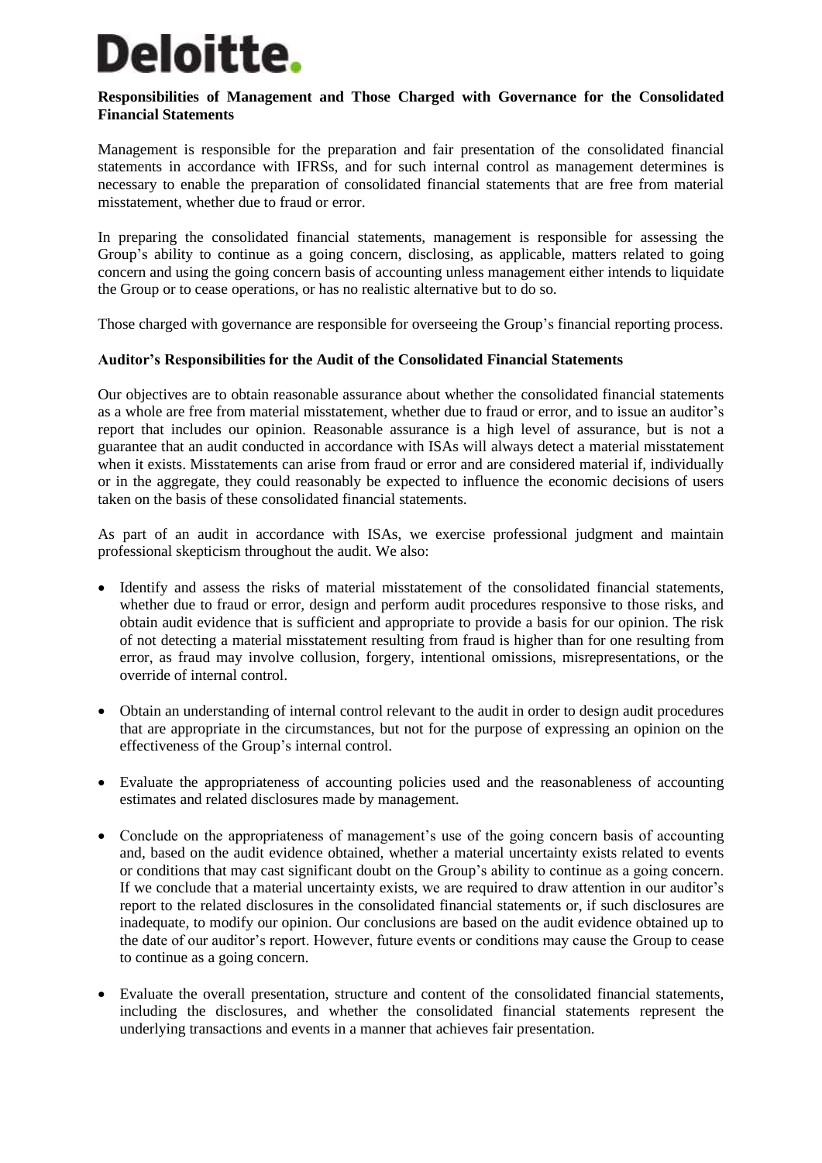# Deloitte.

# **Responsibilities of Management and Those Charged with Governance for the Consolidated Financial Statements**

Management is responsible for the preparation and fair presentation of the consolidated financial statements in accordance with IFRSs, and for such internal control as management determines is necessary to enable the preparation of consolidated financial statements that are free from material misstatement, whether due to fraud or error.

In preparing the consolidated financial statements, management is responsible for assessing the Group's ability to continue as a going concern, disclosing, as applicable, matters related to going concern and using the going concern basis of accounting unless management either intends to liquidate the Group or to cease operations, or has no realistic alternative but to do so.

Those charged with governance are responsible for overseeing the Group's financial reporting process.

# **Auditor's Responsibilities for the Audit of the Consolidated Financial Statements**

Our objectives are to obtain reasonable assurance about whether the consolidated financial statements as a whole are free from material misstatement, whether due to fraud or error, and to issue an auditor's report that includes our opinion. Reasonable assurance is a high level of assurance, but is not a guarantee that an audit conducted in accordance with ISAs will always detect a material misstatement when it exists. Misstatements can arise from fraud or error and are considered material if, individually or in the aggregate, they could reasonably be expected to influence the economic decisions of users taken on the basis of these consolidated financial statements.

As part of an audit in accordance with ISAs, we exercise professional judgment and maintain professional skepticism throughout the audit. We also:

- Identify and assess the risks of material misstatement of the consolidated financial statements, whether due to fraud or error, design and perform audit procedures responsive to those risks, and obtain audit evidence that is sufficient and appropriate to provide a basis for our opinion. The risk of not detecting a material misstatement resulting from fraud is higher than for one resulting from error, as fraud may involve collusion, forgery, intentional omissions, misrepresentations, or the override of internal control.
- Obtain an understanding of internal control relevant to the audit in order to design audit procedures that are appropriate in the circumstances, but not for the purpose of expressing an opinion on the effectiveness of the Group's internal control.
- Evaluate the appropriateness of accounting policies used and the reasonableness of accounting estimates and related disclosures made by management.
- Conclude on the appropriateness of management's use of the going concern basis of accounting and, based on the audit evidence obtained, whether a material uncertainty exists related to events or conditions that may cast significant doubt on the Group's ability to continue as a going concern. If we conclude that a material uncertainty exists, we are required to draw attention in our auditor's report to the related disclosures in the consolidated financial statements or, if such disclosures are inadequate, to modify our opinion. Our conclusions are based on the audit evidence obtained up to the date of our auditor's report. However, future events or conditions may cause the Group to cease to continue as a going concern.
- Evaluate the overall presentation, structure and content of the consolidated financial statements, including the disclosures, and whether the consolidated financial statements represent the underlying transactions and events in a manner that achieves fair presentation.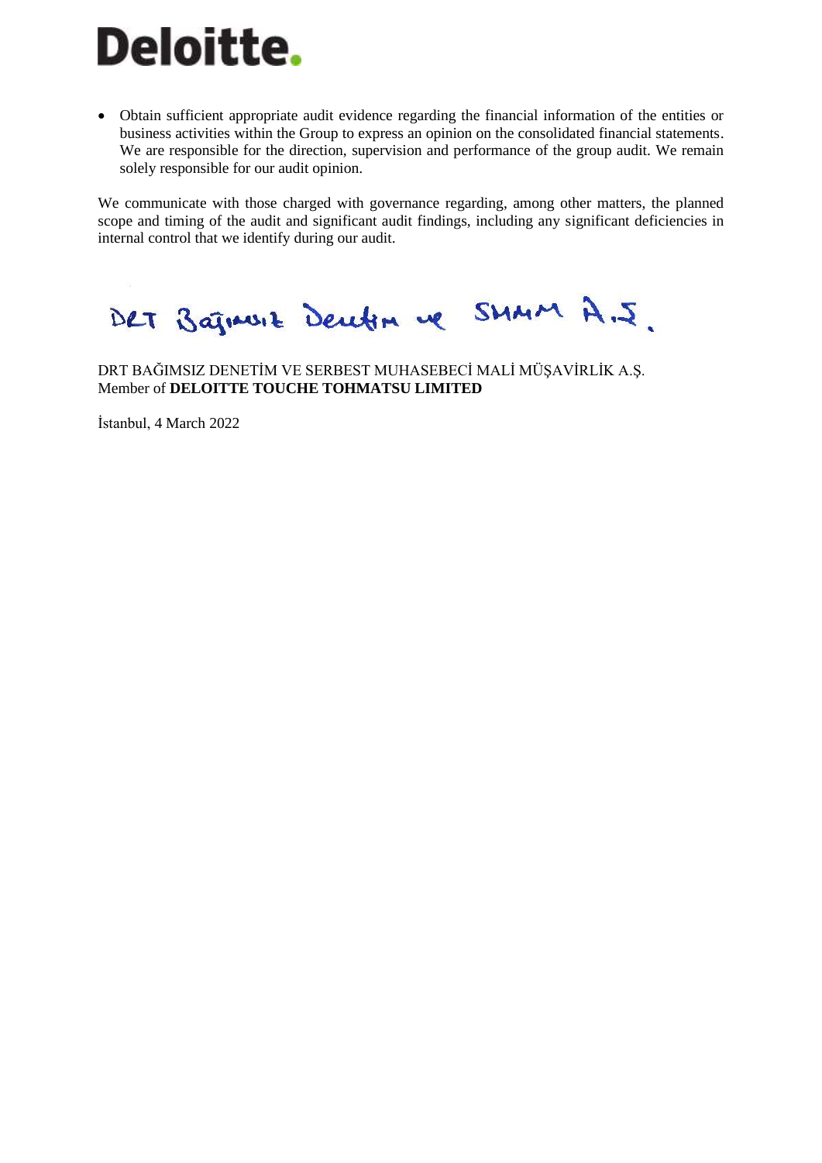# Deloitte.

• Obtain sufficient appropriate audit evidence regarding the financial information of the entities or business activities within the Group to express an opinion on the consolidated financial statements. We are responsible for the direction, supervision and performance of the group audit. We remain solely responsible for our audit opinion.

We communicate with those charged with governance regarding, among other matters, the planned scope and timing of the audit and significant audit findings, including any significant deficiencies in internal control that we identify during our audit.

DRT Bajnusse Deuten ve SMMM A.J.

DRT BAĞIMSIZ DENETİM VE SERBEST MUHASEBECİ MALİ MÜŞAVİRLİK A.Ş. Member of **DELOITTE TOUCHE TOHMATSU LIMITED** 

İstanbul, 4 March 2022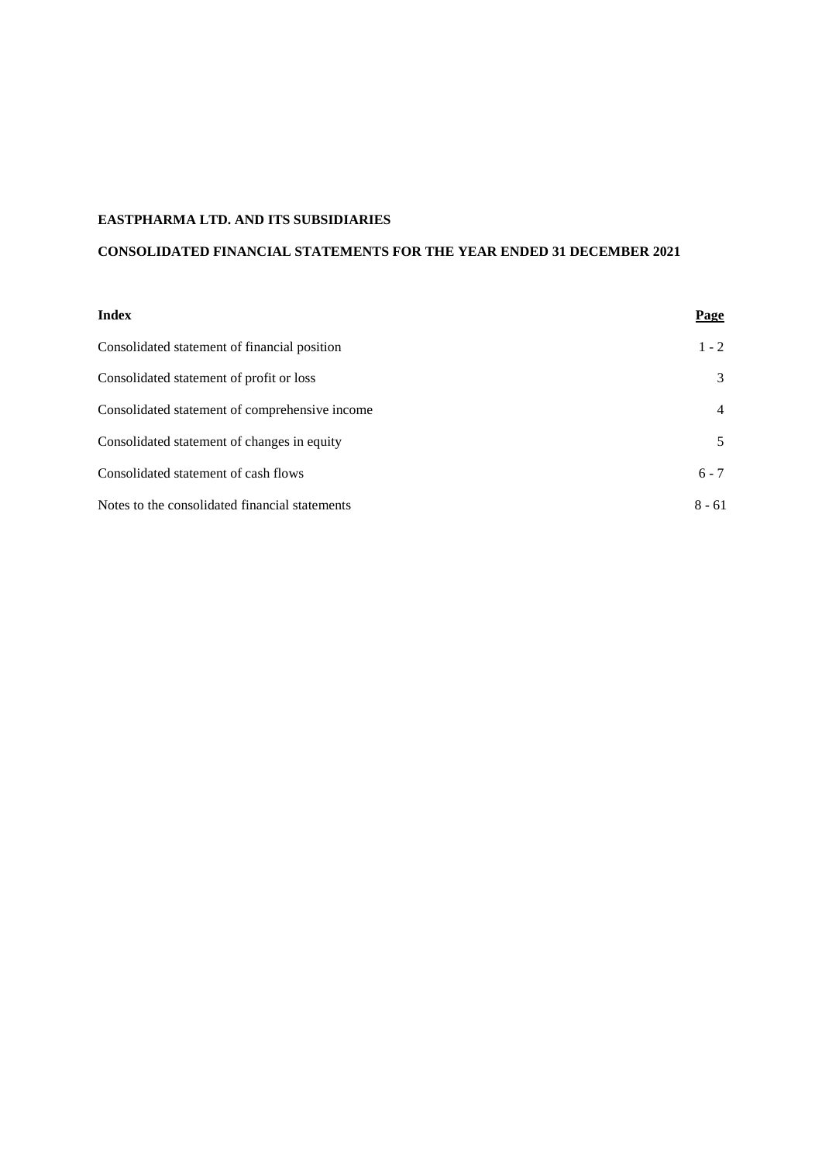# **CONSOLIDATED FINANCIAL STATEMENTS FOR THE YEAR ENDED 31 DECEMBER 2021**

| <b>Index</b>                                   | <b>Page</b> |
|------------------------------------------------|-------------|
| Consolidated statement of financial position   | $1 - 2$     |
| Consolidated statement of profit or loss       | 3           |
| Consolidated statement of comprehensive income | 4           |
| Consolidated statement of changes in equity    | 5           |
| Consolidated statement of cash flows           | $6 - 7$     |
| Notes to the consolidated financial statements | $8 - 61$    |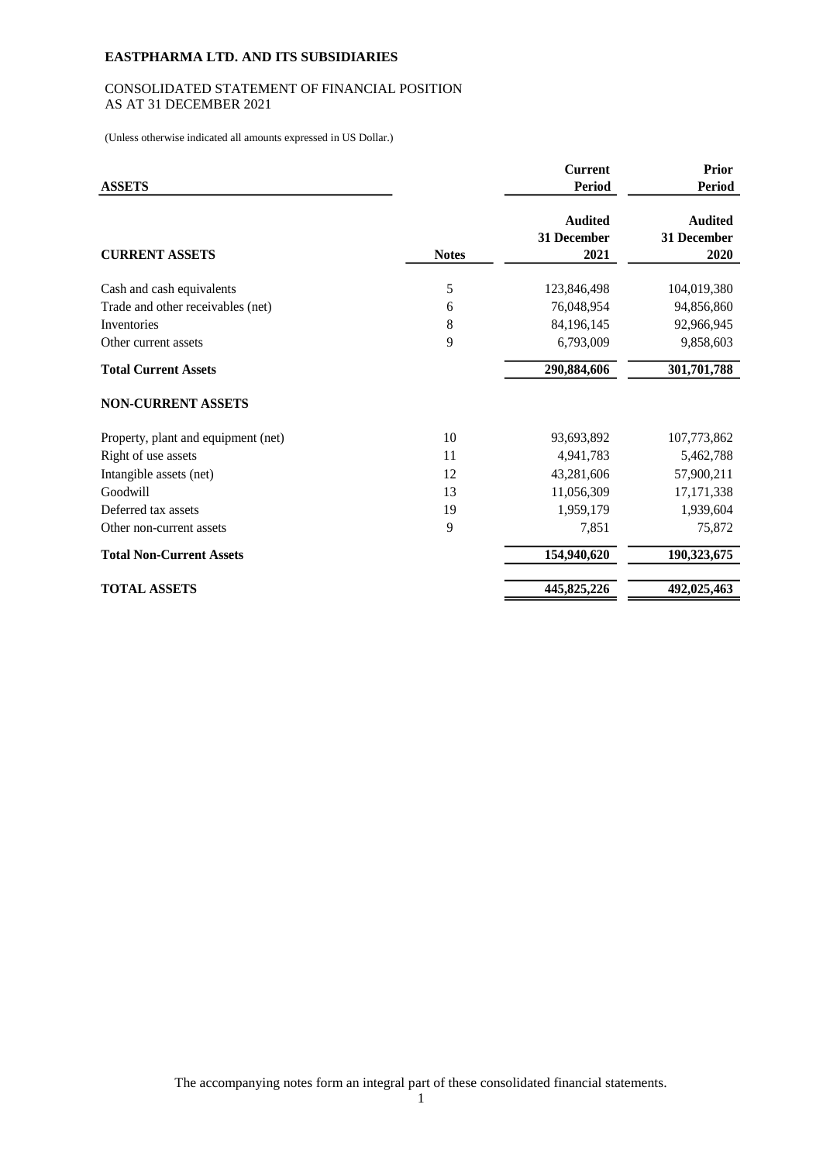# CONSOLIDATED STATEMENT OF FINANCIAL POSITION AS AT 31 DECEMBER 2021

(Unless otherwise indicated all amounts expressed in US Dollar.)

| <b>ASSETS</b>                       |              | <b>Current</b><br><b>Period</b>       | <b>Prior</b><br><b>Period</b>         |
|-------------------------------------|--------------|---------------------------------------|---------------------------------------|
| <b>CURRENT ASSETS</b>               | <b>Notes</b> | <b>Audited</b><br>31 December<br>2021 | <b>Audited</b><br>31 December<br>2020 |
| Cash and cash equivalents           | 5            | 123,846,498                           | 104,019,380                           |
| Trade and other receivables (net)   | 6            | 76,048,954                            | 94,856,860                            |
| Inventories                         | 8            | 84,196,145                            | 92,966,945                            |
| Other current assets                | 9            | 6,793,009                             | 9,858,603                             |
| <b>Total Current Assets</b>         |              | 290,884,606                           | 301,701,788                           |
| <b>NON-CURRENT ASSETS</b>           |              |                                       |                                       |
| Property, plant and equipment (net) | 10           | 93,693,892                            | 107,773,862                           |
| Right of use assets                 | 11           | 4,941,783                             | 5,462,788                             |
| Intangible assets (net)             | 12           | 43,281,606                            | 57,900,211                            |
| Goodwill                            | 13           | 11,056,309                            | 17, 171, 338                          |
| Deferred tax assets                 | 19           | 1,959,179                             | 1,939,604                             |
| Other non-current assets            | 9            | 7,851                                 | 75,872                                |
| <b>Total Non-Current Assets</b>     |              | 154,940,620                           | 190,323,675                           |
| <b>TOTAL ASSETS</b>                 |              | 445,825,226                           | 492,025,463                           |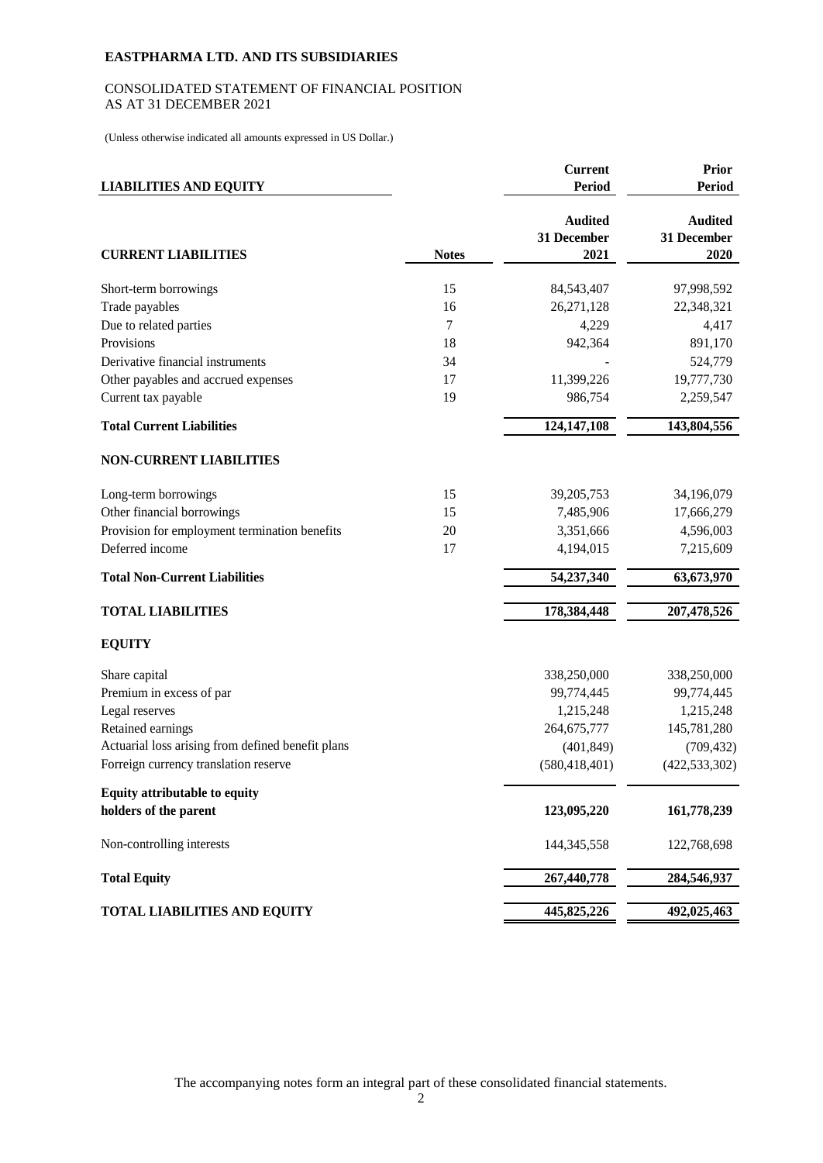# CONSOLIDATED STATEMENT OF FINANCIAL POSITION AS AT 31 DECEMBER 2021

(Unless otherwise indicated all amounts expressed in US Dollar.)

| <b>LIABILITIES AND EQUITY</b>                     |              | <b>Current</b><br><b>Period</b>       | <b>Prior</b><br><b>Period</b>         |
|---------------------------------------------------|--------------|---------------------------------------|---------------------------------------|
| <b>CURRENT LIABILITIES</b>                        | <b>Notes</b> | <b>Audited</b><br>31 December<br>2021 | <b>Audited</b><br>31 December<br>2020 |
| Short-term borrowings                             | 15           | 84,543,407                            | 97,998,592                            |
| Trade payables                                    | 16           | 26,271,128                            | 22,348,321                            |
| Due to related parties                            | 7            | 4,229                                 | 4,417                                 |
| Provisions                                        | 18           | 942,364                               | 891,170                               |
| Derivative financial instruments                  | 34           |                                       | 524,779                               |
| Other payables and accrued expenses               | 17           | 11,399,226                            | 19,777,730                            |
| Current tax payable                               | 19           | 986,754                               | 2,259,547                             |
| <b>Total Current Liabilities</b>                  |              | 124,147,108                           | 143,804,556                           |
| <b>NON-CURRENT LIABILITIES</b>                    |              |                                       |                                       |
| Long-term borrowings                              | 15           | 39,205,753                            | 34,196,079                            |
| Other financial borrowings                        | 15           | 7,485,906                             | 17,666,279                            |
| Provision for employment termination benefits     | 20           | 3,351,666                             | 4,596,003                             |
| Deferred income                                   | 17           | 4,194,015                             | 7,215,609                             |
| <b>Total Non-Current Liabilities</b>              |              | 54,237,340                            | 63,673,970                            |
| <b>TOTAL LIABILITIES</b>                          |              | 178,384,448                           | 207,478,526                           |
| <b>EQUITY</b>                                     |              |                                       |                                       |
| Share capital                                     |              | 338,250,000                           | 338,250,000                           |
| Premium in excess of par                          |              | 99,774,445                            | 99,774,445                            |
| Legal reserves                                    |              | 1,215,248                             | 1,215,248                             |
| Retained earnings                                 |              | 264, 675, 777                         | 145,781,280                           |
| Actuarial loss arising from defined benefit plans |              | (401, 849)                            | (709, 432)                            |
| Forreign currency translation reserve             |              | (580, 418, 401)                       | (422, 533, 302)                       |
| <b>Equity attributable to equity</b>              |              |                                       |                                       |
| holders of the parent                             |              | 123,095,220                           | 161,778,239                           |
| Non-controlling interests                         |              | 144, 345, 558                         | 122,768,698                           |
| <b>Total Equity</b>                               |              | 267,440,778                           | 284,546,937                           |
| <b>TOTAL LIABILITIES AND EQUITY</b>               |              | 445,825,226                           | 492,025,463                           |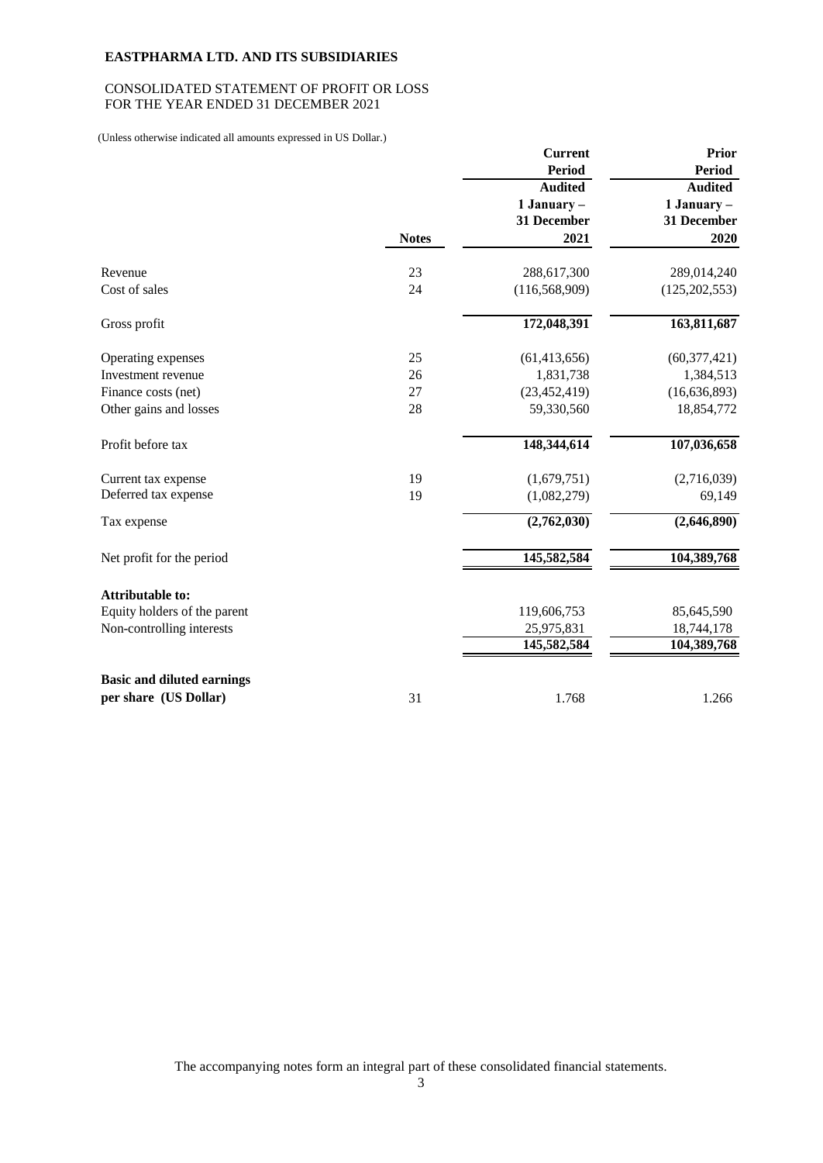## CONSOLIDATED STATEMENT OF PROFIT OR LOSS FOR THE YEAR ENDED 31 DECEMBER 2021

(Unless otherwise indicated all amounts expressed in US Dollar.)

|                                                            |              | <b>Current</b><br><b>Period</b><br><b>Audited</b><br>1 January - | <b>Prior</b><br><b>Period</b><br><b>Audited</b><br>$1$ January $-$ |
|------------------------------------------------------------|--------------|------------------------------------------------------------------|--------------------------------------------------------------------|
|                                                            | <b>Notes</b> | 31 December<br>2021                                              | 31 December<br>2020                                                |
| Revenue                                                    | 23           | 288,617,300                                                      | 289,014,240                                                        |
| Cost of sales                                              | 24           | (116, 568, 909)                                                  | (125, 202, 553)                                                    |
| Gross profit                                               |              | 172,048,391                                                      | 163,811,687                                                        |
| Operating expenses                                         | 25           | (61, 413, 656)                                                   | (60, 377, 421)                                                     |
| Investment revenue                                         | 26           | 1,831,738                                                        | 1,384,513                                                          |
| Finance costs (net)                                        | 27           | (23, 452, 419)                                                   | (16, 636, 893)                                                     |
| Other gains and losses                                     | 28           | 59,330,560                                                       | 18,854,772                                                         |
| Profit before tax                                          |              | 148,344,614                                                      | 107,036,658                                                        |
| Current tax expense                                        | 19           | (1,679,751)                                                      | (2,716,039)                                                        |
| Deferred tax expense                                       | 19           | (1,082,279)                                                      | 69,149                                                             |
| Tax expense                                                |              | (2,762,030)                                                      | (2,646,890)                                                        |
| Net profit for the period                                  |              | 145,582,584                                                      | 104,389,768                                                        |
| <b>Attributable to:</b>                                    |              |                                                                  |                                                                    |
| Equity holders of the parent                               |              | 119,606,753                                                      | 85,645,590                                                         |
| Non-controlling interests                                  |              | 25,975,831                                                       | 18,744,178                                                         |
|                                                            |              | 145,582,584                                                      | 104,389,768                                                        |
| <b>Basic and diluted earnings</b><br>per share (US Dollar) | 31           | 1.768                                                            | 1.266                                                              |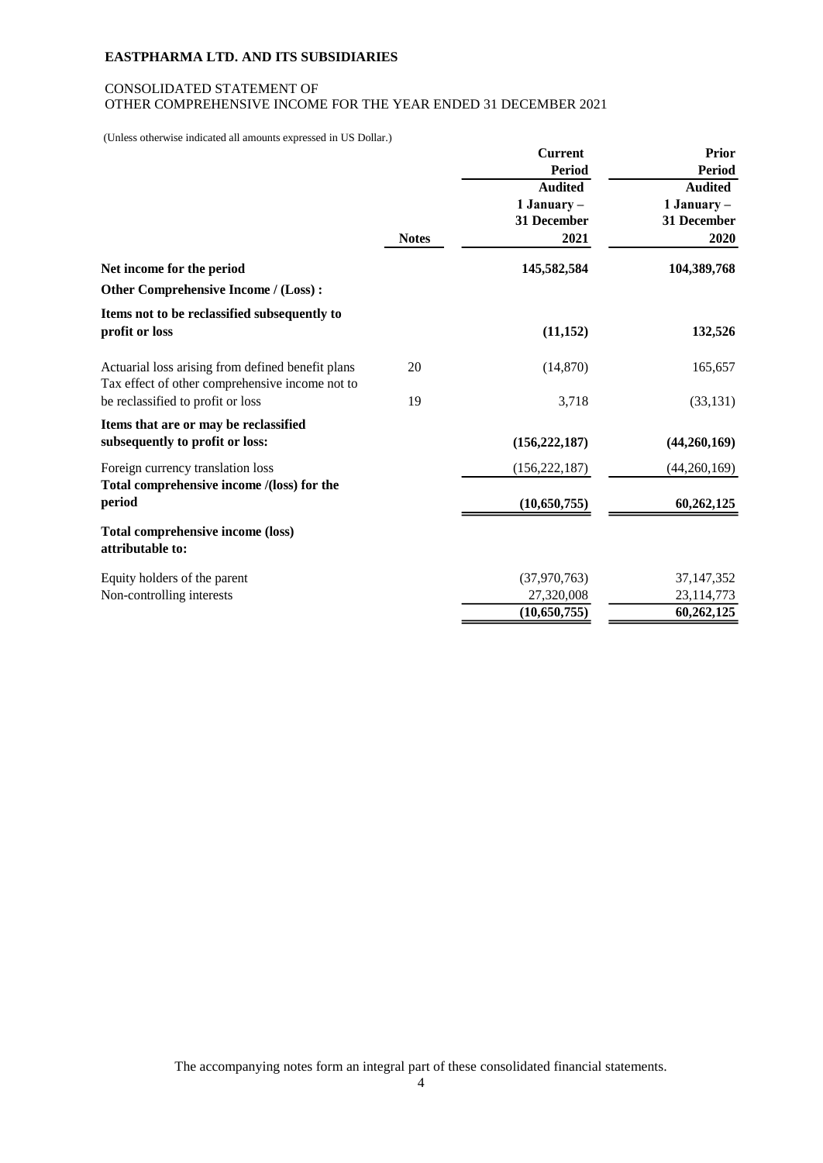## CONSOLIDATED STATEMENT OF OTHER COMPREHENSIVE INCOME FOR THE YEAR ENDED 31 DECEMBER 2021

(Unless otherwise indicated all amounts expressed in US Dollar.)

|                                                                                                      |              | <b>Current</b><br><b>Period</b><br><b>Audited</b><br>$1$ January $-$<br>31 December | <b>Prior</b><br><b>Period</b><br><b>Audited</b><br>1 January –<br>31 December |
|------------------------------------------------------------------------------------------------------|--------------|-------------------------------------------------------------------------------------|-------------------------------------------------------------------------------|
|                                                                                                      | <b>Notes</b> | 2021                                                                                | 2020                                                                          |
| Net income for the period                                                                            |              | 145,582,584                                                                         | 104,389,768                                                                   |
| Other Comprehensive Income / (Loss):                                                                 |              |                                                                                     |                                                                               |
| Items not to be reclassified subsequently to<br>profit or loss                                       |              | (11, 152)                                                                           | 132,526                                                                       |
| Actuarial loss arising from defined benefit plans<br>Tax effect of other comprehensive income not to | 20           | (14, 870)                                                                           | 165,657                                                                       |
| be reclassified to profit or loss                                                                    | 19           | 3,718                                                                               | (33, 131)                                                                     |
| Items that are or may be reclassified<br>subsequently to profit or loss:                             |              | (156, 222, 187)                                                                     | (44,260,169)                                                                  |
| Foreign currency translation loss                                                                    |              | (156, 222, 187)                                                                     | (44,260,169)                                                                  |
| Total comprehensive income /(loss) for the<br>period                                                 |              | (10,650,755)                                                                        | 60,262,125                                                                    |
| <b>Total comprehensive income (loss)</b><br>attributable to:                                         |              |                                                                                     |                                                                               |
| Equity holders of the parent                                                                         |              | (37,970,763)                                                                        | 37, 147, 352                                                                  |
| Non-controlling interests                                                                            |              | 27,320,008                                                                          | 23,114,773                                                                    |
|                                                                                                      |              | (10,650,755)                                                                        | 60,262,125                                                                    |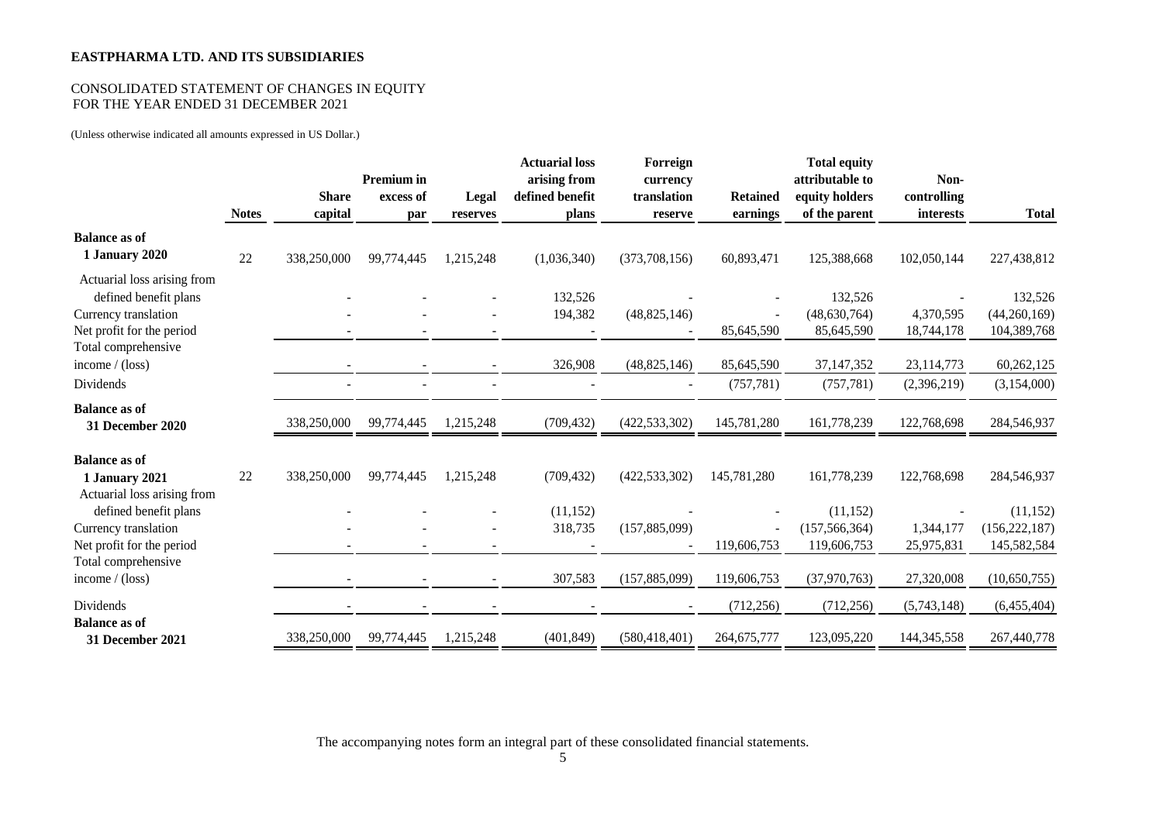## CONSOLIDATED STATEMENT OF CHANGES IN EQUITY FOR THE YEAR ENDED 31 DECEMBER 2021

(Unless otherwise indicated all amounts expressed in US Dollar.)

|                                                                                                           | <b>Notes</b> | <b>Share</b><br>capital | <b>Premium</b> in<br>excess of<br>par | Legal<br>reserves | <b>Actuarial loss</b><br>arising from<br>defined benefit<br>plans | Forreign<br>currency<br>translation<br>reserve | <b>Retained</b><br>earnings             | <b>Total equity</b><br>attributable to<br>equity holders<br>of the parent | Non-<br>controlling<br>interests | <b>Total</b>                                |
|-----------------------------------------------------------------------------------------------------------|--------------|-------------------------|---------------------------------------|-------------------|-------------------------------------------------------------------|------------------------------------------------|-----------------------------------------|---------------------------------------------------------------------------|----------------------------------|---------------------------------------------|
| <b>Balance as of</b><br>1 January 2020                                                                    | 22           | 338,250,000             | 99,774,445                            | 1,215,248         | (1,036,340)                                                       | (373,708,156)                                  | 60,893,471                              | 125,388,668                                                               | 102,050,144                      | 227,438,812                                 |
| Actuarial loss arising from<br>defined benefit plans<br>Currency translation<br>Net profit for the period |              |                         |                                       |                   | 132,526<br>194,382                                                | (48, 825, 146)                                 | 85,645,590                              | 132,526<br>(48,630,764)<br>85,645,590                                     | 4,370,595<br>18,744,178          | 132,526<br>(44,260,169)<br>104,389,768      |
| Total comprehensive<br>income $/$ (loss)<br>Dividends                                                     |              |                         |                                       |                   | 326,908                                                           | (48, 825, 146)                                 | 85,645,590<br>(757, 781)                | 37, 147, 352<br>(757, 781)                                                | 23,114,773<br>(2,396,219)        | 60,262,125<br>(3,154,000)                   |
| <b>Balance as of</b><br>31 December 2020                                                                  |              | 338,250,000             | 99,774,445                            | 1,215,248         | (709, 432)                                                        | (422, 533, 302)                                | 145,781,280                             | 161,778,239                                                               | 122,768,698                      | 284,546,937                                 |
| <b>Balance as of</b><br>1 January 2021<br>Actuarial loss arising from                                     | 22           | 338,250,000             | 99,774,445                            | 1,215,248         | (709, 432)                                                        | (422, 533, 302)                                | 145,781,280                             | 161,778,239                                                               | 122,768,698                      | 284,546,937                                 |
| defined benefit plans<br>Currency translation<br>Net profit for the period                                |              |                         |                                       |                   | (11, 152)<br>318,735                                              | (157, 885, 099)                                | $\overline{\phantom{a}}$<br>119,606,753 | (11, 152)<br>(157, 566, 364)<br>119,606,753                               | 1,344,177<br>25,975,831          | (11, 152)<br>(156, 222, 187)<br>145,582,584 |
| Total comprehensive<br>income $/$ (loss)                                                                  |              |                         |                                       |                   | 307,583                                                           | (157, 885, 099)                                | 119,606,753                             | (37,970,763)                                                              | 27,320,008                       | (10, 650, 755)                              |
| Dividends<br><b>Balance as of</b><br>31 December 2021                                                     |              | 338,250,000             | 99,774,445                            | 1,215,248         | (401, 849)                                                        | (580, 418, 401)                                | (712, 256)<br>264,675,777               | (712, 256)<br>123,095,220                                                 | (5,743,148)<br>144, 345, 558     | (6,455,404)<br>267,440,778                  |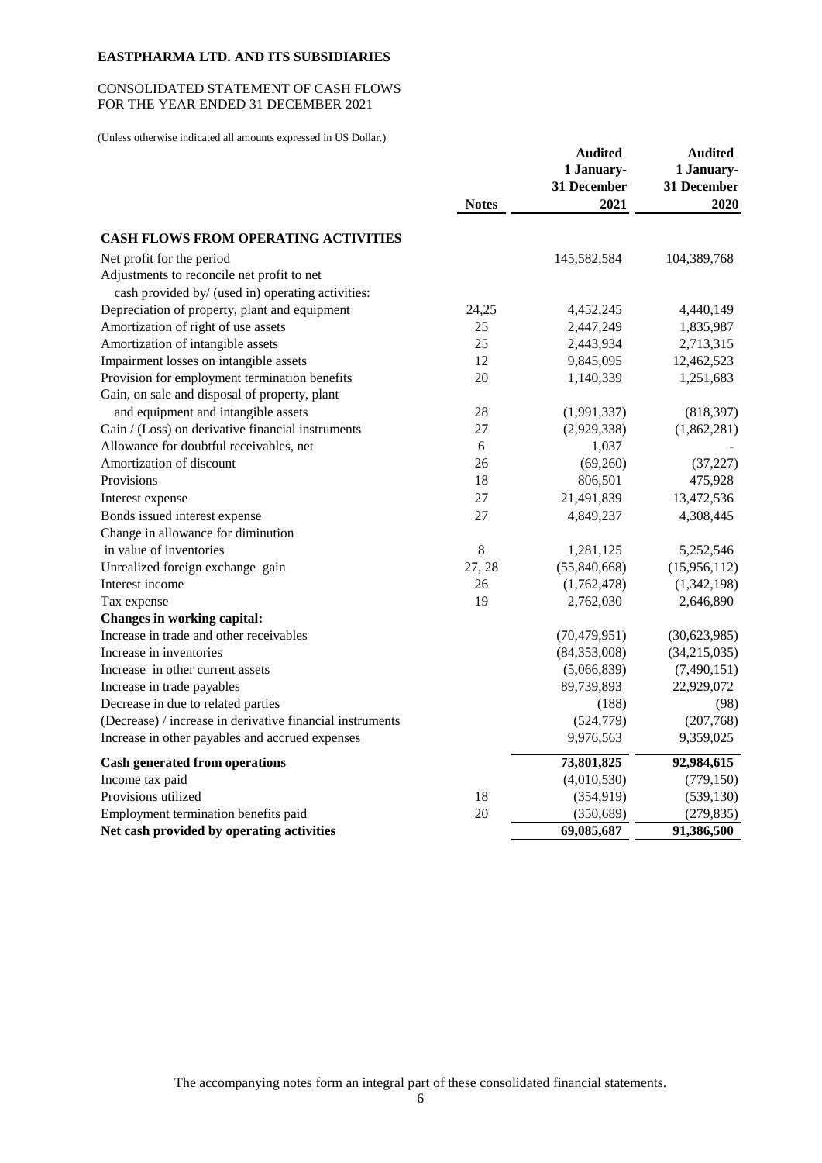# CONSOLIDATED STATEMENT OF CASH FLOWS FOR THE YEAR ENDED 31 DECEMBER 2021

(Unless otherwise indicated all amounts expressed in US Dollar.)

|                                                           |              | <b>Audited</b> | <b>Audited</b> |
|-----------------------------------------------------------|--------------|----------------|----------------|
|                                                           |              | 1 January-     | 1 January-     |
|                                                           |              | 31 December    | 31 December    |
|                                                           | <b>Notes</b> | 2021           | 2020           |
| <b>CASH FLOWS FROM OPERATING ACTIVITIES</b>               |              |                |                |
| Net profit for the period                                 |              | 145,582,584    | 104,389,768    |
| Adjustments to reconcile net profit to net                |              |                |                |
| cash provided by/ (used in) operating activities:         |              |                |                |
| Depreciation of property, plant and equipment             | 24,25        | 4,452,245      | 4,440,149      |
| Amortization of right of use assets                       | 25           | 2,447,249      | 1,835,987      |
| Amortization of intangible assets                         | 25           | 2,443,934      | 2,713,315      |
| Impairment losses on intangible assets                    | 12           | 9,845,095      | 12,462,523     |
| Provision for employment termination benefits             | 20           | 1,140,339      | 1,251,683      |
| Gain, on sale and disposal of property, plant             |              |                |                |
| and equipment and intangible assets                       | 28           | (1,991,337)    | (818, 397)     |
| Gain / (Loss) on derivative financial instruments         | 27           | (2,929,338)    | (1,862,281)    |
| Allowance for doubtful receivables, net                   | 6            | 1,037          |                |
| Amortization of discount                                  | 26           | (69,260)       | (37, 227)      |
| Provisions                                                | 18           | 806,501        | 475,928        |
| Interest expense                                          | 27           | 21,491,839     | 13,472,536     |
| Bonds issued interest expense                             | 27           | 4,849,237      | 4,308,445      |
| Change in allowance for diminution                        |              |                |                |
| in value of inventories                                   | 8            | 1,281,125      | 5,252,546      |
| Unrealized foreign exchange gain                          | 27, 28       | (55,840,668)   | (15,956,112)   |
| Interest income                                           | 26           | (1,762,478)    | (1,342,198)    |
| Tax expense                                               | 19           | 2,762,030      | 2,646,890      |
| Changes in working capital:                               |              |                |                |
| Increase in trade and other receivables                   |              | (70, 479, 951) | (30,623,985)   |
| Increase in inventories                                   |              | (84, 353, 008) | (34, 215, 035) |
| Increase in other current assets                          |              | (5,066,839)    | (7,490,151)    |
| Increase in trade payables                                |              | 89,739,893     | 22,929,072     |
| Decrease in due to related parties                        |              | (188)          | (98)           |
| (Decrease) / increase in derivative financial instruments |              | (524, 779)     | (207,768)      |
| Increase in other payables and accrued expenses           |              | 9,976,563      | 9,359,025      |
| <b>Cash generated from operations</b>                     |              | 73,801,825     | 92,984,615     |
| Income tax paid                                           |              | (4,010,530)    | (779, 150)     |
| Provisions utilized                                       | 18           | (354, 919)     | (539, 130)     |
| Employment termination benefits paid                      | 20           | (350, 689)     | (279, 835)     |
| Net cash provided by operating activities                 |              | 69,085,687     | 91,386,500     |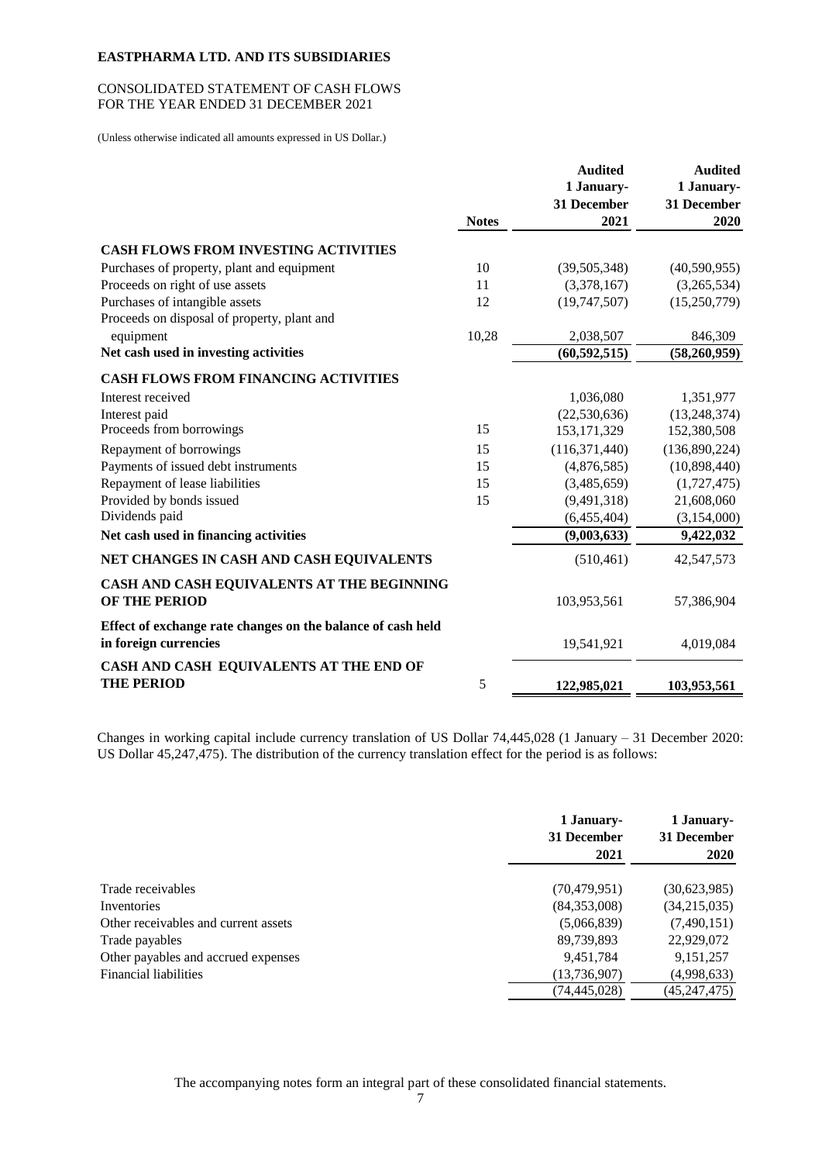## CONSOLIDATED STATEMENT OF CASH FLOWS FOR THE YEAR ENDED 31 DECEMBER 2021

(Unless otherwise indicated all amounts expressed in US Dollar.)

|                                                             |              | <b>Audited</b>  | <b>Audited</b> |
|-------------------------------------------------------------|--------------|-----------------|----------------|
|                                                             |              | 1 January-      | 1 January-     |
|                                                             |              | 31 December     | 31 December    |
|                                                             | <b>Notes</b> | 2021            | 2020           |
| <b>CASH FLOWS FROM INVESTING ACTIVITIES</b>                 |              |                 |                |
| Purchases of property, plant and equipment                  | 10           | (39,505,348)    | (40,590,955)   |
| Proceeds on right of use assets                             | 11           | (3,378,167)     | (3,265,534)    |
| Purchases of intangible assets                              | 12           | (19,747,507)    | (15,250,779)   |
| Proceeds on disposal of property, plant and                 |              |                 |                |
| equipment                                                   | 10,28        | 2,038,507       | 846,309        |
| Net cash used in investing activities                       |              | (60, 592, 515)  | (58,260,959)   |
| <b>CASH FLOWS FROM FINANCING ACTIVITIES</b>                 |              |                 |                |
| Interest received                                           |              | 1,036,080       | 1,351,977      |
| Interest paid                                               |              | (22, 530, 636)  | (13, 248, 374) |
| Proceeds from borrowings                                    | 15           | 153, 171, 329   | 152,380,508    |
| Repayment of borrowings                                     | 15           | (116, 371, 440) | (136,890,224)  |
| Payments of issued debt instruments                         | 15           | (4,876,585)     | (10,898,440)   |
| Repayment of lease liabilities                              | 15           | (3,485,659)     | (1,727,475)    |
| Provided by bonds issued                                    | 15           | (9, 491, 318)   | 21,608,060     |
| Dividends paid                                              |              | (6,455,404)     | (3,154,000)    |
| Net cash used in financing activities                       |              | (9,003,633)     | 9,422,032      |
| NET CHANGES IN CASH AND CASH EQUIVALENTS                    |              | (510, 461)      | 42,547,573     |
| CASH AND CASH EQUIVALENTS AT THE BEGINNING                  |              |                 |                |
| OF THE PERIOD                                               |              | 103,953,561     | 57,386,904     |
| Effect of exchange rate changes on the balance of cash held |              |                 |                |
| in foreign currencies                                       |              | 19,541,921      | 4,019,084      |
| CASH AND CASH EQUIVALENTS AT THE END OF                     |              |                 |                |
| <b>THE PERIOD</b>                                           | 5            | 122,985,021     | 103,953,561    |

Changes in working capital include currency translation of US Dollar 74,445,028 (1 January – 31 December 2020: US Dollar 45,247,475). The distribution of the currency translation effect for the period is as follows:

|                                      | 1 January-<br>31 December<br>2021 | 1 January-<br>31 December<br><b>2020</b> |
|--------------------------------------|-----------------------------------|------------------------------------------|
| Trade receivables                    | (70, 479, 951)                    | (30,623,985)                             |
| Inventories                          | (84,353,008)                      | (34,215,035)                             |
| Other receivables and current assets | (5,066,839)                       | (7,490,151)                              |
| Trade payables                       | 89,739,893                        | 22,929,072                               |
| Other payables and accrued expenses  | 9,451,784                         | 9, 151, 257                              |
| Financial liabilities                | (13, 736, 907)                    | (4,998,633)                              |
|                                      | (74, 445, 028)                    | (45, 247, 475)                           |
|                                      |                                   |                                          |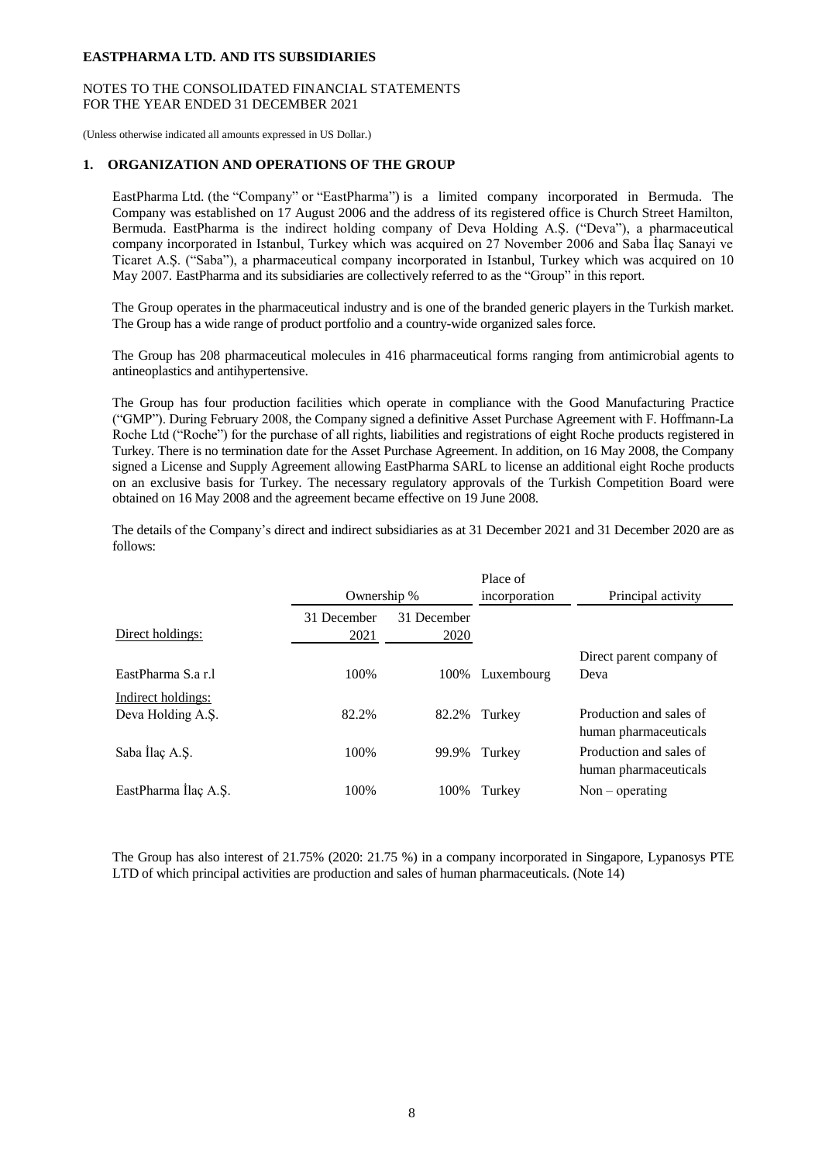## NOTES TO THE CONSOLIDATED FINANCIAL STATEMENTS FOR THE YEAR ENDED 31 DECEMBER 2021

(Unless otherwise indicated all amounts expressed in US Dollar.)

## **1. ORGANIZATION AND OPERATIONS OF THE GROUP**

EastPharma Ltd. (the "Company" or "EastPharma") is a limited company incorporated in Bermuda. The Company was established on 17 August 2006 and the address of its registered office is Church Street Hamilton, Bermuda. EastPharma is the indirect holding company of Deva Holding A.Ş. ("Deva"), a pharmaceutical company incorporated in Istanbul, Turkey which was acquired on 27 November 2006 and Saba İlaç Sanayi ve Ticaret A.Ş. ("Saba"), a pharmaceutical company incorporated in Istanbul, Turkey which was acquired on 10 May 2007. EastPharma and its subsidiaries are collectively referred to as the "Group" in this report.

The Group operates in the pharmaceutical industry and is one of the branded generic players in the Turkish market. The Group has a wide range of product portfolio and a country-wide organized sales force.

The Group has 208 pharmaceutical molecules in 416 pharmaceutical forms ranging from antimicrobial agents to antineoplastics and antihypertensive.

The Group has four production facilities which operate in compliance with the Good Manufacturing Practice ("GMP"). During February 2008, the Company signed a definitive Asset Purchase Agreement with F. Hoffmann-La Roche Ltd ("Roche") for the purchase of all rights, liabilities and registrations of eight Roche products registered in Turkey. There is no termination date for the Asset Purchase Agreement. In addition, on 16 May 2008, the Company signed a License and Supply Agreement allowing EastPharma SARL to license an additional eight Roche products on an exclusive basis for Turkey. The necessary regulatory approvals of the Turkish Competition Board were obtained on 16 May 2008 and the agreement became effective on 19 June 2008.

The details of the Company's direct and indirect subsidiaries as at 31 December 2021 and 31 December 2020 are as follows:

|                                         | Ownership %         |                     | Place of<br>incorporation | Principal activity                                                        |
|-----------------------------------------|---------------------|---------------------|---------------------------|---------------------------------------------------------------------------|
| Direct holdings:                        | 31 December<br>2021 | 31 December<br>2020 |                           |                                                                           |
| EastPharma S.a r.l                      | 100%                | 100%                | Luxembourg                | Direct parent company of<br>Deva                                          |
| Indirect holdings:<br>Deva Holding A.S. | 82.2%               | 82.2%               | Turkey                    | Production and sales of                                                   |
| Saba Ilaç A.Ş.                          | 100%                | 99.9%               | Turkey                    | human pharmaceuticals<br>Production and sales of<br>human pharmaceuticals |
| EastPharma Ilaç A.Ş.                    | 100%                | 100%                | Turkey                    | $Non-operating$                                                           |

The Group has also interest of 21.75% (2020: 21.75 %) in a company incorporated in Singapore, Lypanosys PTE LTD of which principal activities are production and sales of human pharmaceuticals. (Note 14)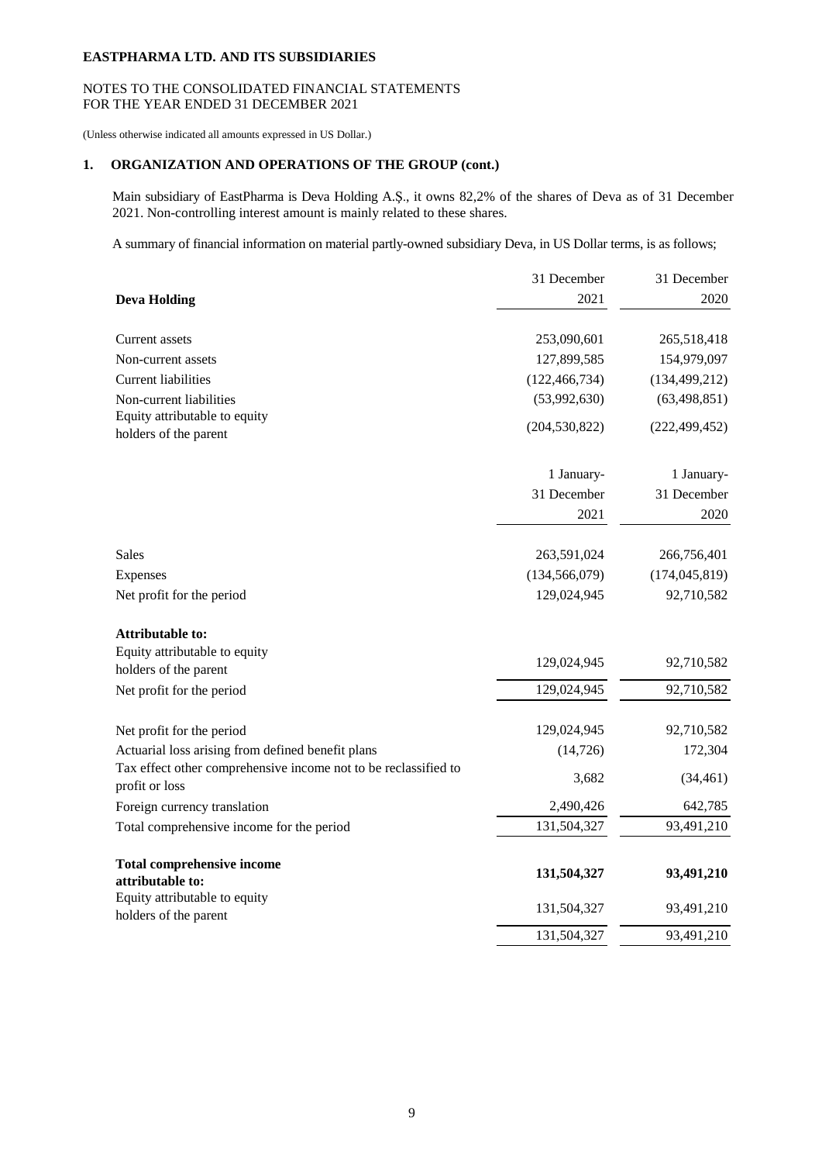# NOTES TO THE CONSOLIDATED FINANCIAL STATEMENTS FOR THE YEAR ENDED 31 DECEMBER 2021

(Unless otherwise indicated all amounts expressed in US Dollar.)

# **1. ORGANIZATION AND OPERATIONS OF THE GROUP (cont.)**

Main subsidiary of EastPharma is Deva Holding A.Ş., it owns 82,2% of the shares of Deva as of 31 December 2021. Non-controlling interest amount is mainly related to these shares.

A summary of financial information on material partly-owned subsidiary Deva, in US Dollar terms, is as follows;

|                                                                 | 31 December     | 31 December     |
|-----------------------------------------------------------------|-----------------|-----------------|
| <b>Deva Holding</b>                                             | 2021            | 2020            |
|                                                                 |                 |                 |
| <b>Current assets</b>                                           | 253,090,601     | 265,518,418     |
| Non-current assets                                              | 127,899,585     | 154,979,097     |
| <b>Current liabilities</b>                                      | (122, 466, 734) | (134, 499, 212) |
| Non-current liabilities                                         | (53,992,630)    | (63, 498, 851)  |
| Equity attributable to equity                                   | (204, 530, 822) | (222, 499, 452) |
| holders of the parent                                           |                 |                 |
|                                                                 | 1 January-      | 1 January-      |
|                                                                 | 31 December     | 31 December     |
|                                                                 | 2021            | 2020            |
|                                                                 |                 |                 |
| Sales                                                           | 263,591,024     | 266,756,401     |
| Expenses                                                        | (134, 566, 079) | (174, 045, 819) |
| Net profit for the period                                       | 129,024,945     | 92,710,582      |
| <b>Attributable to:</b>                                         |                 |                 |
| Equity attributable to equity                                   |                 |                 |
| holders of the parent                                           | 129,024,945     | 92,710,582      |
| Net profit for the period                                       | 129,024,945     | 92,710,582      |
| Net profit for the period                                       | 129,024,945     | 92,710,582      |
| Actuarial loss arising from defined benefit plans               | (14, 726)       | 172,304         |
| Tax effect other comprehensive income not to be reclassified to |                 |                 |
| profit or loss                                                  | 3,682           | (34, 461)       |
| Foreign currency translation                                    | 2,490,426       | 642,785         |
| Total comprehensive income for the period                       | 131,504,327     | 93,491,210      |
| <b>Total comprehensive income</b>                               |                 |                 |
| attributable to:                                                | 131,504,327     | 93,491,210      |
| Equity attributable to equity                                   | 131,504,327     | 93,491,210      |
| holders of the parent                                           |                 |                 |
|                                                                 | 131,504,327     | 93,491,210      |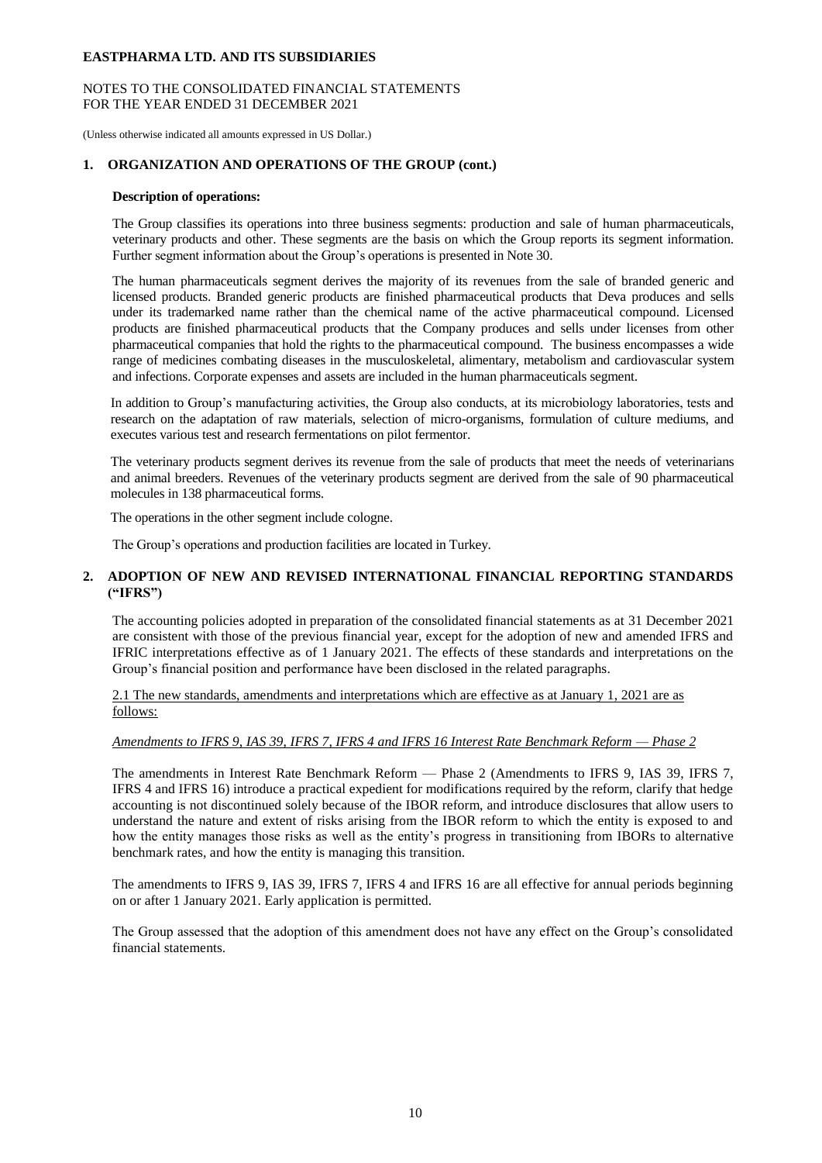## NOTES TO THE CONSOLIDATED FINANCIAL STATEMENTS FOR THE YEAR ENDED 31 DECEMBER 2021

(Unless otherwise indicated all amounts expressed in US Dollar.)

## **1. ORGANIZATION AND OPERATIONS OF THE GROUP (cont.)**

#### **Description of operations:**

The Group classifies its operations into three business segments: production and sale of human pharmaceuticals, veterinary products and other. These segments are the basis on which the Group reports its segment information. Further segment information about the Group's operations is presented in Note 30.

The human pharmaceuticals segment derives the majority of its revenues from the sale of branded generic and licensed products. Branded generic products are finished pharmaceutical products that Deva produces and sells under its trademarked name rather than the chemical name of the active pharmaceutical compound. Licensed products are finished pharmaceutical products that the Company produces and sells under licenses from other pharmaceutical companies that hold the rights to the pharmaceutical compound. The business encompasses a wide range of medicines combating diseases in the musculoskeletal, alimentary, metabolism and cardiovascular system and infections. Corporate expenses and assets are included in the human pharmaceuticals segment.

In addition to Group's manufacturing activities, the Group also conducts, at its microbiology laboratories, tests and research on the adaptation of raw materials, selection of micro-organisms, formulation of culture mediums, and executes various test and research fermentations on pilot fermentor.

The veterinary products segment derives its revenue from the sale of products that meet the needs of veterinarians and animal breeders. Revenues of the veterinary products segment are derived from the sale of 90 pharmaceutical molecules in 138 pharmaceutical forms.

The operations in the other segment include cologne.

The Group's operations and production facilities are located in Turkey.

## **2. ADOPTION OF NEW AND REVISED INTERNATIONAL FINANCIAL REPORTING STANDARDS ("IFRS")**

The accounting policies adopted in preparation of the consolidated financial statements as at 31 December 2021 are consistent with those of the previous financial year, except for the adoption of new and amended IFRS and IFRIC interpretations effective as of 1 January 2021. The effects of these standards and interpretations on the Group's financial position and performance have been disclosed in the related paragraphs.

2.1 The new standards, amendments and interpretations which are effective as at January 1, 2021 are as follows:

# *Amendments to IFRS 9, IAS 39, IFRS 7, IFRS 4 and IFRS 16 Interest Rate Benchmark Reform — Phase 2*

The amendments in Interest Rate Benchmark Reform — Phase 2 (Amendments to IFRS 9, IAS 39, IFRS 7, IFRS 4 and IFRS 16) introduce a practical expedient for modifications required by the reform, clarify that hedge accounting is not discontinued solely because of the IBOR reform, and introduce disclosures that allow users to understand the nature and extent of risks arising from the IBOR reform to which the entity is exposed to and how the entity manages those risks as well as the entity's progress in transitioning from IBORs to alternative benchmark rates, and how the entity is managing this transition.

The amendments to IFRS 9, IAS 39, IFRS 7, IFRS 4 and IFRS 16 are all effective for annual periods beginning on or after 1 January 2021. Early application is permitted.

The Group assessed that the adoption of this amendment does not have any effect on the Group's consolidated financial statements.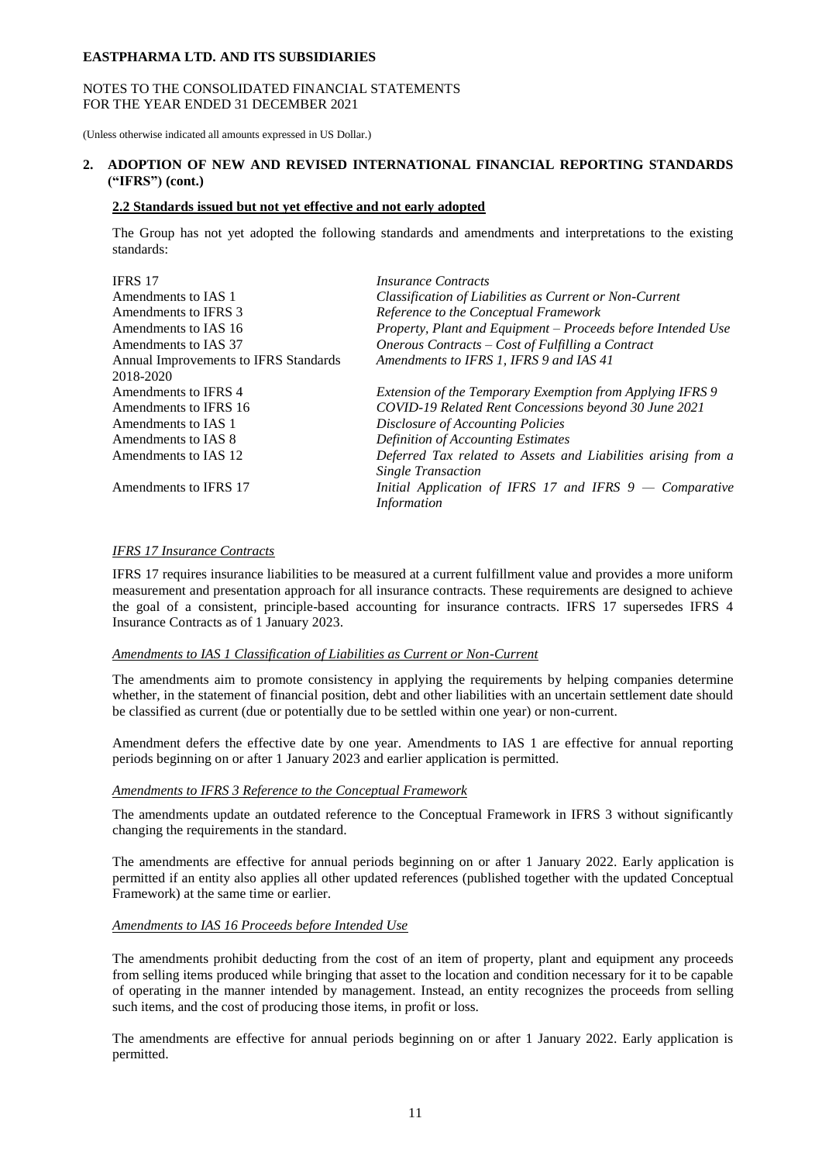## NOTES TO THE CONSOLIDATED FINANCIAL STATEMENTS FOR THE YEAR ENDED 31 DECEMBER 2021

(Unless otherwise indicated all amounts expressed in US Dollar.)

# **2. ADOPTION OF NEW AND REVISED INTERNATIONAL FINANCIAL REPORTING STANDARDS ("IFRS") (cont.)**

# **2.2 Standards issued but not yet effective and not early adopted**

The Group has not yet adopted the following standards and amendments and interpretations to the existing standards:

| <i>Insurance Contracts</i>                                    |
|---------------------------------------------------------------|
| Classification of Liabilities as Current or Non-Current       |
| Reference to the Conceptual Framework                         |
| Property, Plant and Equipment - Proceeds before Intended Use  |
| Onerous Contracts – Cost of Fulfilling a Contract             |
| Amendments to IFRS 1, IFRS 9 and IAS 41                       |
|                                                               |
| Extension of the Temporary Exemption from Applying IFRS 9     |
| COVID-19 Related Rent Concessions beyond 30 June 2021         |
| Disclosure of Accounting Policies                             |
| <b>Definition of Accounting Estimates</b>                     |
| Deferred Tax related to Assets and Liabilities arising from a |
| <b>Single Transaction</b>                                     |
| Initial Application of IFRS 17 and IFRS $9 -$ Comparative     |
| <i>Information</i>                                            |
|                                                               |

## *IFRS 17 Insurance Contracts*

IFRS 17 requires insurance liabilities to be measured at a current fulfillment value and provides a more uniform measurement and presentation approach for all insurance contracts. These requirements are designed to achieve the goal of a consistent, principle-based accounting for insurance contracts. IFRS 17 supersedes IFRS 4 Insurance Contracts as of 1 January 2023.

#### *Amendments to IAS 1 Classification of Liabilities as Current or Non-Current*

The amendments aim to promote consistency in applying the requirements by helping companies determine whether, in the statement of financial position, debt and other liabilities with an uncertain settlement date should be classified as current (due or potentially due to be settled within one year) or non-current.

Amendment defers the effective date by one year. Amendments to IAS 1 are effective for annual reporting periods beginning on or after 1 January 2023 and earlier application is permitted.

## *Amendments to IFRS 3 Reference to the Conceptual Framework*

The amendments update an outdated reference to the Conceptual Framework in IFRS 3 without significantly changing the requirements in the standard.

The amendments are effective for annual periods beginning on or after 1 January 2022. Early application is permitted if an entity also applies all other updated references (published together with the updated Conceptual Framework) at the same time or earlier.

#### *Amendments to IAS 16 Proceeds before Intended Use*

The amendments prohibit deducting from the cost of an item of property, plant and equipment any proceeds from selling items produced while bringing that asset to the location and condition necessary for it to be capable of operating in the manner intended by management. Instead, an entity recognizes the proceeds from selling such items, and the cost of producing those items, in profit or loss.

The amendments are effective for annual periods beginning on or after 1 January 2022. Early application is permitted.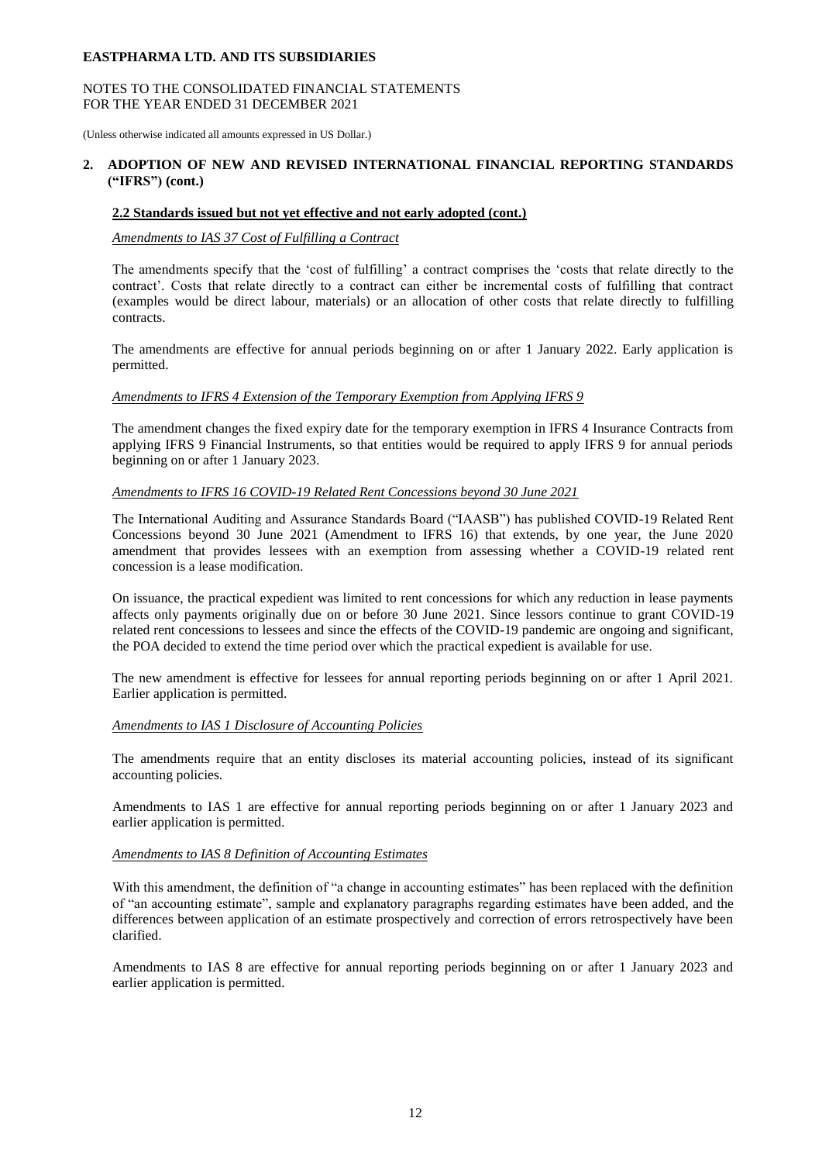#### NOTES TO THE CONSOLIDATED FINANCIAL STATEMENTS FOR THE YEAR ENDED 31 DECEMBER 2021

(Unless otherwise indicated all amounts expressed in US Dollar.)

## **2. ADOPTION OF NEW AND REVISED INTERNATIONAL FINANCIAL REPORTING STANDARDS ("IFRS") (cont.)**

#### **2.2 Standards issued but not yet effective and not early adopted (cont.)**

## *Amendments to IAS 37 Cost of Fulfilling a Contract*

The amendments specify that the 'cost of fulfilling' a contract comprises the 'costs that relate directly to the contract'. Costs that relate directly to a contract can either be incremental costs of fulfilling that contract (examples would be direct labour, materials) or an allocation of other costs that relate directly to fulfilling contracts.

The amendments are effective for annual periods beginning on or after 1 January 2022. Early application is permitted.

#### *Amendments to IFRS 4 Extension of the Temporary Exemption from Applying IFRS 9*

The amendment changes the fixed expiry date for the temporary exemption in IFRS 4 Insurance Contracts from applying IFRS 9 Financial Instruments, so that entities would be required to apply IFRS 9 for annual periods beginning on or after 1 January 2023.

## *Amendments to IFRS 16 COVID-19 Related Rent Concessions beyond 30 June 2021*

The International Auditing and Assurance Standards Board ("IAASB") has published COVID-19 Related Rent Concessions beyond 30 June 2021 (Amendment to IFRS 16) that extends, by one year, the June 2020 amendment that provides lessees with an exemption from assessing whether a COVID-19 related rent concession is a lease modification.

On issuance, the practical expedient was limited to rent concessions for which any reduction in lease payments affects only payments originally due on or before 30 June 2021. Since lessors continue to grant COVID-19 related rent concessions to lessees and since the effects of the COVID-19 pandemic are ongoing and significant, the POA decided to extend the time period over which the practical expedient is available for use.

The new amendment is effective for lessees for annual reporting periods beginning on or after 1 April 2021. Earlier application is permitted.

#### *Amendments to IAS 1 Disclosure of Accounting Policies*

The amendments require that an entity discloses its material accounting policies, instead of its significant accounting policies.

Amendments to IAS 1 are effective for annual reporting periods beginning on or after 1 January 2023 and earlier application is permitted.

## *Amendments to IAS 8 Definition of Accounting Estimates*

With this amendment, the definition of "a change in accounting estimates" has been replaced with the definition of "an accounting estimate", sample and explanatory paragraphs regarding estimates have been added, and the differences between application of an estimate prospectively and correction of errors retrospectively have been clarified.

Amendments to IAS 8 are effective for annual reporting periods beginning on or after 1 January 2023 and earlier application is permitted.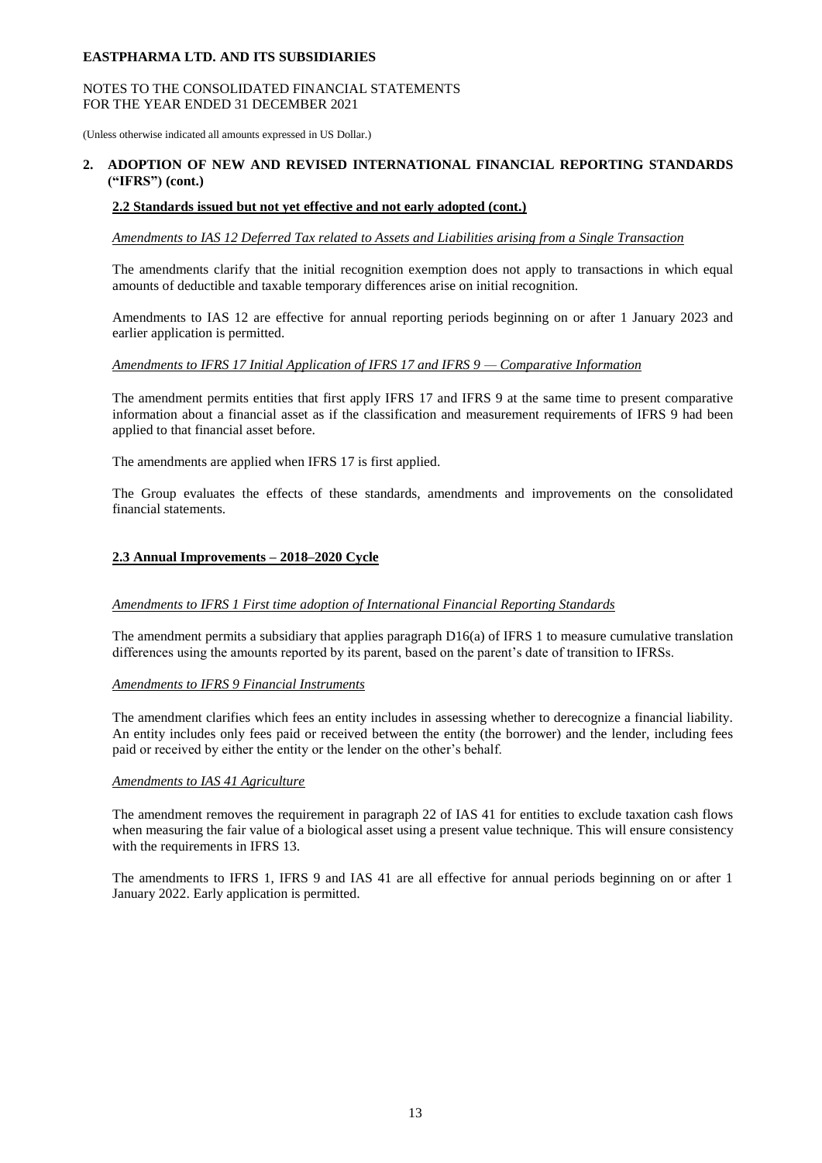## NOTES TO THE CONSOLIDATED FINANCIAL STATEMENTS FOR THE YEAR ENDED 31 DECEMBER 2021

(Unless otherwise indicated all amounts expressed in US Dollar.)

## **2. ADOPTION OF NEW AND REVISED INTERNATIONAL FINANCIAL REPORTING STANDARDS ("IFRS") (cont.)**

## **2.2 Standards issued but not yet effective and not early adopted (cont.)**

*Amendments to IAS 12 Deferred Tax related to Assets and Liabilities arising from a Single Transaction* 

The amendments clarify that the initial recognition exemption does not apply to transactions in which equal amounts of deductible and taxable temporary differences arise on initial recognition.

Amendments to IAS 12 are effective for annual reporting periods beginning on or after 1 January 2023 and earlier application is permitted.

## *Amendments to IFRS 17 Initial Application of IFRS 17 and IFRS 9 — Comparative Information*

The amendment permits entities that first apply IFRS 17 and IFRS 9 at the same time to present comparative information about a financial asset as if the classification and measurement requirements of IFRS 9 had been applied to that financial asset before.

The amendments are applied when IFRS 17 is first applied.

The Group evaluates the effects of these standards, amendments and improvements on the consolidated financial statements.

## **2.3 Annual Improvements – 2018–2020 Cycle**

#### *Amendments to IFRS 1 First time adoption of International Financial Reporting Standards*

The amendment permits a subsidiary that applies paragraph  $D16(a)$  of IFRS 1 to measure cumulative translation differences using the amounts reported by its parent, based on the parent's date of transition to IFRSs.

#### *Amendments to IFRS 9 Financial Instruments*

The amendment clarifies which fees an entity includes in assessing whether to derecognize a financial liability. An entity includes only fees paid or received between the entity (the borrower) and the lender, including fees paid or received by either the entity or the lender on the other's behalf.

#### *Amendments to IAS 41 Agriculture*

The amendment removes the requirement in paragraph 22 of IAS 41 for entities to exclude taxation cash flows when measuring the fair value of a biological asset using a present value technique. This will ensure consistency with the requirements in IFRS 13.

The amendments to IFRS 1, IFRS 9 and IAS 41 are all effective for annual periods beginning on or after 1 January 2022. Early application is permitted.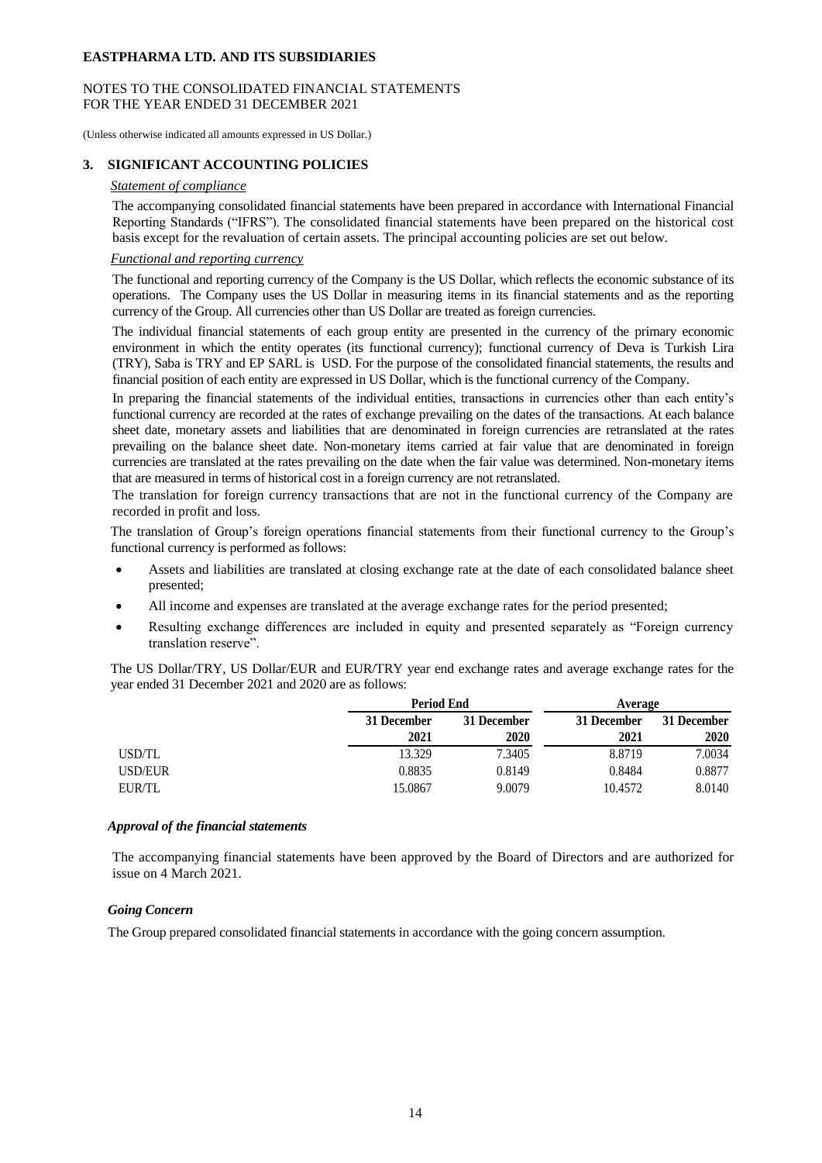#### NOTES TO THE CONSOLIDATED FINANCIAL STATEMENTS FOR THE YEAR ENDED 31 DECEMBER 2021

(Unless otherwise indicated all amounts expressed in US Dollar.)

## **3. SIGNIFICANT ACCOUNTING POLICIES**

#### *Statement of compliance*

The accompanying consolidated financial statements have been prepared in accordance with International Financial Reporting Standards ("IFRS"). The consolidated financial statements have been prepared on the historical cost basis except for the revaluation of certain assets. The principal accounting policies are set out below.

#### *Functional and reporting currency*

The functional and reporting currency of the Company is the US Dollar, which reflects the economic substance of its operations. The Company uses the US Dollar in measuring items in its financial statements and as the reporting currency of the Group. All currencies other than US Dollar are treated as foreign currencies.

The individual financial statements of each group entity are presented in the currency of the primary economic environment in which the entity operates (its functional currency); functional currency of Deva is Turkish Lira (TRY), Saba is TRY and EP SARL is USD. For the purpose of the consolidated financial statements, the results and financial position of each entity are expressed in US Dollar, which is the functional currency of the Company.

In preparing the financial statements of the individual entities, transactions in currencies other than each entity's functional currency are recorded at the rates of exchange prevailing on the dates of the transactions. At each balance sheet date, monetary assets and liabilities that are denominated in foreign currencies are retranslated at the rates prevailing on the balance sheet date. Non-monetary items carried at fair value that are denominated in foreign currencies are translated at the rates prevailing on the date when the fair value was determined. Non-monetary items that are measured in terms of historical cost in a foreign currency are not retranslated.

The translation for foreign currency transactions that are not in the functional currency of the Company are recorded in profit and loss.

The translation of Group's foreign operations financial statements from their functional currency to the Group's functional currency is performed as follows:

- Assets and liabilities are translated at closing exchange rate at the date of each consolidated balance sheet presented;
- All income and expenses are translated at the average exchange rates for the period presented;
- Resulting exchange differences are included in equity and presented separately as "Foreign currency translation reserve".

The US Dollar/TRY, US Dollar/EUR and EUR/TRY year end exchange rates and average exchange rates for the year ended 31 December 2021 and 2020 are as follows:

|         |             | <b>Period End</b> |             | Average     |  |
|---------|-------------|-------------------|-------------|-------------|--|
|         | 31 December | 31 December       | 31 December | 31 December |  |
|         | 2021        | 2020              | 2021        | 2020        |  |
| USD/TL  | 13.329      | 7.3405            | 8.8719      | 7.0034      |  |
| USD/EUR | 0.8835      | 0.8149            | 0.8484      | 0.8877      |  |
| EUR/TL  | 15.0867     | 9.0079            | 10.4572     | 8.0140      |  |

#### *Approval of the financial statements*

The accompanying financial statements have been approved by the Board of Directors and are authorized for issue on 4 March 2021.

#### *Going Concern*

The Group prepared consolidated financial statements in accordance with the going concern assumption.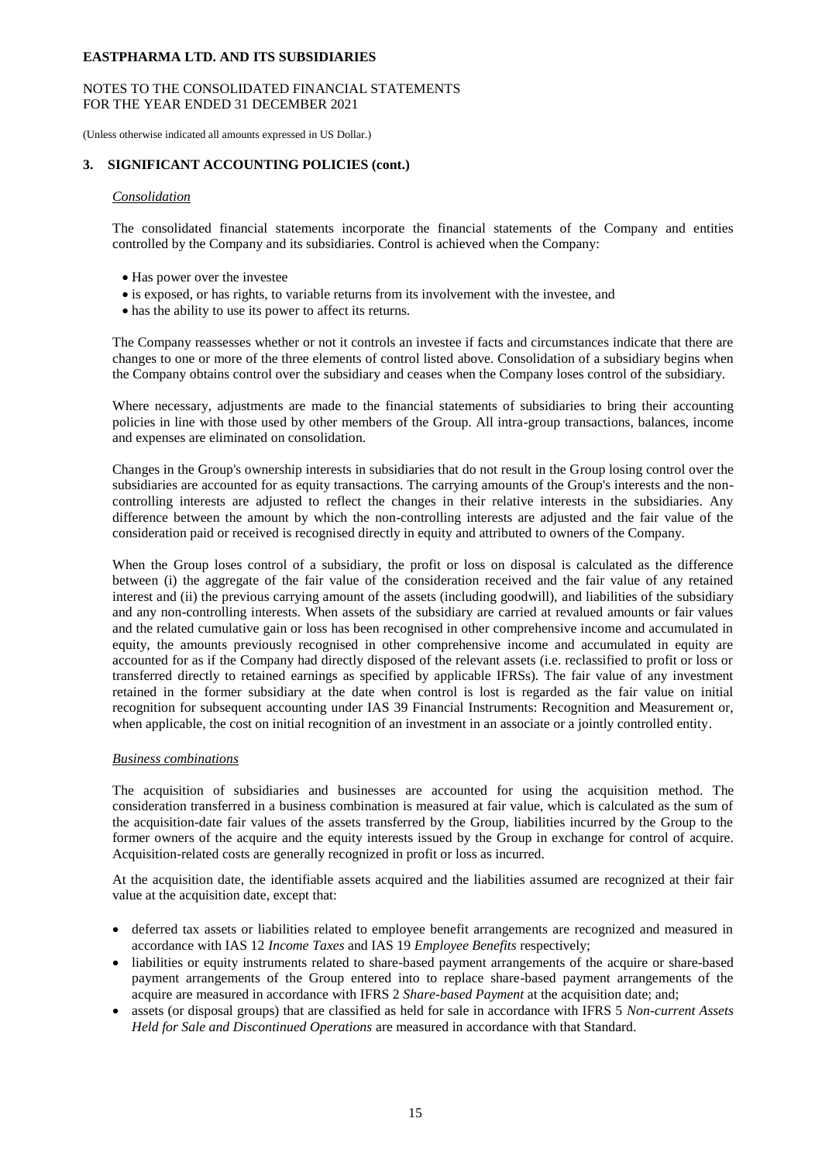## NOTES TO THE CONSOLIDATED FINANCIAL STATEMENTS FOR THE YEAR ENDED 31 DECEMBER 2021

(Unless otherwise indicated all amounts expressed in US Dollar.)

## **3. SIGNIFICANT ACCOUNTING POLICIES (cont.)**

#### *Consolidation*

The consolidated financial statements incorporate the financial statements of the Company and entities controlled by the Company and its subsidiaries. Control is achieved when the Company:

- Has power over the investee
- is exposed, or has rights, to variable returns from its involvement with the investee, and
- has the ability to use its power to affect its returns.

The Company reassesses whether or not it controls an investee if facts and circumstances indicate that there are changes to one or more of the three elements of control listed above. Consolidation of a subsidiary begins when the Company obtains control over the subsidiary and ceases when the Company loses control of the subsidiary.

Where necessary, adjustments are made to the financial statements of subsidiaries to bring their accounting policies in line with those used by other members of the Group. All intra-group transactions, balances, income and expenses are eliminated on consolidation.

Changes in the Group's ownership interests in subsidiaries that do not result in the Group losing control over the subsidiaries are accounted for as equity transactions. The carrying amounts of the Group's interests and the noncontrolling interests are adjusted to reflect the changes in their relative interests in the subsidiaries. Any difference between the amount by which the non-controlling interests are adjusted and the fair value of the consideration paid or received is recognised directly in equity and attributed to owners of the Company.

When the Group loses control of a subsidiary, the profit or loss on disposal is calculated as the difference between (i) the aggregate of the fair value of the consideration received and the fair value of any retained interest and (ii) the previous carrying amount of the assets (including goodwill), and liabilities of the subsidiary and any non-controlling interests. When assets of the subsidiary are carried at revalued amounts or fair values and the related cumulative gain or loss has been recognised in other comprehensive income and accumulated in equity, the amounts previously recognised in other comprehensive income and accumulated in equity are accounted for as if the Company had directly disposed of the relevant assets (i.e. reclassified to profit or loss or transferred directly to retained earnings as specified by applicable IFRSs). The fair value of any investment retained in the former subsidiary at the date when control is lost is regarded as the fair value on initial recognition for subsequent accounting under IAS 39 Financial Instruments: Recognition and Measurement or, when applicable, the cost on initial recognition of an investment in an associate or a jointly controlled entity.

#### *Business combinations*

The acquisition of subsidiaries and businesses are accounted for using the acquisition method. The consideration transferred in a business combination is measured at fair value, which is calculated as the sum of the acquisition-date fair values of the assets transferred by the Group, liabilities incurred by the Group to the former owners of the acquire and the equity interests issued by the Group in exchange for control of acquire. Acquisition-related costs are generally recognized in profit or loss as incurred.

At the acquisition date, the identifiable assets acquired and the liabilities assumed are recognized at their fair value at the acquisition date, except that:

- deferred tax assets or liabilities related to employee benefit arrangements are recognized and measured in accordance with IAS 12 *Income Taxes* and IAS 19 *Employee Benefits* respectively;
- liabilities or equity instruments related to share-based payment arrangements of the acquire or share-based payment arrangements of the Group entered into to replace share-based payment arrangements of the acquire are measured in accordance with IFRS 2 *Share-based Payment* at the acquisition date; and;
- assets (or disposal groups) that are classified as held for sale in accordance with IFRS 5 *Non-current Assets Held for Sale and Discontinued Operations* are measured in accordance with that Standard.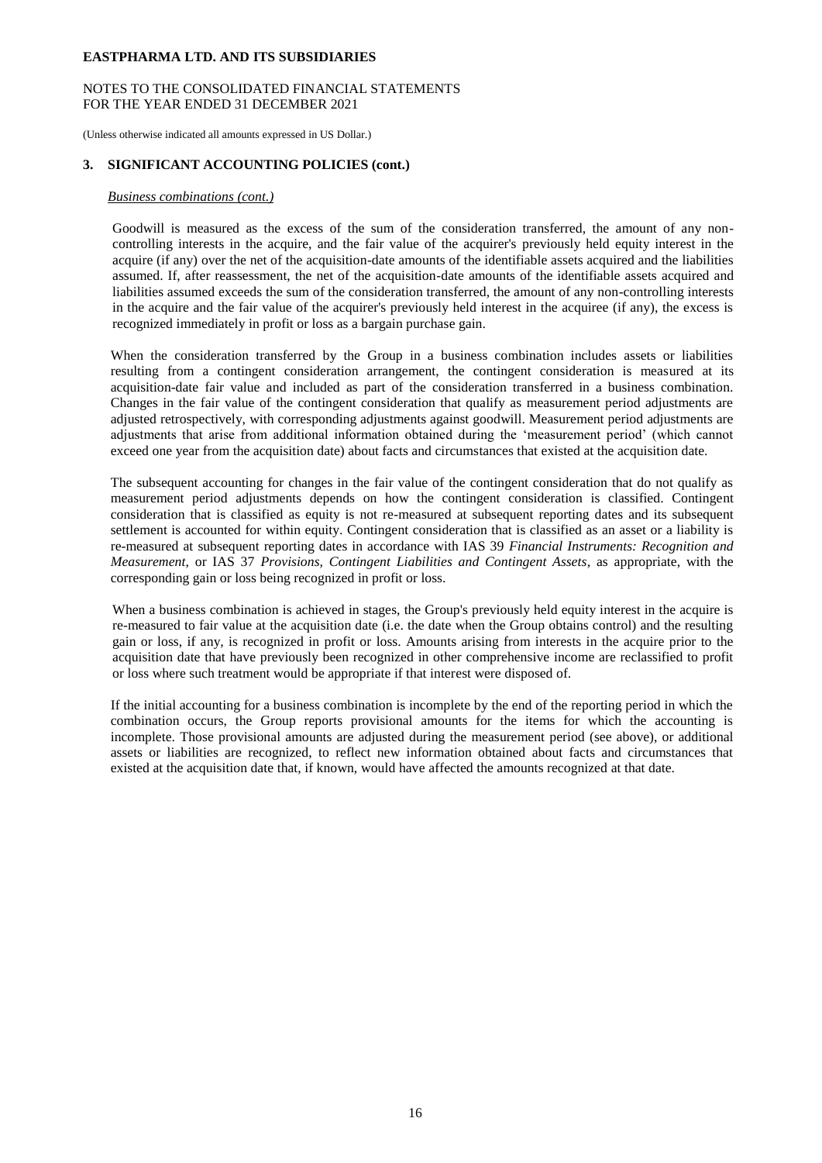## NOTES TO THE CONSOLIDATED FINANCIAL STATEMENTS FOR THE YEAR ENDED 31 DECEMBER 2021

(Unless otherwise indicated all amounts expressed in US Dollar.)

## **3. SIGNIFICANT ACCOUNTING POLICIES (cont.)**

#### *Business combinations (cont.)*

Goodwill is measured as the excess of the sum of the consideration transferred, the amount of any noncontrolling interests in the acquire, and the fair value of the acquirer's previously held equity interest in the acquire (if any) over the net of the acquisition-date amounts of the identifiable assets acquired and the liabilities assumed. If, after reassessment, the net of the acquisition-date amounts of the identifiable assets acquired and liabilities assumed exceeds the sum of the consideration transferred, the amount of any non-controlling interests in the acquire and the fair value of the acquirer's previously held interest in the acquiree (if any), the excess is recognized immediately in profit or loss as a bargain purchase gain.

When the consideration transferred by the Group in a business combination includes assets or liabilities resulting from a contingent consideration arrangement, the contingent consideration is measured at its acquisition-date fair value and included as part of the consideration transferred in a business combination. Changes in the fair value of the contingent consideration that qualify as measurement period adjustments are adjusted retrospectively, with corresponding adjustments against goodwill. Measurement period adjustments are adjustments that arise from additional information obtained during the 'measurement period' (which cannot exceed one year from the acquisition date) about facts and circumstances that existed at the acquisition date.

The subsequent accounting for changes in the fair value of the contingent consideration that do not qualify as measurement period adjustments depends on how the contingent consideration is classified. Contingent consideration that is classified as equity is not re-measured at subsequent reporting dates and its subsequent settlement is accounted for within equity. Contingent consideration that is classified as an asset or a liability is re-measured at subsequent reporting dates in accordance with IAS 39 *Financial Instruments: Recognition and Measurement*, or IAS 37 *Provisions, Contingent Liabilities and Contingent Assets*, as appropriate, with the corresponding gain or loss being recognized in profit or loss.

When a business combination is achieved in stages, the Group's previously held equity interest in the acquire is re-measured to fair value at the acquisition date (i.e. the date when the Group obtains control) and the resulting gain or loss, if any, is recognized in profit or loss. Amounts arising from interests in the acquire prior to the acquisition date that have previously been recognized in other comprehensive income are reclassified to profit or loss where such treatment would be appropriate if that interest were disposed of.

If the initial accounting for a business combination is incomplete by the end of the reporting period in which the combination occurs, the Group reports provisional amounts for the items for which the accounting is incomplete. Those provisional amounts are adjusted during the measurement period (see above), or additional assets or liabilities are recognized, to reflect new information obtained about facts and circumstances that existed at the acquisition date that, if known, would have affected the amounts recognized at that date.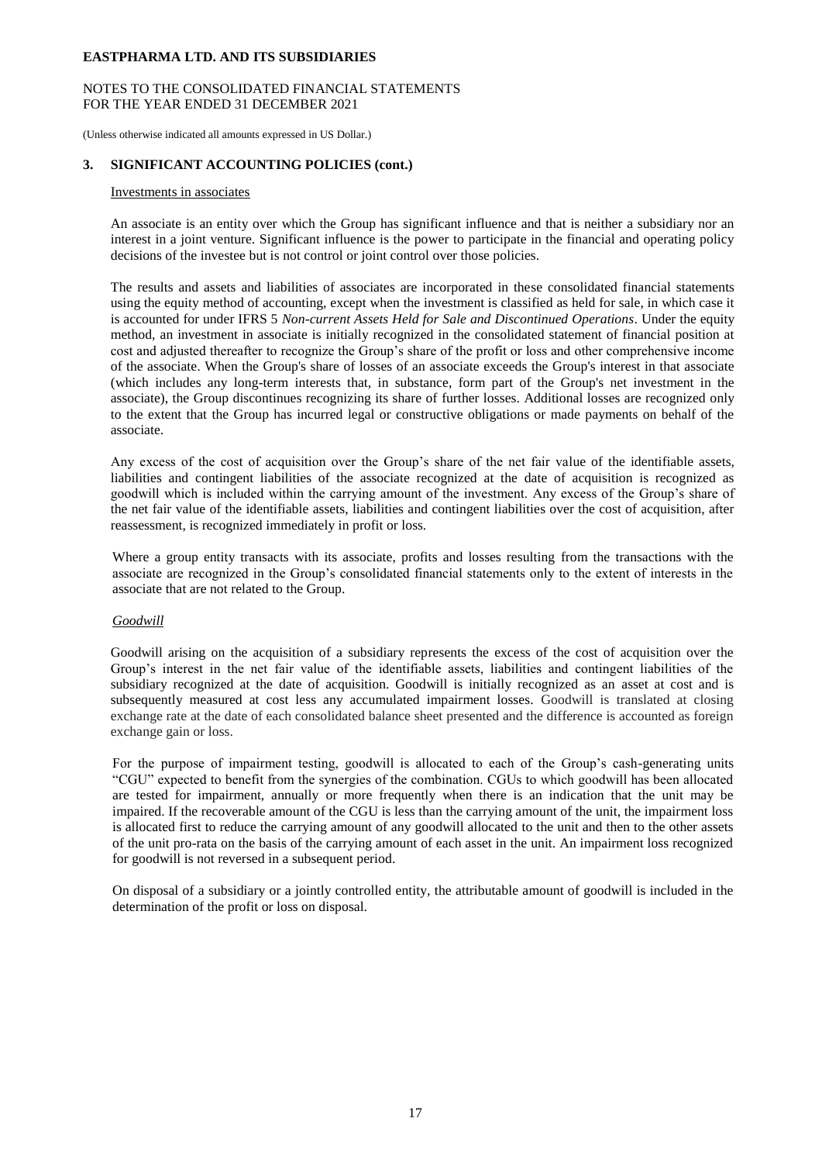## NOTES TO THE CONSOLIDATED FINANCIAL STATEMENTS FOR THE YEAR ENDED 31 DECEMBER 2021

(Unless otherwise indicated all amounts expressed in US Dollar.)

## **3. SIGNIFICANT ACCOUNTING POLICIES (cont.)**

## Investments in associates

An associate is an entity over which the Group has significant influence and that is neither a subsidiary nor an interest in a joint venture. Significant influence is the power to participate in the financial and operating policy decisions of the investee but is not control or joint control over those policies.

The results and assets and liabilities of associates are incorporated in these consolidated financial statements using the equity method of accounting, except when the investment is classified as held for sale, in which case it is accounted for under IFRS 5 *Non-current Assets Held for Sale and Discontinued Operations*. Under the equity method, an investment in associate is initially recognized in the consolidated statement of financial position at cost and adjusted thereafter to recognize the Group's share of the profit or loss and other comprehensive income of the associate. When the Group's share of losses of an associate exceeds the Group's interest in that associate (which includes any long-term interests that, in substance, form part of the Group's net investment in the associate), the Group discontinues recognizing its share of further losses. Additional losses are recognized only to the extent that the Group has incurred legal or constructive obligations or made payments on behalf of the associate.

Any excess of the cost of acquisition over the Group's share of the net fair value of the identifiable assets, liabilities and contingent liabilities of the associate recognized at the date of acquisition is recognized as goodwill which is included within the carrying amount of the investment. Any excess of the Group's share of the net fair value of the identifiable assets, liabilities and contingent liabilities over the cost of acquisition, after reassessment, is recognized immediately in profit or loss.

Where a group entity transacts with its associate, profits and losses resulting from the transactions with the associate are recognized in the Group's consolidated financial statements only to the extent of interests in the associate that are not related to the Group.

## *Goodwill*

Goodwill arising on the acquisition of a subsidiary represents the excess of the cost of acquisition over the Group's interest in the net fair value of the identifiable assets, liabilities and contingent liabilities of the subsidiary recognized at the date of acquisition. Goodwill is initially recognized as an asset at cost and is subsequently measured at cost less any accumulated impairment losses. Goodwill is translated at closing exchange rate at the date of each consolidated balance sheet presented and the difference is accounted as foreign exchange gain or loss.

For the purpose of impairment testing, goodwill is allocated to each of the Group's cash-generating units "CGU" expected to benefit from the synergies of the combination. CGUs to which goodwill has been allocated are tested for impairment, annually or more frequently when there is an indication that the unit may be impaired. If the recoverable amount of the CGU is less than the carrying amount of the unit, the impairment loss is allocated first to reduce the carrying amount of any goodwill allocated to the unit and then to the other assets of the unit pro-rata on the basis of the carrying amount of each asset in the unit. An impairment loss recognized for goodwill is not reversed in a subsequent period.

On disposal of a subsidiary or a jointly controlled entity, the attributable amount of goodwill is included in the determination of the profit or loss on disposal.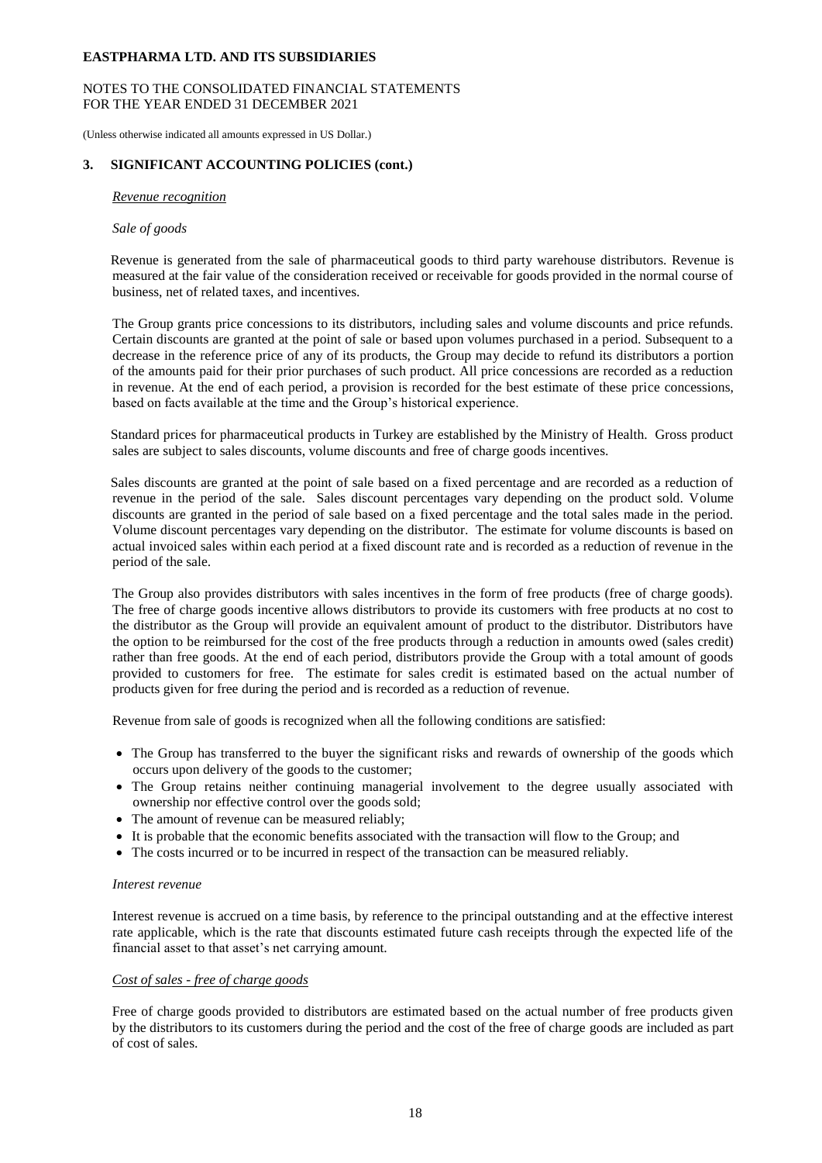## NOTES TO THE CONSOLIDATED FINANCIAL STATEMENTS FOR THE YEAR ENDED 31 DECEMBER 2021

(Unless otherwise indicated all amounts expressed in US Dollar.)

## **3. SIGNIFICANT ACCOUNTING POLICIES (cont.)**

#### *Revenue recognition*

#### *Sale of goods*

Revenue is generated from the sale of pharmaceutical goods to third party warehouse distributors. Revenue is measured at the fair value of the consideration received or receivable for goods provided in the normal course of business, net of related taxes, and incentives.

The Group grants price concessions to its distributors, including sales and volume discounts and price refunds. Certain discounts are granted at the point of sale or based upon volumes purchased in a period. Subsequent to a decrease in the reference price of any of its products, the Group may decide to refund its distributors a portion of the amounts paid for their prior purchases of such product. All price concessions are recorded as a reduction in revenue. At the end of each period, a provision is recorded for the best estimate of these price concessions, based on facts available at the time and the Group's historical experience.

Standard prices for pharmaceutical products in Turkey are established by the Ministry of Health. Gross product sales are subject to sales discounts, volume discounts and free of charge goods incentives.

Sales discounts are granted at the point of sale based on a fixed percentage and are recorded as a reduction of revenue in the period of the sale. Sales discount percentages vary depending on the product sold. Volume discounts are granted in the period of sale based on a fixed percentage and the total sales made in the period. Volume discount percentages vary depending on the distributor. The estimate for volume discounts is based on actual invoiced sales within each period at a fixed discount rate and is recorded as a reduction of revenue in the period of the sale.

The Group also provides distributors with sales incentives in the form of free products (free of charge goods). The free of charge goods incentive allows distributors to provide its customers with free products at no cost to the distributor as the Group will provide an equivalent amount of product to the distributor. Distributors have the option to be reimbursed for the cost of the free products through a reduction in amounts owed (sales credit) rather than free goods. At the end of each period, distributors provide the Group with a total amount of goods provided to customers for free. The estimate for sales credit is estimated based on the actual number of products given for free during the period and is recorded as a reduction of revenue.

Revenue from sale of goods is recognized when all the following conditions are satisfied:

- The Group has transferred to the buyer the significant risks and rewards of ownership of the goods which occurs upon delivery of the goods to the customer;
- The Group retains neither continuing managerial involvement to the degree usually associated with ownership nor effective control over the goods sold;
- The amount of revenue can be measured reliably;
- It is probable that the economic benefits associated with the transaction will flow to the Group; and
- The costs incurred or to be incurred in respect of the transaction can be measured reliably.

#### *Interest revenue*

Interest revenue is accrued on a time basis, by reference to the principal outstanding and at the effective interest rate applicable, which is the rate that discounts estimated future cash receipts through the expected life of the financial asset to that asset's net carrying amount.

#### *Cost of sales - free of charge goods*

Free of charge goods provided to distributors are estimated based on the actual number of free products given by the distributors to its customers during the period and the cost of the free of charge goods are included as part of cost of sales.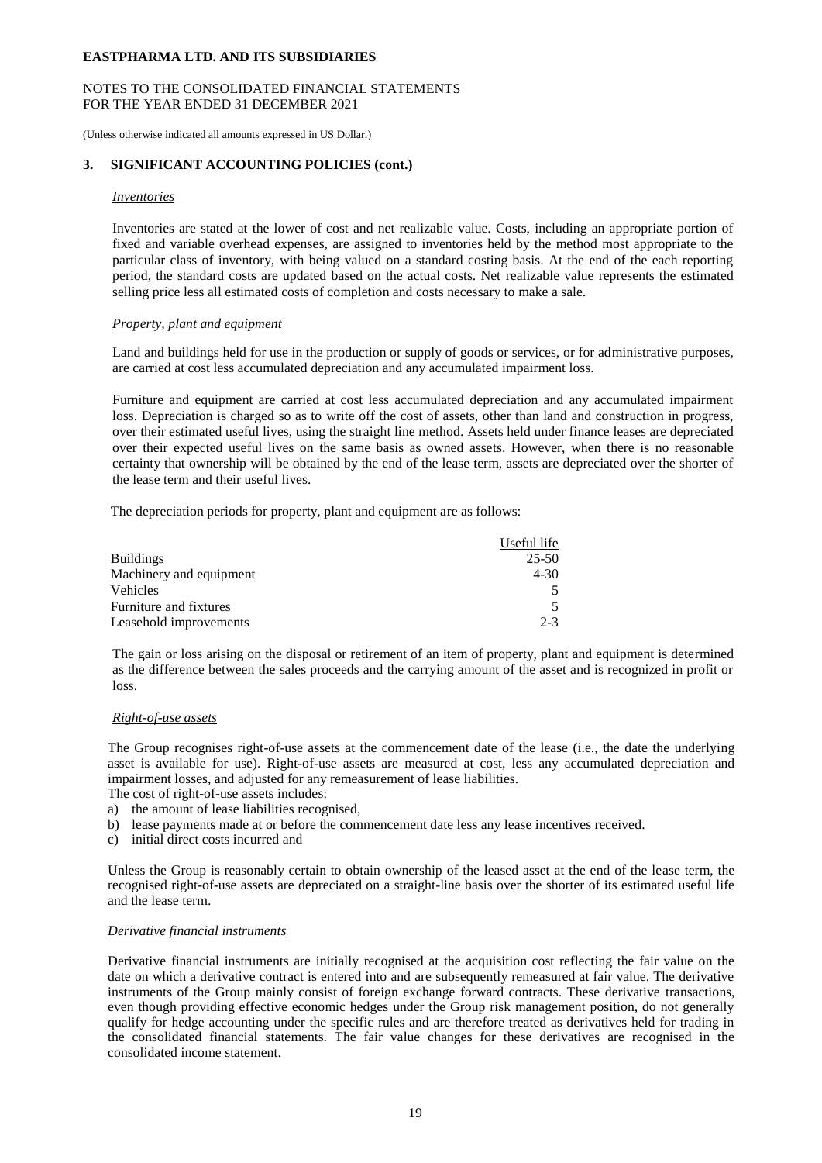## NOTES TO THE CONSOLIDATED FINANCIAL STATEMENTS FOR THE YEAR ENDED 31 DECEMBER 2021

(Unless otherwise indicated all amounts expressed in US Dollar.)

## **3. SIGNIFICANT ACCOUNTING POLICIES (cont.)**

#### *Inventories*

Inventories are stated at the lower of cost and net realizable value. Costs, including an appropriate portion of fixed and variable overhead expenses, are assigned to inventories held by the method most appropriate to the particular class of inventory, with being valued on a standard costing basis. At the end of the each reporting period, the standard costs are updated based on the actual costs. Net realizable value represents the estimated selling price less all estimated costs of completion and costs necessary to make a sale.

#### *Property, plant and equipment*

Land and buildings held for use in the production or supply of goods or services, or for administrative purposes, are carried at cost less accumulated depreciation and any accumulated impairment loss.

Furniture and equipment are carried at cost less accumulated depreciation and any accumulated impairment loss. Depreciation is charged so as to write off the cost of assets, other than land and construction in progress, over their estimated useful lives, using the straight line method. Assets held under finance leases are depreciated over their expected useful lives on the same basis as owned assets. However, when there is no reasonable certainty that ownership will be obtained by the end of the lease term, assets are depreciated over the shorter of the lease term and their useful lives.

The depreciation periods for property, plant and equipment are as follows:

|                         | Useful life |
|-------------------------|-------------|
| <b>Buildings</b>        | $25 - 50$   |
| Machinery and equipment | $4 - 30$    |
| <b>Vehicles</b>         |             |
| Furniture and fixtures  | 5.          |
| Leasehold improvements  | $2 - 3$     |

The gain or loss arising on the disposal or retirement of an item of property, plant and equipment is determined as the difference between the sales proceeds and the carrying amount of the asset and is recognized in profit or loss.

## *Right-of-use assets*

The Group recognises right-of-use assets at the commencement date of the lease (i.e., the date the underlying asset is available for use). Right-of-use assets are measured at cost, less any accumulated depreciation and impairment losses, and adjusted for any remeasurement of lease liabilities.

- The cost of right-of-use assets includes:
- a) the amount of lease liabilities recognised,
- b) lease payments made at or before the commencement date less any lease incentives received.
- c) initial direct costs incurred and

Unless the Group is reasonably certain to obtain ownership of the leased asset at the end of the lease term, the recognised right-of-use assets are depreciated on a straight-line basis over the shorter of its estimated useful life and the lease term.

## *Derivative financial instruments*

Derivative financial instruments are initially recognised at the acquisition cost reflecting the fair value on the date on which a derivative contract is entered into and are subsequently remeasured at fair value. The derivative instruments of the Group mainly consist of foreign exchange forward contracts. These derivative transactions, even though providing effective economic hedges under the Group risk management position, do not generally qualify for hedge accounting under the specific rules and are therefore treated as derivatives held for trading in the consolidated financial statements. The fair value changes for these derivatives are recognised in the consolidated income statement.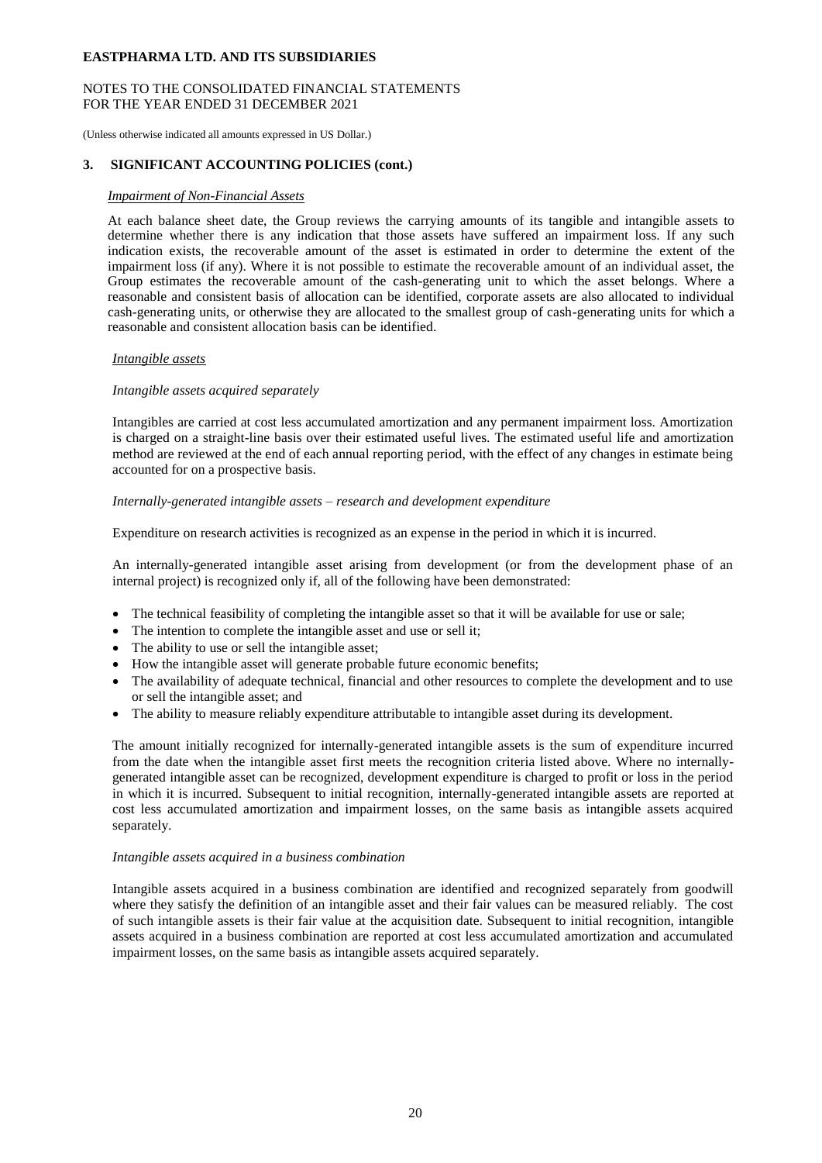## NOTES TO THE CONSOLIDATED FINANCIAL STATEMENTS FOR THE YEAR ENDED 31 DECEMBER 2021

(Unless otherwise indicated all amounts expressed in US Dollar.)

## **3. SIGNIFICANT ACCOUNTING POLICIES (cont.)**

#### *Impairment of Non-Financial Assets*

At each balance sheet date, the Group reviews the carrying amounts of its tangible and intangible assets to determine whether there is any indication that those assets have suffered an impairment loss. If any such indication exists, the recoverable amount of the asset is estimated in order to determine the extent of the impairment loss (if any). Where it is not possible to estimate the recoverable amount of an individual asset, the Group estimates the recoverable amount of the cash-generating unit to which the asset belongs. Where a reasonable and consistent basis of allocation can be identified, corporate assets are also allocated to individual cash-generating units, or otherwise they are allocated to the smallest group of cash-generating units for which a reasonable and consistent allocation basis can be identified.

## *Intangible assets*

## *Intangible assets acquired separately*

Intangibles are carried at cost less accumulated amortization and any permanent impairment loss. Amortization is charged on a straight-line basis over their estimated useful lives. The estimated useful life and amortization method are reviewed at the end of each annual reporting period, with the effect of any changes in estimate being accounted for on a prospective basis.

## *Internally-generated intangible assets – research and development expenditure*

Expenditure on research activities is recognized as an expense in the period in which it is incurred.

An internally-generated intangible asset arising from development (or from the development phase of an internal project) is recognized only if, all of the following have been demonstrated:

- The technical feasibility of completing the intangible asset so that it will be available for use or sale;
- The intention to complete the intangible asset and use or sell it;
- The ability to use or sell the intangible asset;
- How the intangible asset will generate probable future economic benefits;
- The availability of adequate technical, financial and other resources to complete the development and to use or sell the intangible asset; and
- The ability to measure reliably expenditure attributable to intangible asset during its development.

The amount initially recognized for internally-generated intangible assets is the sum of expenditure incurred from the date when the intangible asset first meets the recognition criteria listed above. Where no internallygenerated intangible asset can be recognized, development expenditure is charged to profit or loss in the period in which it is incurred. Subsequent to initial recognition, internally-generated intangible assets are reported at cost less accumulated amortization and impairment losses, on the same basis as intangible assets acquired separately.

#### *Intangible assets acquired in a business combination*

Intangible assets acquired in a business combination are identified and recognized separately from goodwill where they satisfy the definition of an intangible asset and their fair values can be measured reliably. The cost of such intangible assets is their fair value at the acquisition date. Subsequent to initial recognition, intangible assets acquired in a business combination are reported at cost less accumulated amortization and accumulated impairment losses, on the same basis as intangible assets acquired separately.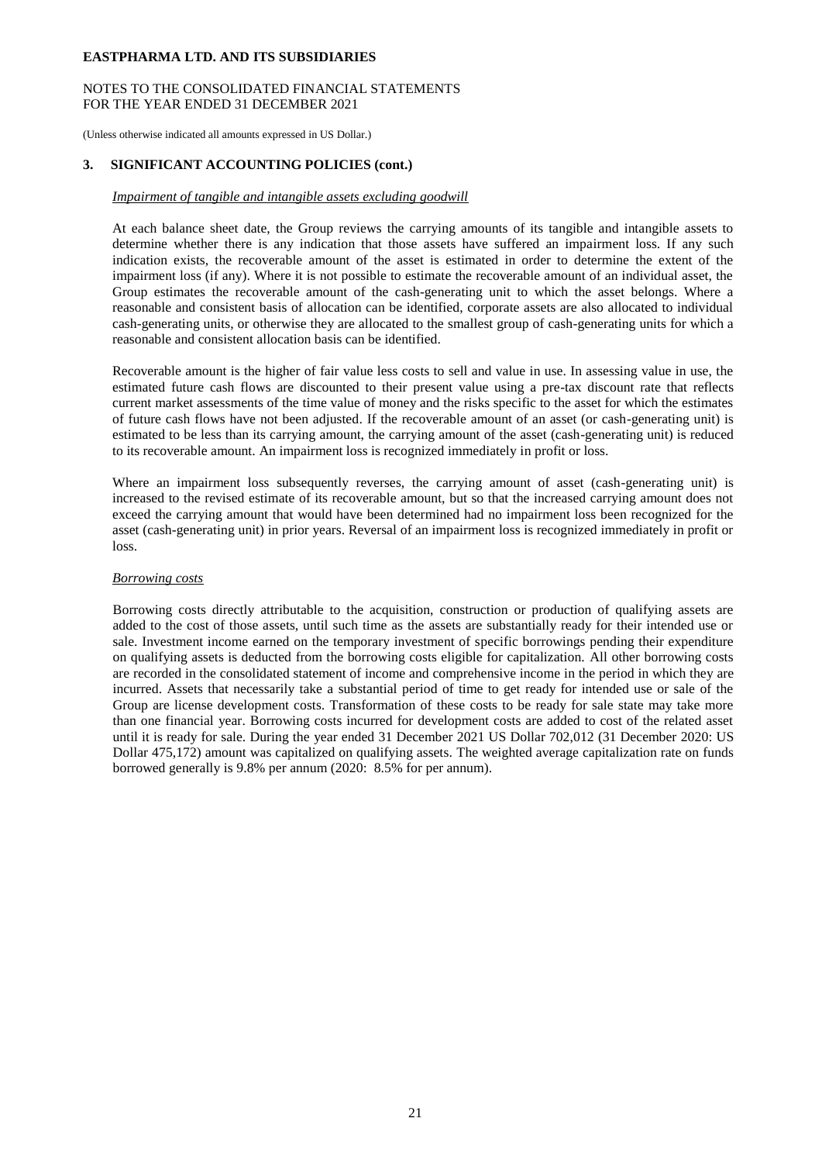## NOTES TO THE CONSOLIDATED FINANCIAL STATEMENTS FOR THE YEAR ENDED 31 DECEMBER 2021

(Unless otherwise indicated all amounts expressed in US Dollar.)

## **3. SIGNIFICANT ACCOUNTING POLICIES (cont.)**

#### *Impairment of tangible and intangible assets excluding goodwill*

At each balance sheet date, the Group reviews the carrying amounts of its tangible and intangible assets to determine whether there is any indication that those assets have suffered an impairment loss. If any such indication exists, the recoverable amount of the asset is estimated in order to determine the extent of the impairment loss (if any). Where it is not possible to estimate the recoverable amount of an individual asset, the Group estimates the recoverable amount of the cash-generating unit to which the asset belongs. Where a reasonable and consistent basis of allocation can be identified, corporate assets are also allocated to individual cash-generating units, or otherwise they are allocated to the smallest group of cash-generating units for which a reasonable and consistent allocation basis can be identified.

Recoverable amount is the higher of fair value less costs to sell and value in use. In assessing value in use, the estimated future cash flows are discounted to their present value using a pre-tax discount rate that reflects current market assessments of the time value of money and the risks specific to the asset for which the estimates of future cash flows have not been adjusted. If the recoverable amount of an asset (or cash-generating unit) is estimated to be less than its carrying amount, the carrying amount of the asset (cash-generating unit) is reduced to its recoverable amount. An impairment loss is recognized immediately in profit or loss.

Where an impairment loss subsequently reverses, the carrying amount of asset (cash-generating unit) is increased to the revised estimate of its recoverable amount, but so that the increased carrying amount does not exceed the carrying amount that would have been determined had no impairment loss been recognized for the asset (cash-generating unit) in prior years. Reversal of an impairment loss is recognized immediately in profit or loss.

#### *Borrowing costs*

Borrowing costs directly attributable to the acquisition, construction or production of qualifying assets are added to the cost of those assets, until such time as the assets are substantially ready for their intended use or sale. Investment income earned on the temporary investment of specific borrowings pending their expenditure on qualifying assets is deducted from the borrowing costs eligible for capitalization. All other borrowing costs are recorded in the consolidated statement of income and comprehensive income in the period in which they are incurred. Assets that necessarily take a substantial period of time to get ready for intended use or sale of the Group are license development costs. Transformation of these costs to be ready for sale state may take more than one financial year. Borrowing costs incurred for development costs are added to cost of the related asset until it is ready for sale. During the year ended 31 December 2021 US Dollar 702,012 (31 December 2020: US Dollar 475,172) amount was capitalized on qualifying assets. The weighted average capitalization rate on funds borrowed generally is 9.8% per annum (2020: 8.5% for per annum).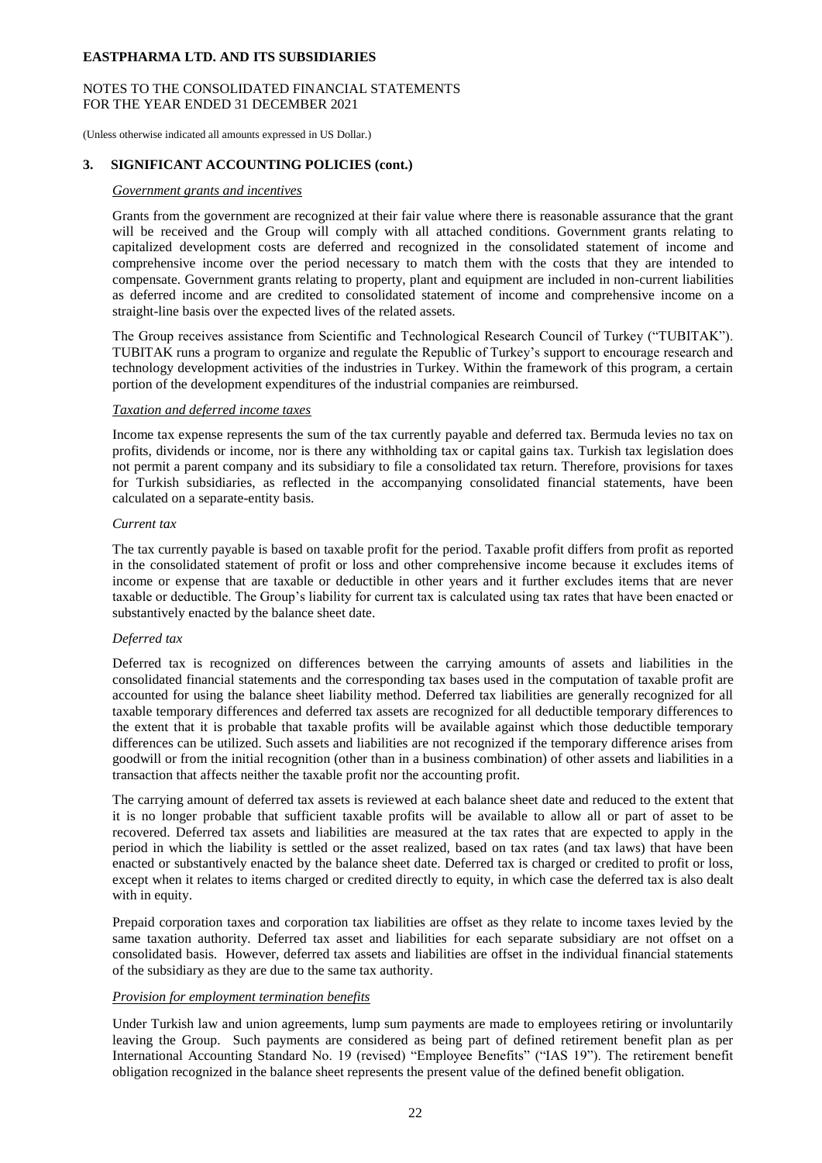#### NOTES TO THE CONSOLIDATED FINANCIAL STATEMENTS FOR THE YEAR ENDED 31 DECEMBER 2021

(Unless otherwise indicated all amounts expressed in US Dollar.)

#### **3. SIGNIFICANT ACCOUNTING POLICIES (cont.)**

#### *Government grants and incentives*

Grants from the government are recognized at their fair value where there is reasonable assurance that the grant will be received and the Group will comply with all attached conditions. Government grants relating to capitalized development costs are deferred and recognized in the consolidated statement of income and comprehensive income over the period necessary to match them with the costs that they are intended to compensate. Government grants relating to property, plant and equipment are included in non-current liabilities as deferred income and are credited to consolidated statement of income and comprehensive income on a straight-line basis over the expected lives of the related assets.

The Group receives assistance from Scientific and Technological Research Council of Turkey ("TUBITAK"). TUBITAK runs a program to organize and regulate the Republic of Turkey's support to encourage research and technology development activities of the industries in Turkey. Within the framework of this program, a certain portion of the development expenditures of the industrial companies are reimbursed.

#### *Taxation and deferred income taxes*

Income tax expense represents the sum of the tax currently payable and deferred tax. Bermuda levies no tax on profits, dividends or income, nor is there any withholding tax or capital gains tax. Turkish tax legislation does not permit a parent company and its subsidiary to file a consolidated tax return. Therefore, provisions for taxes for Turkish subsidiaries, as reflected in the accompanying consolidated financial statements, have been calculated on a separate-entity basis.

#### *Current tax*

The tax currently payable is based on taxable profit for the period. Taxable profit differs from profit as reported in the consolidated statement of profit or loss and other comprehensive income because it excludes items of income or expense that are taxable or deductible in other years and it further excludes items that are never taxable or deductible. The Group's liability for current tax is calculated using tax rates that have been enacted or substantively enacted by the balance sheet date.

## *Deferred tax*

Deferred tax is recognized on differences between the carrying amounts of assets and liabilities in the consolidated financial statements and the corresponding tax bases used in the computation of taxable profit are accounted for using the balance sheet liability method. Deferred tax liabilities are generally recognized for all taxable temporary differences and deferred tax assets are recognized for all deductible temporary differences to the extent that it is probable that taxable profits will be available against which those deductible temporary differences can be utilized. Such assets and liabilities are not recognized if the temporary difference arises from goodwill or from the initial recognition (other than in a business combination) of other assets and liabilities in a transaction that affects neither the taxable profit nor the accounting profit.

The carrying amount of deferred tax assets is reviewed at each balance sheet date and reduced to the extent that it is no longer probable that sufficient taxable profits will be available to allow all or part of asset to be recovered. Deferred tax assets and liabilities are measured at the tax rates that are expected to apply in the period in which the liability is settled or the asset realized, based on tax rates (and tax laws) that have been enacted or substantively enacted by the balance sheet date. Deferred tax is charged or credited to profit or loss, except when it relates to items charged or credited directly to equity, in which case the deferred tax is also dealt with in equity.

Prepaid corporation taxes and corporation tax liabilities are offset as they relate to income taxes levied by the same taxation authority. Deferred tax asset and liabilities for each separate subsidiary are not offset on a consolidated basis. However, deferred tax assets and liabilities are offset in the individual financial statements of the subsidiary as they are due to the same tax authority.

## *Provision for employment termination benefits*

Under Turkish law and union agreements, lump sum payments are made to employees retiring or involuntarily leaving the Group. Such payments are considered as being part of defined retirement benefit plan as per International Accounting Standard No. 19 (revised) "Employee Benefits" ("IAS 19"). The retirement benefit obligation recognized in the balance sheet represents the present value of the defined benefit obligation.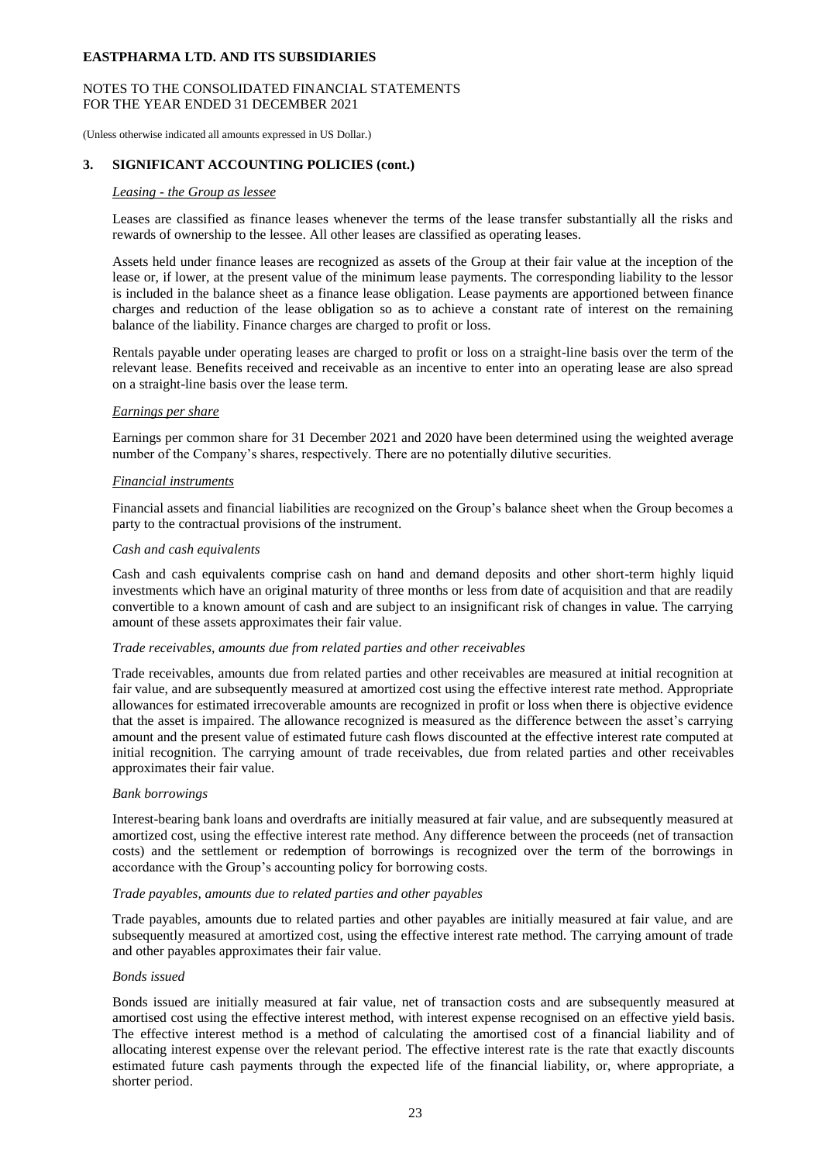## NOTES TO THE CONSOLIDATED FINANCIAL STATEMENTS FOR THE YEAR ENDED 31 DECEMBER 2021

(Unless otherwise indicated all amounts expressed in US Dollar.)

## **3. SIGNIFICANT ACCOUNTING POLICIES (cont.)**

#### *Leasing - the Group as lessee*

Leases are classified as finance leases whenever the terms of the lease transfer substantially all the risks and rewards of ownership to the lessee. All other leases are classified as operating leases.

Assets held under finance leases are recognized as assets of the Group at their fair value at the inception of the lease or, if lower, at the present value of the minimum lease payments. The corresponding liability to the lessor is included in the balance sheet as a finance lease obligation. Lease payments are apportioned between finance charges and reduction of the lease obligation so as to achieve a constant rate of interest on the remaining balance of the liability. Finance charges are charged to profit or loss.

Rentals payable under operating leases are charged to profit or loss on a straight-line basis over the term of the relevant lease. Benefits received and receivable as an incentive to enter into an operating lease are also spread on a straight-line basis over the lease term.

#### *Earnings per share*

Earnings per common share for 31 December 2021 and 2020 have been determined using the weighted average number of the Company's shares, respectively. There are no potentially dilutive securities.

#### *Financial instruments*

Financial assets and financial liabilities are recognized on the Group's balance sheet when the Group becomes a party to the contractual provisions of the instrument.

#### *Cash and cash equivalents*

Cash and cash equivalents comprise cash on hand and demand deposits and other short-term highly liquid investments which have an original maturity of three months or less from date of acquisition and that are readily convertible to a known amount of cash and are subject to an insignificant risk of changes in value. The carrying amount of these assets approximates their fair value.

#### *Trade receivables, amounts due from related parties and other receivables*

Trade receivables, amounts due from related parties and other receivables are measured at initial recognition at fair value, and are subsequently measured at amortized cost using the effective interest rate method. Appropriate allowances for estimated irrecoverable amounts are recognized in profit or loss when there is objective evidence that the asset is impaired. The allowance recognized is measured as the difference between the asset's carrying amount and the present value of estimated future cash flows discounted at the effective interest rate computed at initial recognition. The carrying amount of trade receivables, due from related parties and other receivables approximates their fair value.

#### *Bank borrowings*

Interest-bearing bank loans and overdrafts are initially measured at fair value, and are subsequently measured at amortized cost, using the effective interest rate method. Any difference between the proceeds (net of transaction costs) and the settlement or redemption of borrowings is recognized over the term of the borrowings in accordance with the Group's accounting policy for borrowing costs.

#### *Trade payables, amounts due to related parties and other payables*

Trade payables, amounts due to related parties and other payables are initially measured at fair value, and are subsequently measured at amortized cost, using the effective interest rate method. The carrying amount of trade and other payables approximates their fair value.

#### *Bonds issued*

Bonds issued are initially measured at fair value, net of transaction costs and are subsequently measured at amortised cost using the effective interest method, with interest expense recognised on an effective yield basis. The effective interest method is a method of calculating the amortised cost of a financial liability and of allocating interest expense over the relevant period. The effective interest rate is the rate that exactly discounts estimated future cash payments through the expected life of the financial liability, or, where appropriate, a shorter period.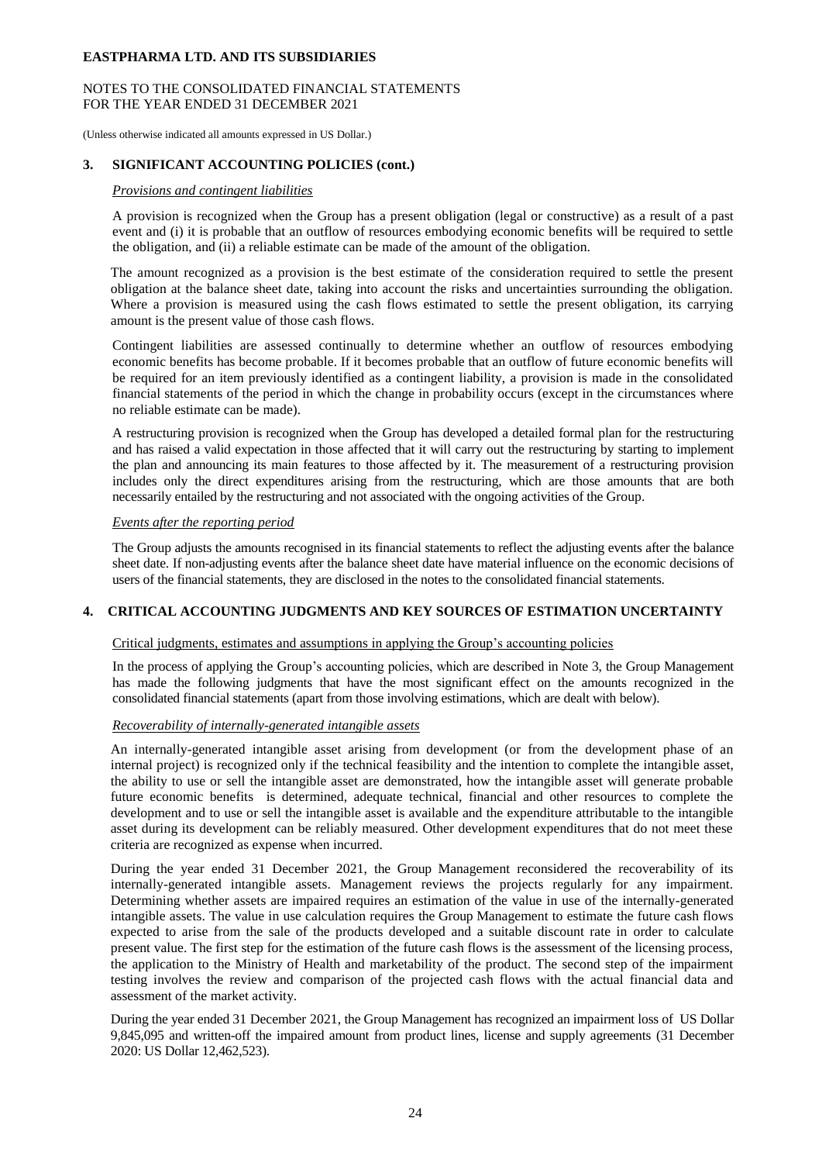## NOTES TO THE CONSOLIDATED FINANCIAL STATEMENTS FOR THE YEAR ENDED 31 DECEMBER 2021

(Unless otherwise indicated all amounts expressed in US Dollar.)

## **3. SIGNIFICANT ACCOUNTING POLICIES (cont.)**

## *Provisions and contingent liabilities*

A provision is recognized when the Group has a present obligation (legal or constructive) as a result of a past event and (i) it is probable that an outflow of resources embodying economic benefits will be required to settle the obligation, and (ii) a reliable estimate can be made of the amount of the obligation.

The amount recognized as a provision is the best estimate of the consideration required to settle the present obligation at the balance sheet date, taking into account the risks and uncertainties surrounding the obligation. Where a provision is measured using the cash flows estimated to settle the present obligation, its carrying amount is the present value of those cash flows.

Contingent liabilities are assessed continually to determine whether an outflow of resources embodying economic benefits has become probable. If it becomes probable that an outflow of future economic benefits will be required for an item previously identified as a contingent liability, a provision is made in the consolidated financial statements of the period in which the change in probability occurs (except in the circumstances where no reliable estimate can be made).

A restructuring provision is recognized when the Group has developed a detailed formal plan for the restructuring and has raised a valid expectation in those affected that it will carry out the restructuring by starting to implement the plan and announcing its main features to those affected by it. The measurement of a restructuring provision includes only the direct expenditures arising from the restructuring, which are those amounts that are both necessarily entailed by the restructuring and not associated with the ongoing activities of the Group.

## *Events after the reporting period*

The Group adjusts the amounts recognised in its financial statements to reflect the adjusting events after the balance sheet date. If non-adjusting events after the balance sheet date have material influence on the economic decisions of users of the financial statements, they are disclosed in the notes to the consolidated financial statements.

#### **4. CRITICAL ACCOUNTING JUDGMENTS AND KEY SOURCES OF ESTIMATION UNCERTAINTY**

#### Critical judgments, estimates and assumptions in applying the Group's accounting policies

In the process of applying the Group's accounting policies, which are described in Note 3, the Group Management has made the following judgments that have the most significant effect on the amounts recognized in the consolidated financial statements (apart from those involving estimations, which are dealt with below).

#### *Recoverability of internally-generated intangible assets*

An internally-generated intangible asset arising from development (or from the development phase of an internal project) is recognized only if the technical feasibility and the intention to complete the intangible asset, the ability to use or sell the intangible asset are demonstrated, how the intangible asset will generate probable future economic benefits is determined, adequate technical, financial and other resources to complete the development and to use or sell the intangible asset is available and the expenditure attributable to the intangible asset during its development can be reliably measured. Other development expenditures that do not meet these criteria are recognized as expense when incurred.

During the year ended 31 December 2021, the Group Management reconsidered the recoverability of its internally-generated intangible assets. Management reviews the projects regularly for any impairment. Determining whether assets are impaired requires an estimation of the value in use of the internally-generated intangible assets. The value in use calculation requires the Group Management to estimate the future cash flows expected to arise from the sale of the products developed and a suitable discount rate in order to calculate present value. The first step for the estimation of the future cash flows is the assessment of the licensing process, the application to the Ministry of Health and marketability of the product. The second step of the impairment testing involves the review and comparison of the projected cash flows with the actual financial data and assessment of the market activity.

During the year ended 31 December 2021, the Group Management has recognized an impairment loss of US Dollar 9,845,095 and written-off the impaired amount from product lines, license and supply agreements (31 December 2020: US Dollar 12,462,523).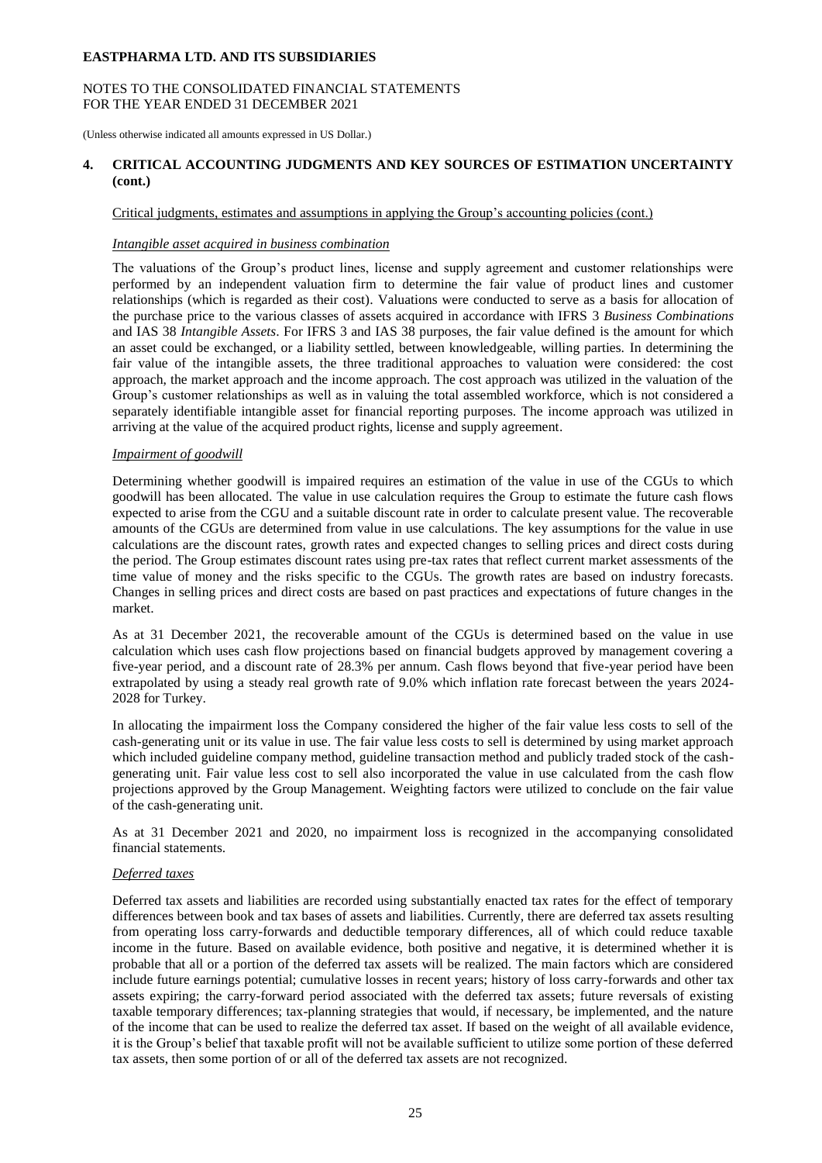## NOTES TO THE CONSOLIDATED FINANCIAL STATEMENTS FOR THE YEAR ENDED 31 DECEMBER 2021

(Unless otherwise indicated all amounts expressed in US Dollar.)

## **4. CRITICAL ACCOUNTING JUDGMENTS AND KEY SOURCES OF ESTIMATION UNCERTAINTY (cont.)**

## Critical judgments, estimates and assumptions in applying the Group's accounting policies (cont.)

#### *Intangible asset acquired in business combination*

The valuations of the Group's product lines, license and supply agreement and customer relationships were performed by an independent valuation firm to determine the fair value of product lines and customer relationships (which is regarded as their cost). Valuations were conducted to serve as a basis for allocation of the purchase price to the various classes of assets acquired in accordance with IFRS 3 *Business Combinations* and IAS 38 *Intangible Assets*. For IFRS 3 and IAS 38 purposes, the fair value defined is the amount for which an asset could be exchanged, or a liability settled, between knowledgeable, willing parties. In determining the fair value of the intangible assets, the three traditional approaches to valuation were considered: the cost approach, the market approach and the income approach. The cost approach was utilized in the valuation of the Group's customer relationships as well as in valuing the total assembled workforce, which is not considered a separately identifiable intangible asset for financial reporting purposes. The income approach was utilized in arriving at the value of the acquired product rights, license and supply agreement.

## *Impairment of goodwill*

Determining whether goodwill is impaired requires an estimation of the value in use of the CGUs to which goodwill has been allocated. The value in use calculation requires the Group to estimate the future cash flows expected to arise from the CGU and a suitable discount rate in order to calculate present value. The recoverable amounts of the CGUs are determined from value in use calculations. The key assumptions for the value in use calculations are the discount rates, growth rates and expected changes to selling prices and direct costs during the period. The Group estimates discount rates using pre-tax rates that reflect current market assessments of the time value of money and the risks specific to the CGUs. The growth rates are based on industry forecasts. Changes in selling prices and direct costs are based on past practices and expectations of future changes in the market.

As at 31 December 2021, the recoverable amount of the CGUs is determined based on the value in use calculation which uses cash flow projections based on financial budgets approved by management covering a five-year period, and a discount rate of 28.3% per annum. Cash flows beyond that five-year period have been extrapolated by using a steady real growth rate of 9.0% which inflation rate forecast between the years 2024- 2028 for Turkey.

In allocating the impairment loss the Company considered the higher of the fair value less costs to sell of the cash-generating unit or its value in use. The fair value less costs to sell is determined by using market approach which included guideline company method, guideline transaction method and publicly traded stock of the cashgenerating unit. Fair value less cost to sell also incorporated the value in use calculated from the cash flow projections approved by the Group Management. Weighting factors were utilized to conclude on the fair value of the cash-generating unit.

As at 31 December 2021 and 2020, no impairment loss is recognized in the accompanying consolidated financial statements.

## *Deferred taxes*

Deferred tax assets and liabilities are recorded using substantially enacted tax rates for the effect of temporary differences between book and tax bases of assets and liabilities. Currently, there are deferred tax assets resulting from operating loss carry-forwards and deductible temporary differences, all of which could reduce taxable income in the future. Based on available evidence, both positive and negative, it is determined whether it is probable that all or a portion of the deferred tax assets will be realized. The main factors which are considered include future earnings potential; cumulative losses in recent years; history of loss carry-forwards and other tax assets expiring; the carry-forward period associated with the deferred tax assets; future reversals of existing taxable temporary differences; tax-planning strategies that would, if necessary, be implemented, and the nature of the income that can be used to realize the deferred tax asset. If based on the weight of all available evidence, it is the Group's belief that taxable profit will not be available sufficient to utilize some portion of these deferred tax assets, then some portion of or all of the deferred tax assets are not recognized.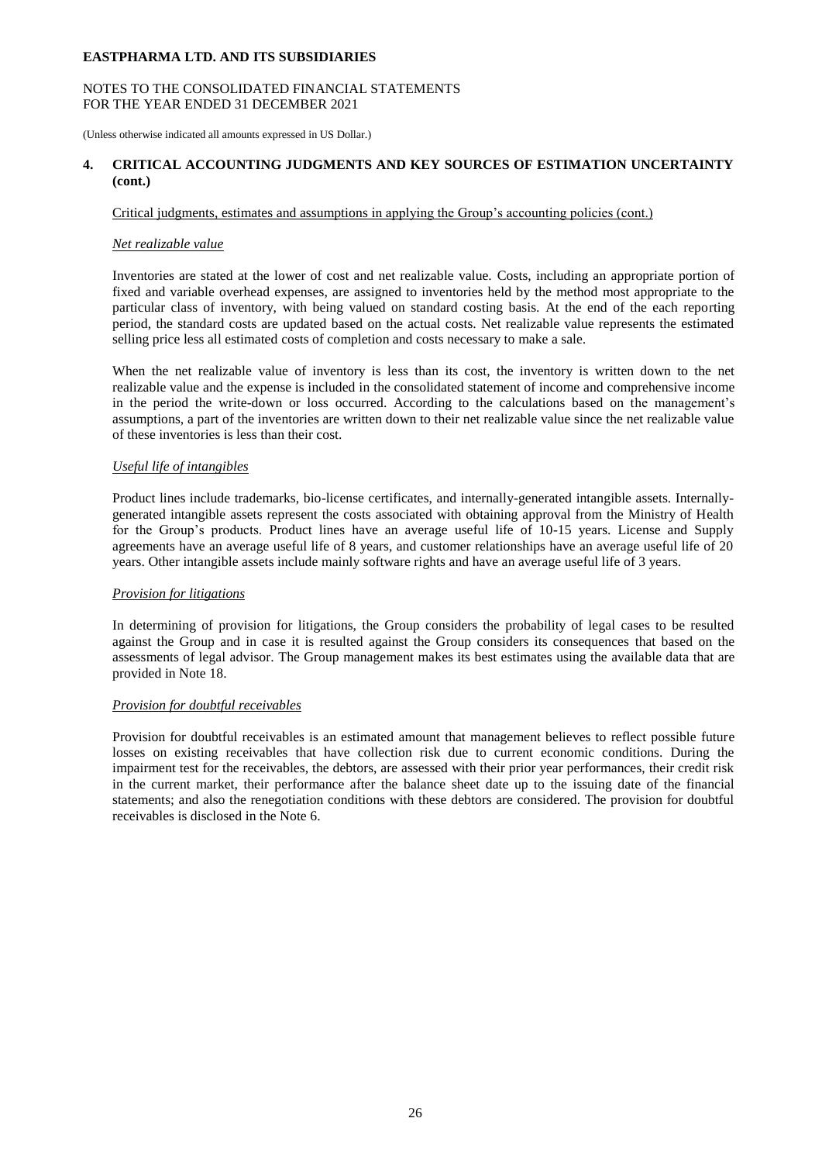## NOTES TO THE CONSOLIDATED FINANCIAL STATEMENTS FOR THE YEAR ENDED 31 DECEMBER 2021

(Unless otherwise indicated all amounts expressed in US Dollar.)

## **4. CRITICAL ACCOUNTING JUDGMENTS AND KEY SOURCES OF ESTIMATION UNCERTAINTY (cont.)**

## Critical judgments, estimates and assumptions in applying the Group's accounting policies (cont.)

## *Net realizable value*

Inventories are stated at the lower of cost and net realizable value. Costs, including an appropriate portion of fixed and variable overhead expenses, are assigned to inventories held by the method most appropriate to the particular class of inventory, with being valued on standard costing basis. At the end of the each reporting period, the standard costs are updated based on the actual costs. Net realizable value represents the estimated selling price less all estimated costs of completion and costs necessary to make a sale.

When the net realizable value of inventory is less than its cost, the inventory is written down to the net realizable value and the expense is included in the consolidated statement of income and comprehensive income in the period the write-down or loss occurred. According to the calculations based on the management's assumptions, a part of the inventories are written down to their net realizable value since the net realizable value of these inventories is less than their cost.

## *Useful life of intangibles*

Product lines include trademarks, bio-license certificates, and internally-generated intangible assets. Internallygenerated intangible assets represent the costs associated with obtaining approval from the Ministry of Health for the Group's products. Product lines have an average useful life of 10-15 years. License and Supply agreements have an average useful life of 8 years, and customer relationships have an average useful life of 20 years. Other intangible assets include mainly software rights and have an average useful life of 3 years.

#### *Provision for litigations*

In determining of provision for litigations, the Group considers the probability of legal cases to be resulted against the Group and in case it is resulted against the Group considers its consequences that based on the assessments of legal advisor. The Group management makes its best estimates using the available data that are provided in Note 18.

#### *Provision for doubtful receivables*

Provision for doubtful receivables is an estimated amount that management believes to reflect possible future losses on existing receivables that have collection risk due to current economic conditions. During the impairment test for the receivables, the debtors, are assessed with their prior year performances, their credit risk in the current market, their performance after the balance sheet date up to the issuing date of the financial statements; and also the renegotiation conditions with these debtors are considered. The provision for doubtful receivables is disclosed in the Note 6.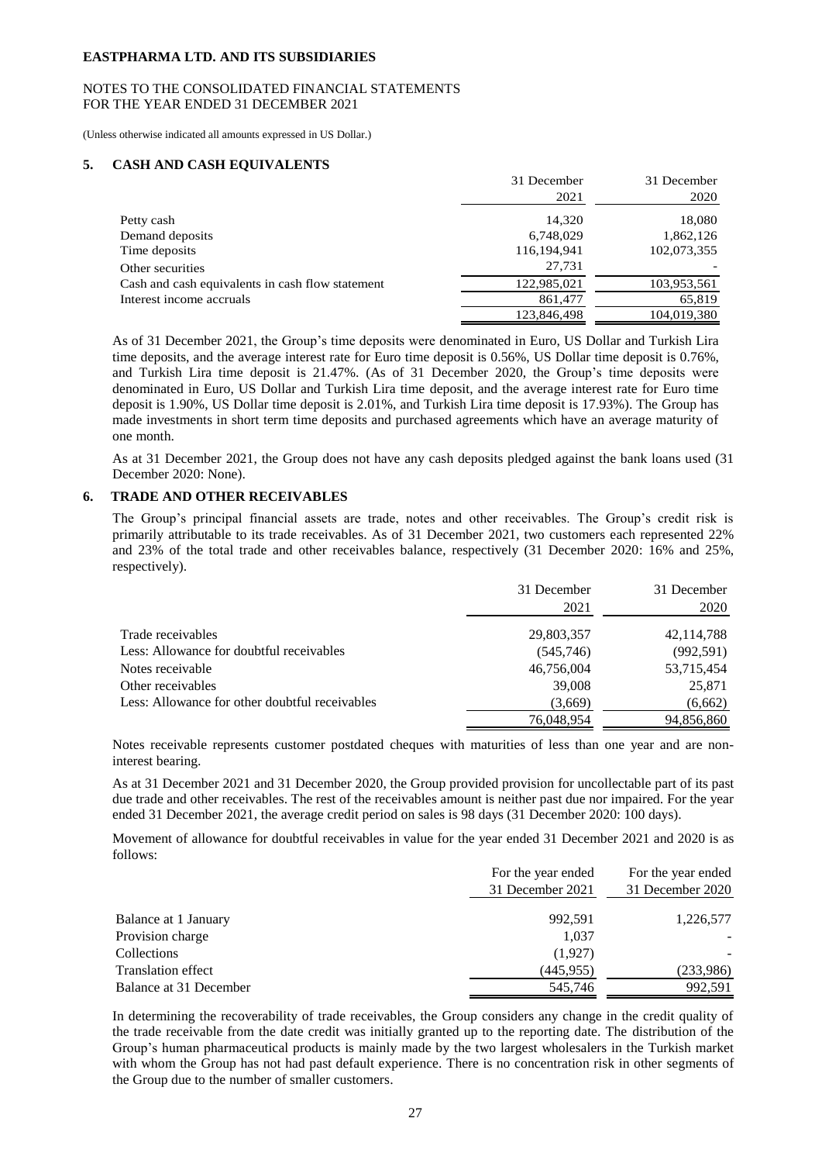#### NOTES TO THE CONSOLIDATED FINANCIAL STATEMENTS FOR THE YEAR ENDED 31 DECEMBER 2021

(Unless otherwise indicated all amounts expressed in US Dollar.)

#### **5. CASH AND CASH EQUIVALENTS**

|                                                  | 31 December | 31 December |
|--------------------------------------------------|-------------|-------------|
|                                                  | 2021        | 2020        |
| Petty cash                                       | 14,320      | 18,080      |
| Demand deposits                                  | 6,748,029   | 1,862,126   |
| Time deposits                                    | 116,194,941 | 102,073,355 |
| Other securities                                 | 27.731      |             |
| Cash and cash equivalents in cash flow statement | 122,985,021 | 103,953,561 |
| Interest income accruals                         | 861,477     | 65,819      |
|                                                  | 123,846,498 | 104,019,380 |

As of 31 December 2021, the Group's time deposits were denominated in Euro, US Dollar and Turkish Lira time deposits, and the average interest rate for Euro time deposit is 0.56%, US Dollar time deposit is 0.76%, and Turkish Lira time deposit is 21.47%. (As of 31 December 2020, the Group's time deposits were denominated in Euro, US Dollar and Turkish Lira time deposit, and the average interest rate for Euro time deposit is 1.90%, US Dollar time deposit is 2.01%, and Turkish Lira time deposit is 17.93%). The Group has made investments in short term time deposits and purchased agreements which have an average maturity of one month.

As at 31 December 2021, the Group does not have any cash deposits pledged against the bank loans used (31 December 2020: None).

## **6. TRADE AND OTHER RECEIVABLES**

The Group's principal financial assets are trade, notes and other receivables. The Group's credit risk is primarily attributable to its trade receivables. As of 31 December 2021, two customers each represented 22% and 23% of the total trade and other receivables balance, respectively (31 December 2020: 16% and 25%, respectively).

|                                                | 31 December<br>2021 | 31 December<br>2020 |
|------------------------------------------------|---------------------|---------------------|
| Trade receivables                              | 29,803,357          | 42, 114, 788        |
| Less: Allowance for doubtful receivables       | (545,746)           | (992, 591)          |
| Notes receivable                               | 46,756,004          | 53,715,454          |
| Other receivables                              | 39,008              | 25,871              |
| Less: Allowance for other doubtful receivables | (3,669)             | (6,662)             |
|                                                | 76,048,954          | 94,856,860          |

Notes receivable represents customer postdated cheques with maturities of less than one year and are noninterest bearing.

As at 31 December 2021 and 31 December 2020, the Group provided provision for uncollectable part of its past due trade and other receivables. The rest of the receivables amount is neither past due nor impaired. For the year ended 31 December 2021, the average credit period on sales is 98 days (31 December 2020: 100 days).

Movement of allowance for doubtful receivables in value for the year ended 31 December 2021 and 2020 is as follows:

|                           | For the year ended | For the year ended |
|---------------------------|--------------------|--------------------|
|                           | 31 December 2021   | 31 December 2020   |
| Balance at 1 January      | 992.591            | 1,226,577          |
| Provision charge          | 1,037              |                    |
| Collections               | (1,927)            |                    |
| <b>Translation effect</b> | (445, 955)         | (233,986)          |
| Balance at 31 December    | 545,746            | 992.591            |

In determining the recoverability of trade receivables, the Group considers any change in the credit quality of the trade receivable from the date credit was initially granted up to the reporting date. The distribution of the Group's human pharmaceutical products is mainly made by the two largest wholesalers in the Turkish market with whom the Group has not had past default experience. There is no concentration risk in other segments of the Group due to the number of smaller customers.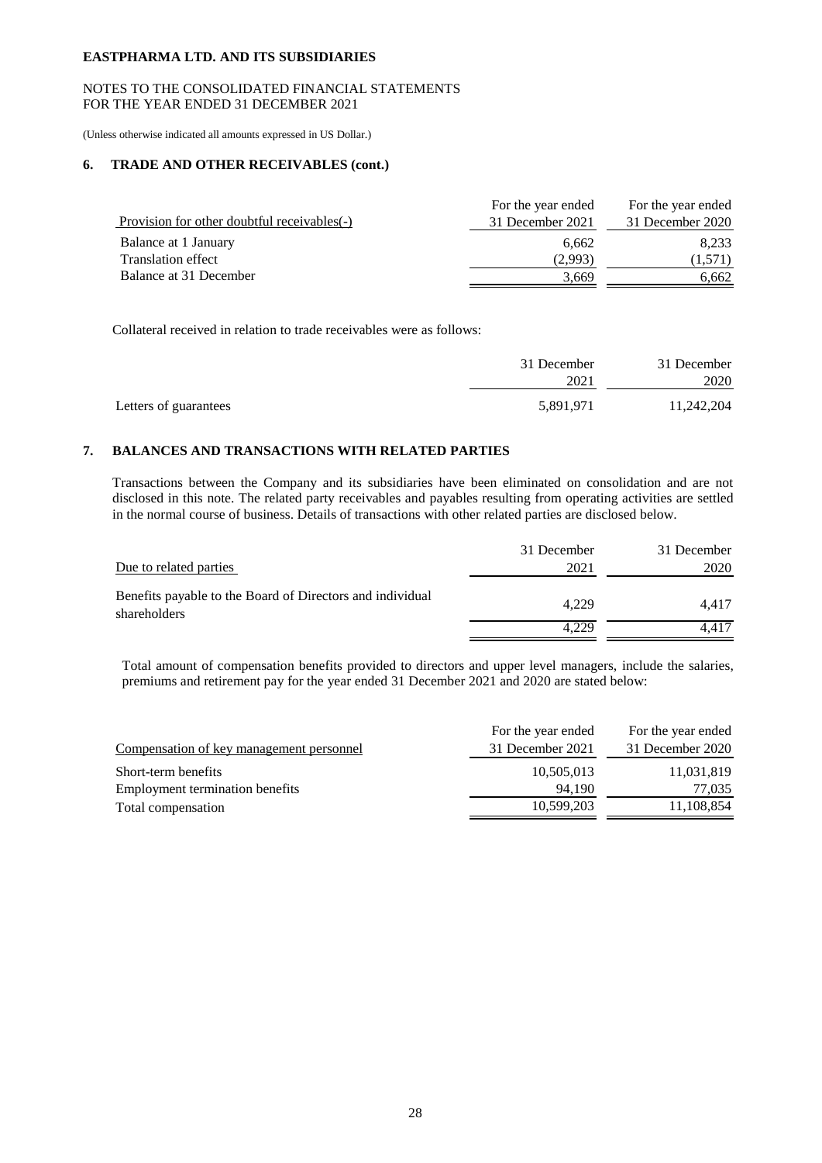## NOTES TO THE CONSOLIDATED FINANCIAL STATEMENTS FOR THE YEAR ENDED 31 DECEMBER 2021

(Unless otherwise indicated all amounts expressed in US Dollar.)

## **6. TRADE AND OTHER RECEIVABLES (cont.)**

|                                             | For the year ended | For the year ended |
|---------------------------------------------|--------------------|--------------------|
| Provision for other doubtful receivables(-) | 31 December 2021   | 31 December 2020   |
| Balance at 1 January                        | 6.662              | 8.233              |
| <b>Translation effect</b>                   | (2.993)            | (1,571)            |
| Balance at 31 December                      | 3.669              | 6.662              |

Collateral received in relation to trade receivables were as follows:

|                       | 31 December | 31 December |
|-----------------------|-------------|-------------|
|                       | 2021        | 2020        |
| Letters of guarantees | 5,891,971   | 11,242,204  |

# **7. BALANCES AND TRANSACTIONS WITH RELATED PARTIES**

Transactions between the Company and its subsidiaries have been eliminated on consolidation and are not disclosed in this note. The related party receivables and payables resulting from operating activities are settled in the normal course of business. Details of transactions with other related parties are disclosed below.

|                                                                           | 31 December | 31 December |
|---------------------------------------------------------------------------|-------------|-------------|
| Due to related parties                                                    | 2021        | 2020        |
| Benefits payable to the Board of Directors and individual<br>shareholders | 4.229       | 4.417       |
|                                                                           | 4.229       | 4.417       |

Total amount of compensation benefits provided to directors and upper level managers, include the salaries, premiums and retirement pay for the year ended 31 December 2021 and 2020 are stated below:

|                                          | For the year ended | For the year ended |
|------------------------------------------|--------------------|--------------------|
| Compensation of key management personnel | 31 December 2021   | 31 December 2020   |
| Short-term benefits                      | 10,505,013         | 11,031,819         |
| Employment termination benefits          | 94.190             | 77.035             |
| Total compensation                       | 10,599,203         | 11,108,854         |
|                                          |                    |                    |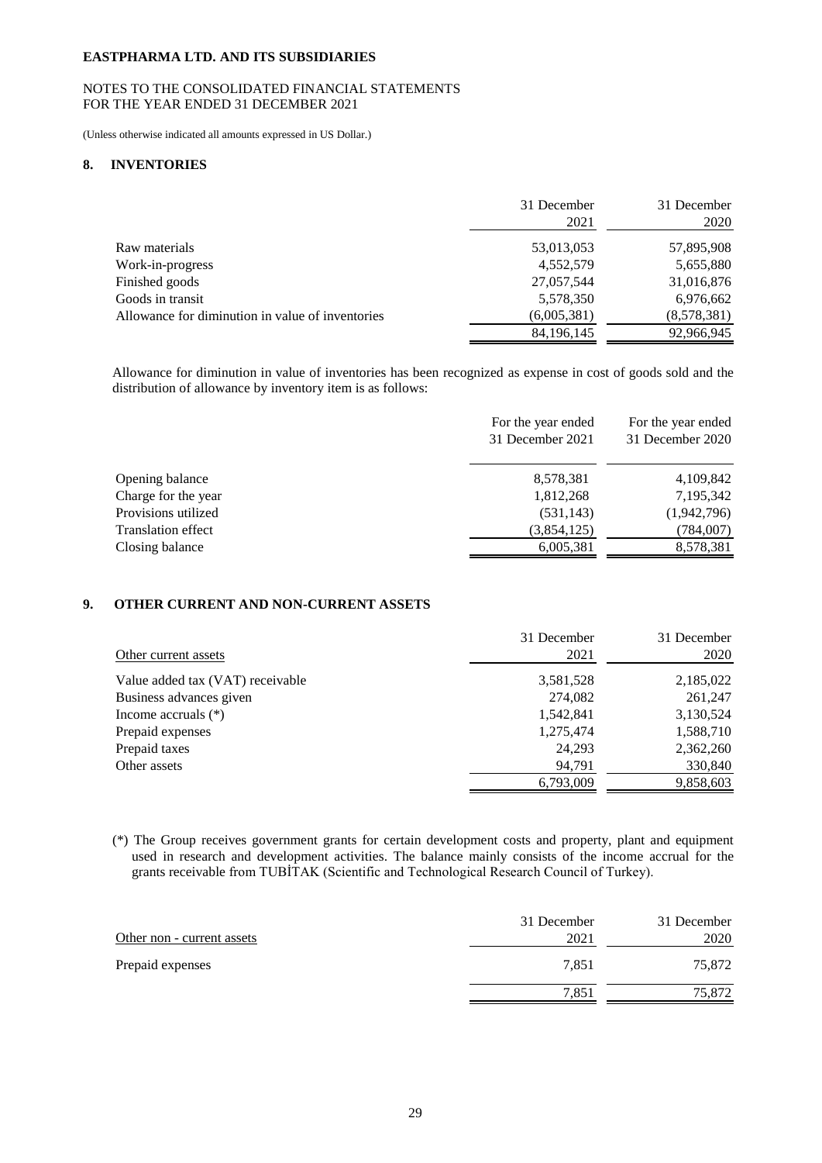## NOTES TO THE CONSOLIDATED FINANCIAL STATEMENTS FOR THE YEAR ENDED 31 DECEMBER 2021

(Unless otherwise indicated all amounts expressed in US Dollar.)

#### **8. INVENTORIES**

|                                                  | 31 December<br>2021 | 31 December<br>2020 |
|--------------------------------------------------|---------------------|---------------------|
| Raw materials                                    | 53,013,053          | 57,895,908          |
| Work-in-progress                                 | 4,552,579           | 5,655,880           |
| Finished goods                                   | 27,057,544          | 31,016,876          |
| Goods in transit                                 | 5,578,350           | 6,976,662           |
| Allowance for diminution in value of inventories | (6,005,381)         | (8,578,381)         |
|                                                  | 84, 196, 145        | 92,966,945          |

Allowance for diminution in value of inventories has been recognized as expense in cost of goods sold and the distribution of allowance by inventory item is as follows:

| 31 December 2020<br>31 December 2021                  |  |
|-------------------------------------------------------|--|
| 8,578,381<br>4,109,842<br>Opening balance             |  |
| 7,195,342<br>Charge for the year<br>1,812,268         |  |
| Provisions utilized<br>(1,942,796)<br>(531, 143)      |  |
| (3,854,125)<br>(784,007)<br><b>Translation effect</b> |  |
| Closing balance<br>8,578,381<br>6,005,381             |  |

# **9. OTHER CURRENT AND NON-CURRENT ASSETS**

| Other current assets             | 31 December<br>2021 | 31 December<br>2020 |
|----------------------------------|---------------------|---------------------|
| Value added tax (VAT) receivable | 3,581,528           | 2,185,022           |
| Business advances given          | 274,082             | 261,247             |
| Income accruals $(*)$            | 1,542,841           | 3,130,524           |
| Prepaid expenses                 | 1,275,474           | 1,588,710           |
| Prepaid taxes                    | 24,293              | 2,362,260           |
| Other assets                     | 94,791              | 330,840             |
|                                  | 6,793,009           | 9,858,603           |

(\*) The Group receives government grants for certain development costs and property, plant and equipment used in research and development activities. The balance mainly consists of the income accrual for the grants receivable from TUBİTAK (Scientific and Technological Research Council of Turkey).

|                            | 31 December | 31 December |
|----------------------------|-------------|-------------|
| Other non - current assets | 2021        | 2020        |
| Prepaid expenses           | 7.851       | 75,872      |
|                            | 7,851       | 75,872      |
|                            |             |             |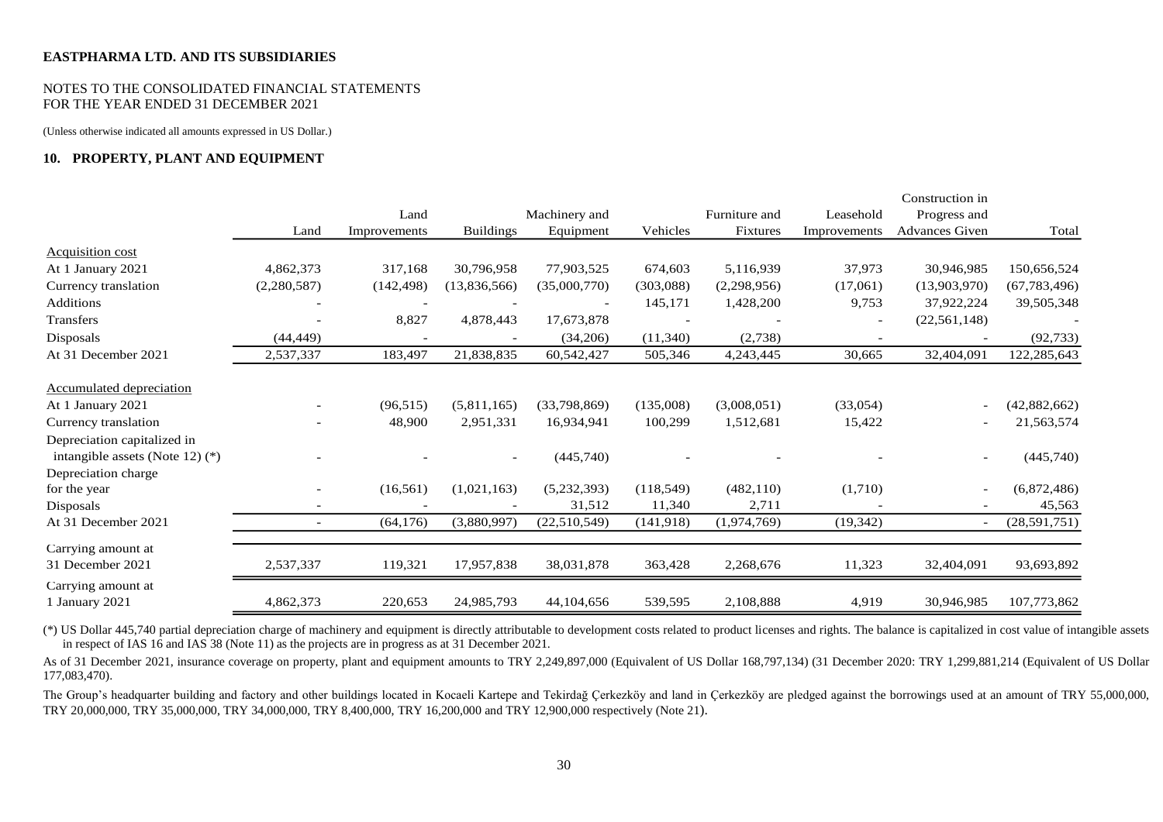#### NOTES TO THE CONSOLIDATED FINANCIAL STATEMENTS FOR THE YEAR ENDED 31 DECEMBER 2021

(Unless otherwise indicated all amounts expressed in US Dollar.)

## **10. PROPERTY, PLANT AND EQUIPMENT**

|                                      |             |              |                  |               |            |               |              | Construction in          |                |
|--------------------------------------|-------------|--------------|------------------|---------------|------------|---------------|--------------|--------------------------|----------------|
|                                      |             | Land         |                  | Machinery and |            | Furniture and | Leasehold    | Progress and             |                |
|                                      | Land        | Improvements | <b>Buildings</b> | Equipment     | Vehicles   | Fixtures      | Improvements | <b>Advances Given</b>    | Total          |
| <b>Acquisition cost</b>              |             |              |                  |               |            |               |              |                          |                |
| At 1 January 2021                    | 4,862,373   | 317,168      | 30,796,958       | 77,903,525    | 674,603    | 5,116,939     | 37,973       | 30,946,985               | 150,656,524    |
| Currency translation                 | (2,280,587) | (142, 498)   | (13,836,566)     | (35,000,770)  | (303,088)  | (2,298,956)   | (17,061)     | (13,903,970)             | (67, 783, 496) |
| <b>Additions</b>                     |             |              |                  |               | 145,171    | 1,428,200     | 9,753        | 37,922,224               | 39,505,348     |
| <b>Transfers</b>                     |             | 8,827        | 4,878,443        | 17,673,878    |            |               |              | (22, 561, 148)           |                |
| Disposals                            | (44, 449)   |              |                  | (34,206)      | (11,340)   | (2,738)       |              |                          | (92, 733)      |
| At 31 December 2021                  | 2,537,337   | 183,497      | 21,838,835       | 60,542,427    | 505,346    | 4,243,445     | 30,665       | 32,404,091               | 122,285,643    |
| <b>Accumulated depreciation</b>      |             |              |                  |               |            |               |              |                          |                |
| At 1 January 2021                    |             | (96, 515)    | (5,811,165)      | (33,798,869)  | (135,008)  | (3,008,051)   | (33,054)     | $\overline{\phantom{a}}$ | (42,882,662)   |
| Currency translation                 |             | 48,900       | 2,951,331        | 16,934,941    | 100,299    | 1,512,681     | 15,422       |                          | 21,563,574     |
| Depreciation capitalized in          |             |              |                  |               |            |               |              |                          |                |
| intangible assets (Note 12) $(*)$    |             |              |                  | (445,740)     |            |               |              |                          | (445,740)      |
| Depreciation charge                  |             |              |                  |               |            |               |              |                          |                |
| for the year                         |             | (16, 561)    | (1,021,163)      | (5,232,393)   | (118, 549) | (482, 110)    | (1,710)      | $\overline{\phantom{a}}$ | (6,872,486)    |
| Disposals                            |             |              |                  | 31,512        | 11,340     | 2,711         |              |                          | 45,563         |
| At 31 December 2021                  |             | (64, 176)    | (3,880,997)      | (22,510,549)  | (141, 918) | (1,974,769)   | (19, 342)    |                          | (28,591,751)   |
| Carrying amount at                   |             |              |                  |               |            |               |              |                          |                |
| 31 December 2021                     | 2,537,337   | 119,321      | 17,957,838       | 38,031,878    | 363,428    | 2,268,676     | 11,323       | 32,404,091               | 93,693,892     |
| Carrying amount at<br>1 January 2021 | 4,862,373   | 220,653      | 24,985,793       | 44,104,656    | 539,595    | 2,108,888     | 4,919        | 30,946,985               | 107,773,862    |
|                                      |             |              |                  |               |            |               |              |                          |                |

(\*) US Dollar 445,740 partial depreciation charge of machinery and equipment is directly attributable to development costs related to product licenses and rights. The balance is capitalized in cost value of intangible assets in respect of IAS 16 and IAS 38 (Note 11) as the projects are in progress as at 31 December 2021.

As of 31 December 2021, insurance coverage on property, plant and equipment amounts to TRY 2,249,897,000 (Equivalent of US Dollar 168,797,134) (31 December 2020: TRY 1,299,881,214 (Equivalent of US Dollar 177,083,470).

The Group's headquarter building and factory and other buildings located in Kocaeli Kartepe and Tekirdağ Çerkezköy and land in Çerkezköy are pledged against the borrowings used at an amount of TRY 55,000,000, TRY 20,000,000, TRY 35,000,000, TRY 34,000,000, TRY 8,400,000, TRY 16,200,000 and TRY 12,900,000 respectively (Note 21).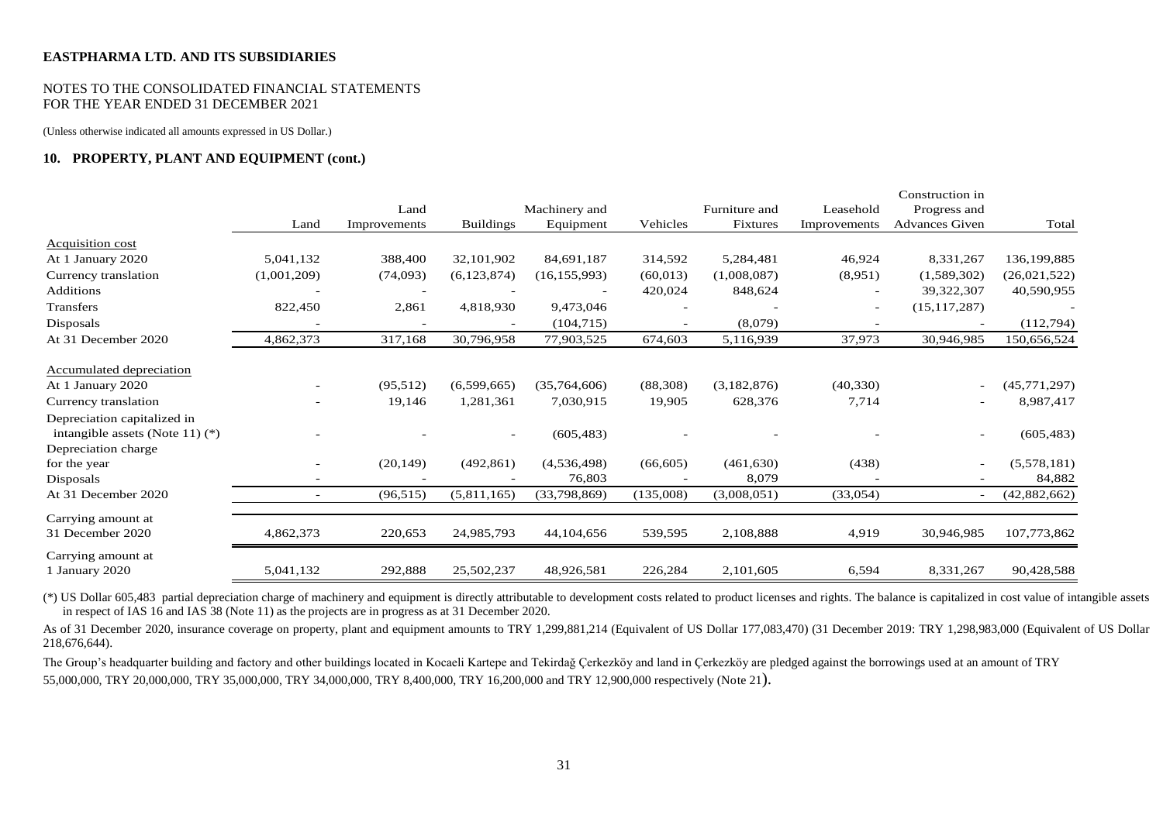## NOTES TO THE CONSOLIDATED FINANCIAL STATEMENTS FOR THE YEAR ENDED 31 DECEMBER 2021

(Unless otherwise indicated all amounts expressed in US Dollar.)

## **10. PROPERTY, PLANT AND EQUIPMENT (cont.)**

|                                   |                          |              |                  |                |           |               |              | Construction in          |              |
|-----------------------------------|--------------------------|--------------|------------------|----------------|-----------|---------------|--------------|--------------------------|--------------|
|                                   |                          | Land         |                  | Machinery and  |           | Furniture and | Leasehold    | Progress and             |              |
|                                   | Land                     | Improvements | <b>Buildings</b> | Equipment      | Vehicles  | Fixtures      | Improvements | <b>Advances Given</b>    | Total        |
| <b>Acquisition cost</b>           |                          |              |                  |                |           |               |              |                          |              |
| At 1 January 2020                 | 5,041,132                | 388,400      | 32,101,902       | 84,691,187     | 314,592   | 5,284,481     | 46,924       | 8,331,267                | 136,199,885  |
| Currency translation              | (1,001,209)              | (74,093)     | (6,123,874)      | (16, 155, 993) | (60, 013) | (1,008,087)   | (8,951)      | (1,589,302)              | (26,021,522) |
| <b>Additions</b>                  |                          |              |                  |                | 420,024   | 848,624       |              | 39,322,307               | 40,590,955   |
| Transfers                         | 822,450                  | 2,861        | 4,818,930        | 9,473,046      |           |               |              | (15, 117, 287)           |              |
| Disposals                         |                          |              |                  | (104, 715)     |           | (8,079)       |              |                          | (112,794)    |
| At 31 December 2020               | 4,862,373                | 317,168      | 30,796,958       | 77,903,525     | 674,603   | 5,116,939     | 37,973       | 30,946,985               | 150,656,524  |
| Accumulated depreciation          |                          |              |                  |                |           |               |              |                          |              |
| At 1 January 2020                 |                          | (95,512)     | (6,599,665)      | (35,764,606)   | (88,308)  | (3,182,876)   | (40, 330)    | $\overline{\phantom{0}}$ | (45,771,297) |
| Currency translation              |                          | 19,146       | 1,281,361        | 7,030,915      | 19,905    | 628,376       | 7,714        | ٠                        | 8,987,417    |
| Depreciation capitalized in       |                          |              |                  |                |           |               |              |                          |              |
| intangible assets (Note 11) $(*)$ |                          |              |                  | (605, 483)     |           |               |              | ٠                        | (605, 483)   |
| Depreciation charge               |                          |              |                  |                |           |               |              |                          |              |
| for the year                      |                          | (20, 149)    | (492, 861)       | (4,536,498)    | (66, 605) | (461, 630)    | (438)        | $\overline{a}$           | (5,578,181)  |
| Disposals                         |                          |              |                  | 76,803         |           | 8,079         |              |                          | 84,882       |
| At 31 December 2020               | $\overline{\phantom{a}}$ | (96, 515)    | (5,811,165)      | (33, 798, 869) | (135,008) | (3,008,051)   | (33,054)     | $\overline{\phantom{a}}$ | (42,882,662) |
| Carrying amount at                |                          |              |                  |                |           |               |              |                          |              |
| 31 December 2020                  | 4,862,373                | 220,653      | 24,985,793       | 44,104,656     | 539,595   | 2,108,888     | 4,919        | 30,946,985               | 107,773,862  |
| Carrying amount at                |                          |              |                  |                |           |               |              |                          |              |
| 1 January 2020                    | 5,041,132                | 292,888      | 25,502,237       | 48,926,581     | 226,284   | 2,101,605     | 6,594        | 8,331,267                | 90,428,588   |

(\*) US Dollar 605,483 partial depreciation charge of machinery and equipment is directly attributable to development costs related to product licenses and rights. The balance is capitalized in cost value of intangible assets in respect of IAS 16 and IAS 38 (Note 11) as the projects are in progress as at 31 December 2020.

As of 31 December 2020, insurance coverage on property, plant and equipment amounts to TRY 1,299,881,214 (Equivalent of US Dollar 177,083,470) (31 December 2019: TRY 1,298,983,000 (Equivalent of US Dollar 218,676,644).

The Group's headquarter building and factory and other buildings located in Kocaeli Kartepe and Tekirdağ Çerkezköy and land in Çerkezköy are pledged against the borrowings used at an amount of TRY 55,000,000, TRY 20,000,000, TRY 35,000,000, TRY 34,000,000, TRY 8,400,000, TRY 16,200,000 and TRY 12,900,000 respectively (Note 21).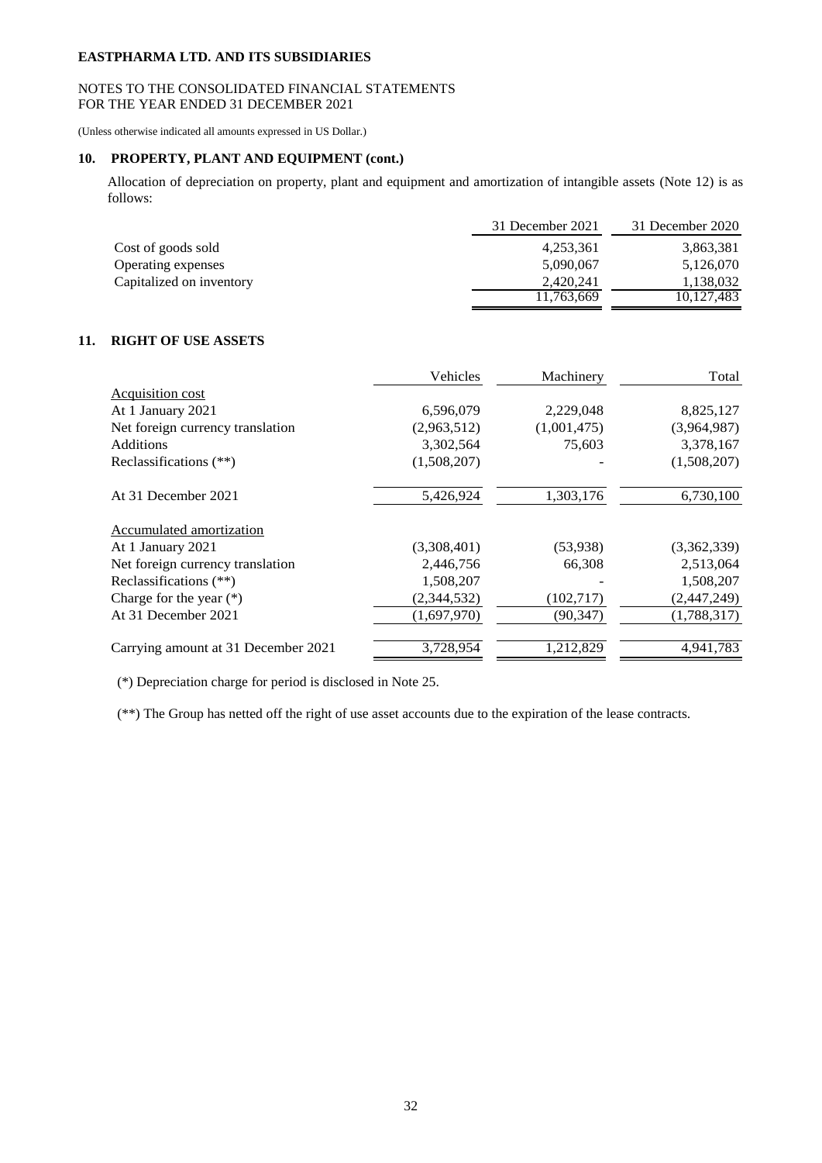## NOTES TO THE CONSOLIDATED FINANCIAL STATEMENTS FOR THE YEAR ENDED 31 DECEMBER 2021

(Unless otherwise indicated all amounts expressed in US Dollar.)

# **10. PROPERTY, PLANT AND EQUIPMENT (cont.)**

Allocation of depreciation on property, plant and equipment and amortization of intangible assets (Note 12) is as follows:

|                          | 31 December 2021 | 31 December 2020 |
|--------------------------|------------------|------------------|
| Cost of goods sold       | 4,253,361        | 3,863,381        |
| Operating expenses       | 5,090,067        | 5,126,070        |
| Capitalized on inventory | 2,420,241        | 1,138,032        |
|                          | 11,763,669       | 10,127,483       |

# **11. RIGHT OF USE ASSETS**

|                                     | Vehicles    | Machinery   | Total       |
|-------------------------------------|-------------|-------------|-------------|
| <b>Acquisition cost</b>             |             |             |             |
| At 1 January 2021                   | 6,596,079   | 2,229,048   | 8,825,127   |
| Net foreign currency translation    | (2,963,512) | (1,001,475) | (3,964,987) |
| <b>Additions</b>                    | 3,302,564   | 75,603      | 3,378,167   |
| Reclassifications (**)              | (1,508,207) |             | (1,508,207) |
| At 31 December 2021                 | 5,426,924   | 1,303,176   | 6,730,100   |
| Accumulated amortization            |             |             |             |
| At 1 January 2021                   | (3,308,401) | (53,938)    | (3,362,339) |
| Net foreign currency translation    | 2,446,756   | 66,308      | 2,513,064   |
| Reclassifications $(**)$            | 1,508,207   |             | 1,508,207   |
| Charge for the year $(*)$           | (2,344,532) | (102,717)   | (2,447,249) |
| At 31 December 2021                 | (1,697,970) | (90, 347)   | (1,788,317) |
| Carrying amount at 31 December 2021 | 3,728,954   | 1,212,829   | 4,941,783   |

(\*) Depreciation charge for period is disclosed in Note 25.

(\*\*) The Group has netted off the right of use asset accounts due to the expiration of the lease contracts.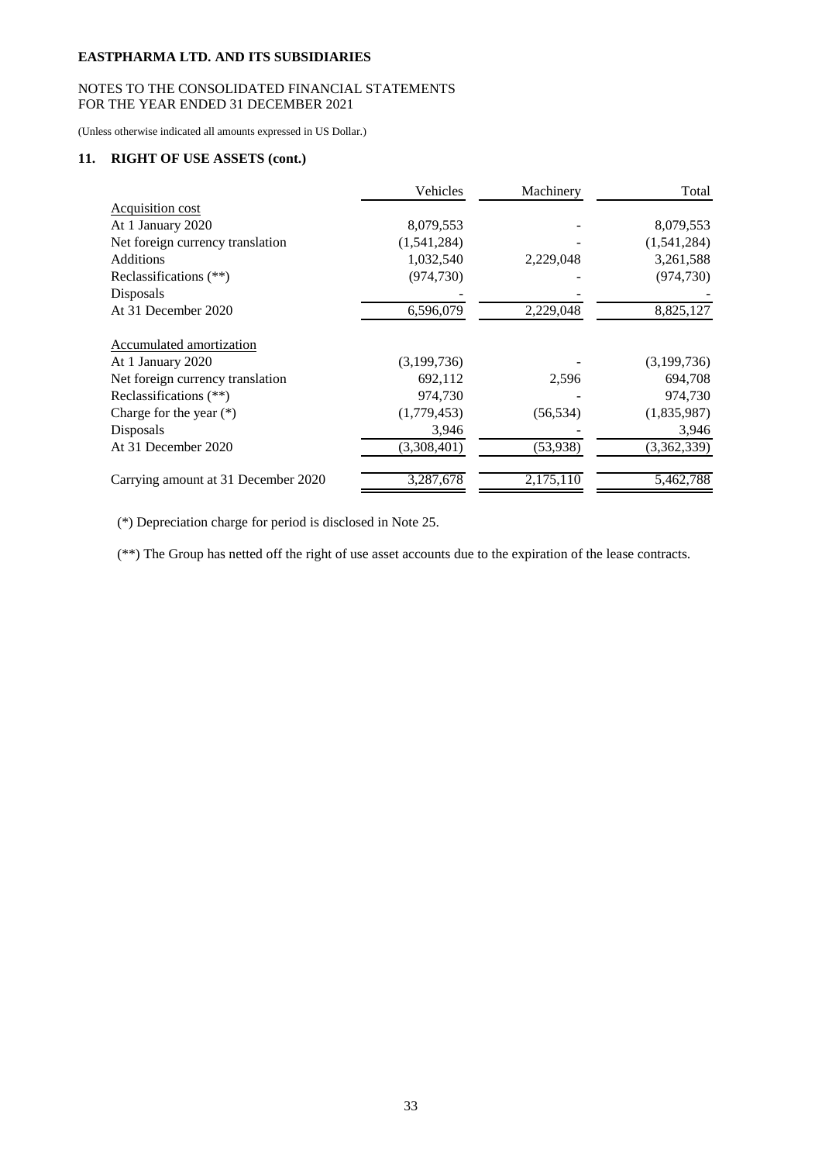# NOTES TO THE CONSOLIDATED FINANCIAL STATEMENTS FOR THE YEAR ENDED 31 DECEMBER 2021

(Unless otherwise indicated all amounts expressed in US Dollar.)

# **11. RIGHT OF USE ASSETS (cont.)**

|                                     | Vehicles    | Machinery | Total       |
|-------------------------------------|-------------|-----------|-------------|
| <b>Acquisition cost</b>             |             |           |             |
| At 1 January 2020                   | 8,079,553   |           | 8,079,553   |
| Net foreign currency translation    | (1,541,284) |           | (1,541,284) |
| <b>Additions</b>                    | 1,032,540   | 2,229,048 | 3,261,588   |
| Reclassifications (**)              | (974, 730)  |           | (974, 730)  |
| Disposals                           |             |           |             |
| At 31 December 2020                 | 6,596,079   | 2,229,048 | 8,825,127   |
| <b>Accumulated amortization</b>     |             |           |             |
| At 1 January 2020                   | (3,199,736) |           | (3,199,736) |
| Net foreign currency translation    | 692,112     | 2,596     | 694,708     |
| Reclassifications (**)              | 974,730     |           | 974,730     |
| Charge for the year $(*)$           | (1,779,453) | (56, 534) | (1,835,987) |
| Disposals                           | 3,946       |           | 3,946       |
| At 31 December 2020                 | (3,308,401) | (53,938)  | (3,362,339) |
| Carrying amount at 31 December 2020 | 3,287,678   | 2,175,110 | 5,462,788   |

(\*) Depreciation charge for period is disclosed in Note 25.

(\*\*) The Group has netted off the right of use asset accounts due to the expiration of the lease contracts.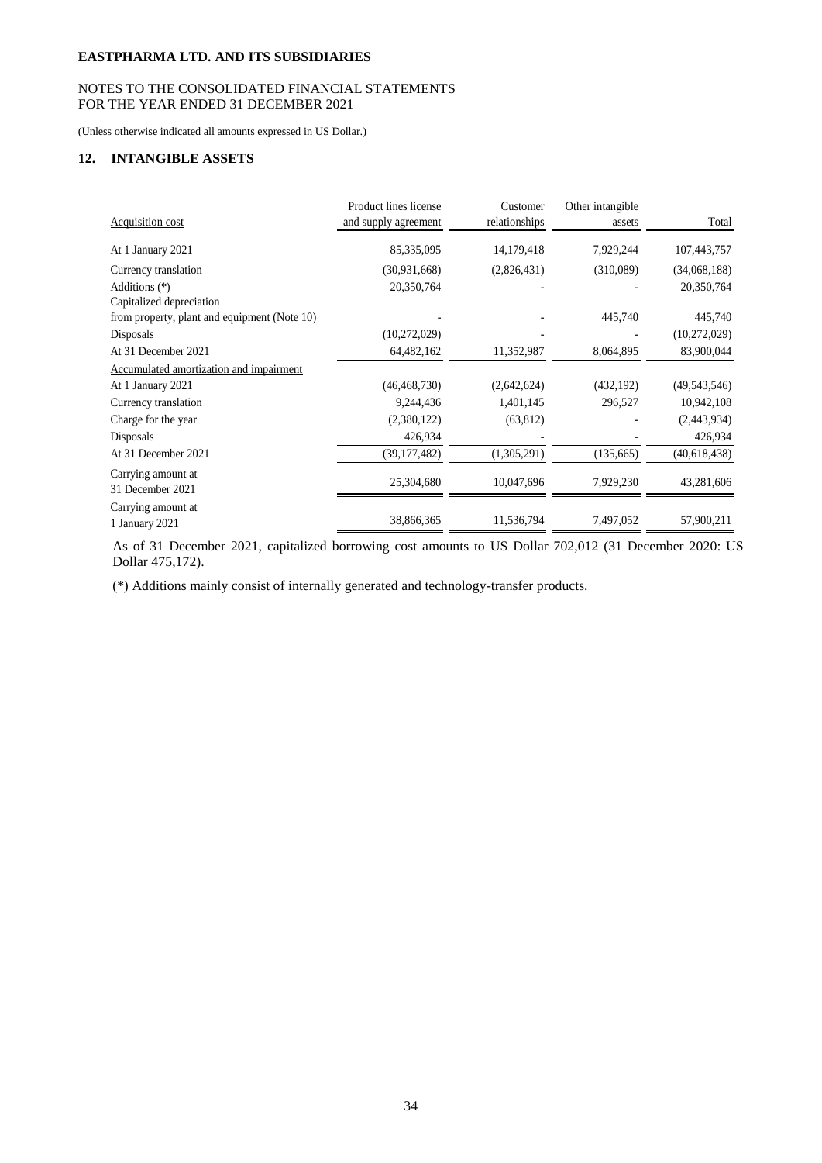# NOTES TO THE CONSOLIDATED FINANCIAL STATEMENTS FOR THE YEAR ENDED 31 DECEMBER 2021

(Unless otherwise indicated all amounts expressed in US Dollar.)

# **12. INTANGIBLE ASSETS**

|                                              | Product lines license | Customer      | Other intangible |                |
|----------------------------------------------|-----------------------|---------------|------------------|----------------|
| Acquisition cost                             | and supply agreement  | relationships | assets           | Total          |
| At 1 January 2021                            | 85,335,095            | 14,179,418    | 7,929,244        | 107,443,757    |
| Currency translation                         | (30, 931, 668)        | (2,826,431)   | (310,089)        | (34,068,188)   |
| Additions (*)                                | 20,350,764            |               |                  | 20,350,764     |
| Capitalized depreciation                     |                       |               |                  |                |
| from property, plant and equipment (Note 10) |                       |               | 445,740          | 445,740        |
| Disposals                                    | (10, 272, 029)        |               |                  | (10, 272, 029) |
| At 31 December 2021                          | 64,482,162            | 11,352,987    | 8,064,895        | 83,900,044     |
| Accumulated amortization and impairment      |                       |               |                  |                |
| At 1 January 2021                            | (46, 468, 730)        | (2,642,624)   | (432, 192)       | (49, 543, 546) |
| Currency translation                         | 9,244,436             | 1,401,145     | 296,527          | 10,942,108     |
| Charge for the year                          | (2,380,122)           | (63, 812)     |                  | (2,443,934)    |
| Disposals                                    | 426,934               |               |                  | 426,934        |
| At 31 December 2021                          | (39, 177, 482)        | (1,305,291)   | (135,665)        | (40, 618, 438) |
| Carrying amount at<br>31 December 2021       | 25,304,680            | 10,047,696    | 7,929,230        | 43,281,606     |
| Carrying amount at<br>1 January 2021         | 38,866,365            | 11,536,794    | 7,497,052        | 57,900,211     |

As of 31 December 2021, capitalized borrowing cost amounts to US Dollar 702,012 (31 December 2020: US Dollar 475,172).

(\*) Additions mainly consist of internally generated and technology-transfer products.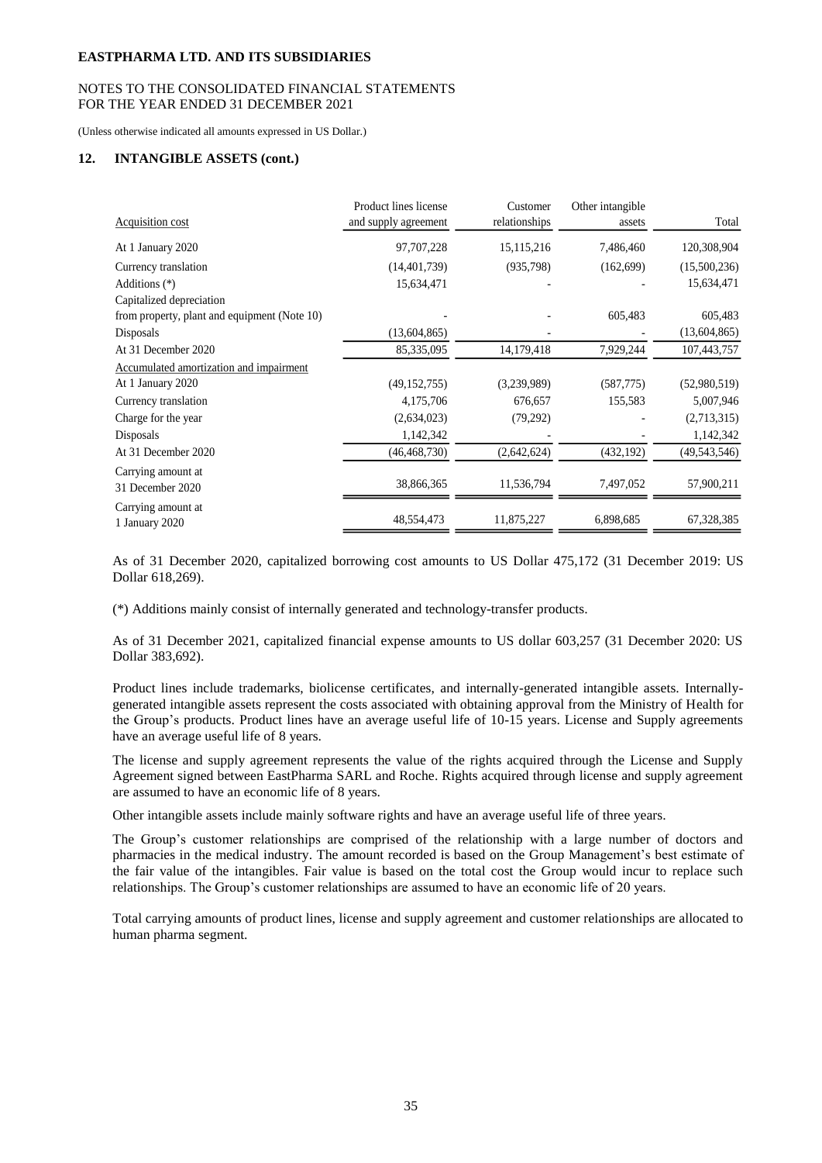## NOTES TO THE CONSOLIDATED FINANCIAL STATEMENTS FOR THE YEAR ENDED 31 DECEMBER 2021

(Unless otherwise indicated all amounts expressed in US Dollar.)

## **12. INTANGIBLE ASSETS (cont.)**

|                                              | Product lines license | Customer      | Other intangible |                |
|----------------------------------------------|-----------------------|---------------|------------------|----------------|
| Acquisition cost                             | and supply agreement  | relationships | assets           | Total          |
| At 1 January 2020                            | 97,707,228            | 15,115,216    | 7,486,460        | 120,308,904    |
| Currency translation                         | (14, 401, 739)        | (935, 798)    | (162,699)        | (15,500,236)   |
| Additions (*)                                | 15,634,471            |               |                  | 15,634,471     |
| Capitalized depreciation                     |                       |               |                  |                |
| from property, plant and equipment (Note 10) |                       |               | 605,483          | 605,483        |
| Disposals                                    | (13,604,865)          |               |                  | (13,604,865)   |
| At 31 December 2020                          | 85,335,095            | 14,179,418    | 7,929,244        | 107,443,757    |
| Accumulated amortization and impairment      |                       |               |                  |                |
| At 1 January 2020                            | (49, 152, 755)        | (3,239,989)   | (587,775)        | (52,980,519)   |
| Currency translation                         | 4,175,706             | 676,657       | 155,583          | 5,007,946      |
| Charge for the year                          | (2,634,023)           | (79,292)      |                  | (2,713,315)    |
| Disposals                                    | 1,142,342             |               |                  | 1,142,342      |
| At 31 December 2020                          | (46, 468, 730)        | (2,642,624)   | (432, 192)       | (49, 543, 546) |
| Carrying amount at<br>31 December 2020       | 38,866,365            | 11,536,794    | 7,497,052        | 57,900,211     |
| Carrying amount at                           |                       |               |                  |                |
| 1 January 2020                               | 48,554,473            | 11,875,227    | 6,898,685        | 67,328,385     |

As of 31 December 2020, capitalized borrowing cost amounts to US Dollar 475,172 (31 December 2019: US Dollar 618,269).

(\*) Additions mainly consist of internally generated and technology-transfer products.

As of 31 December 2021, capitalized financial expense amounts to US dollar 603,257 (31 December 2020: US Dollar 383,692).

Product lines include trademarks, biolicense certificates, and internally-generated intangible assets. Internallygenerated intangible assets represent the costs associated with obtaining approval from the Ministry of Health for the Group's products. Product lines have an average useful life of 10-15 years. License and Supply agreements have an average useful life of 8 years.

The license and supply agreement represents the value of the rights acquired through the License and Supply Agreement signed between EastPharma SARL and Roche. Rights acquired through license and supply agreement are assumed to have an economic life of 8 years.

Other intangible assets include mainly software rights and have an average useful life of three years.

The Group's customer relationships are comprised of the relationship with a large number of doctors and pharmacies in the medical industry. The amount recorded is based on the Group Management's best estimate of the fair value of the intangibles. Fair value is based on the total cost the Group would incur to replace such relationships. The Group's customer relationships are assumed to have an economic life of 20 years.

Total carrying amounts of product lines, license and supply agreement and customer relationships are allocated to human pharma segment.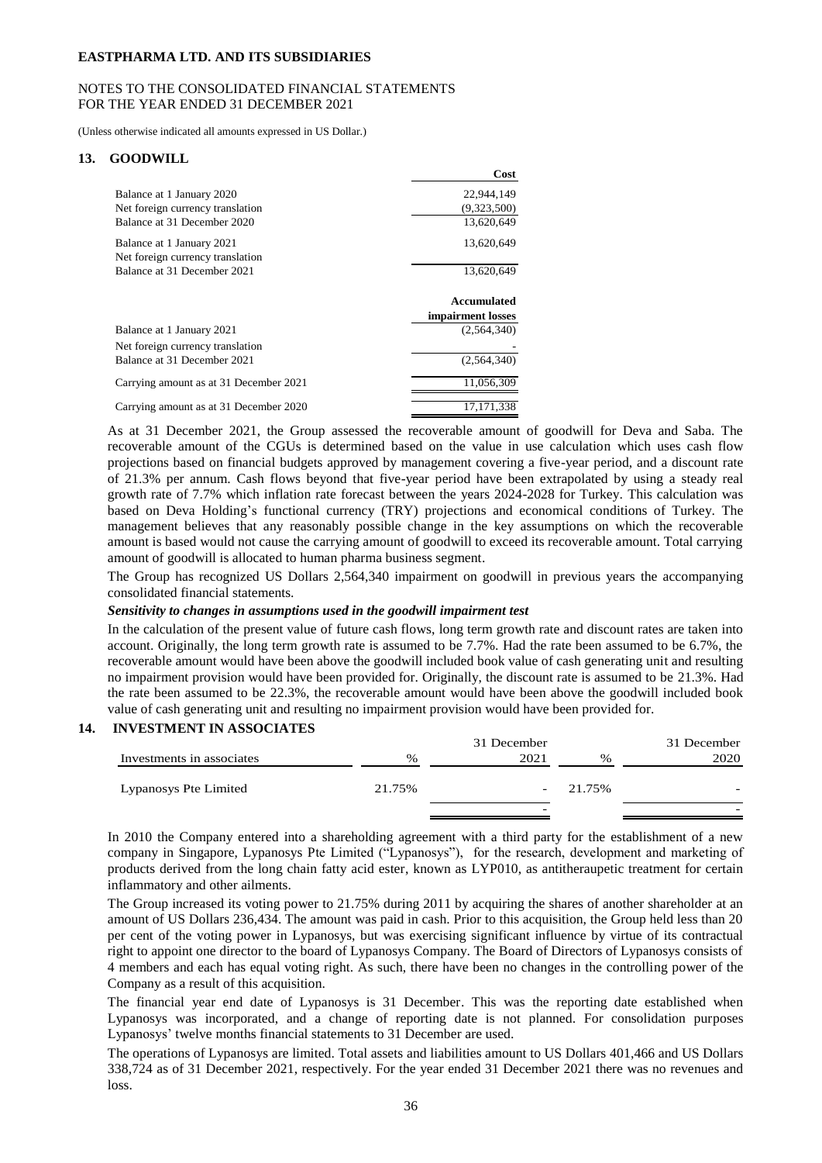## NOTES TO THE CONSOLIDATED FINANCIAL STATEMENTS FOR THE YEAR ENDED 31 DECEMBER 2021

(Unless otherwise indicated all amounts expressed in US Dollar.)

#### **13. GOODWILL**

|                                                               | Cost              |
|---------------------------------------------------------------|-------------------|
| Balance at 1 January 2020                                     | 22,944,149        |
| Net foreign currency translation                              | (9,323,500)       |
| Balance at 31 December 2020                                   | 13,620,649        |
| Balance at 1 January 2021<br>Net foreign currency translation | 13,620,649        |
| Balance at 31 December 2021                                   | 13,620,649        |
|                                                               |                   |
|                                                               | Accumulated       |
|                                                               | impairment losses |
| Balance at 1 January 2021                                     | (2.564.340)       |
| Net foreign currency translation                              |                   |
| Balance at 31 December 2021                                   | (2,564,340)       |
| Carrying amount as at 31 December 2021                        | 11.056.309        |

As at 31 December 2021, the Group assessed the recoverable amount of goodwill for Deva and Saba. The recoverable amount of the CGUs is determined based on the value in use calculation which uses cash flow projections based on financial budgets approved by management covering a five-year period, and a discount rate of 21.3% per annum. Cash flows beyond that five-year period have been extrapolated by using a steady real growth rate of 7.7% which inflation rate forecast between the years 2024-2028 for Turkey. This calculation was based on Deva Holding's functional currency (TRY) projections and economical conditions of Turkey. The management believes that any reasonably possible change in the key assumptions on which the recoverable amount is based would not cause the carrying amount of goodwill to exceed its recoverable amount. Total carrying amount of goodwill is allocated to human pharma business segment.

The Group has recognized US Dollars 2,564,340 impairment on goodwill in previous years the accompanying consolidated financial statements.

#### *Sensitivity to changes in assumptions used in the goodwill impairment test*

In the calculation of the present value of future cash flows, long term growth rate and discount rates are taken into account. Originally, the long term growth rate is assumed to be 7.7%. Had the rate been assumed to be 6.7%, the recoverable amount would have been above the goodwill included book value of cash generating unit and resulting no impairment provision would have been provided for. Originally, the discount rate is assumed to be 21.3%. Had the rate been assumed to be 22.3%, the recoverable amount would have been above the goodwill included book value of cash generating unit and resulting no impairment provision would have been provided for.

#### **14. INVESTMENT IN ASSOCIATES**

|                           |        | 31 December |        | 31 December |
|---------------------------|--------|-------------|--------|-------------|
| Investments in associates | $\%$   | 2021        | $\%$   | 2020        |
|                           |        |             |        |             |
| Lypanosys Pte Limited     | 21.75% | -           | 21.75% |             |
|                           |        | -           |        | -           |

In 2010 the Company entered into a shareholding agreement with a third party for the establishment of a new company in Singapore, Lypanosys Pte Limited ("Lypanosys"), for the research, development and marketing of products derived from the long chain fatty acid ester, known as LYP010, as antitheraupetic treatment for certain inflammatory and other ailments.

The Group increased its voting power to 21.75% during 2011 by acquiring the shares of another shareholder at an amount of US Dollars 236,434. The amount was paid in cash. Prior to this acquisition, the Group held less than 20 per cent of the voting power in Lypanosys, but was exercising significant influence by virtue of its contractual right to appoint one director to the board of Lypanosys Company. The Board of Directors of Lypanosys consists of 4 members and each has equal voting right. As such, there have been no changes in the controlling power of the Company as a result of this acquisition.

The financial year end date of Lypanosys is 31 December. This was the reporting date established when Lypanosys was incorporated, and a change of reporting date is not planned. For consolidation purposes Lypanosys' twelve months financial statements to 31 December are used.

The operations of Lypanosys are limited. Total assets and liabilities amount to US Dollars 401,466 and US Dollars 338,724 as of 31 December 2021, respectively. For the year ended 31 December 2021 there was no revenues and loss.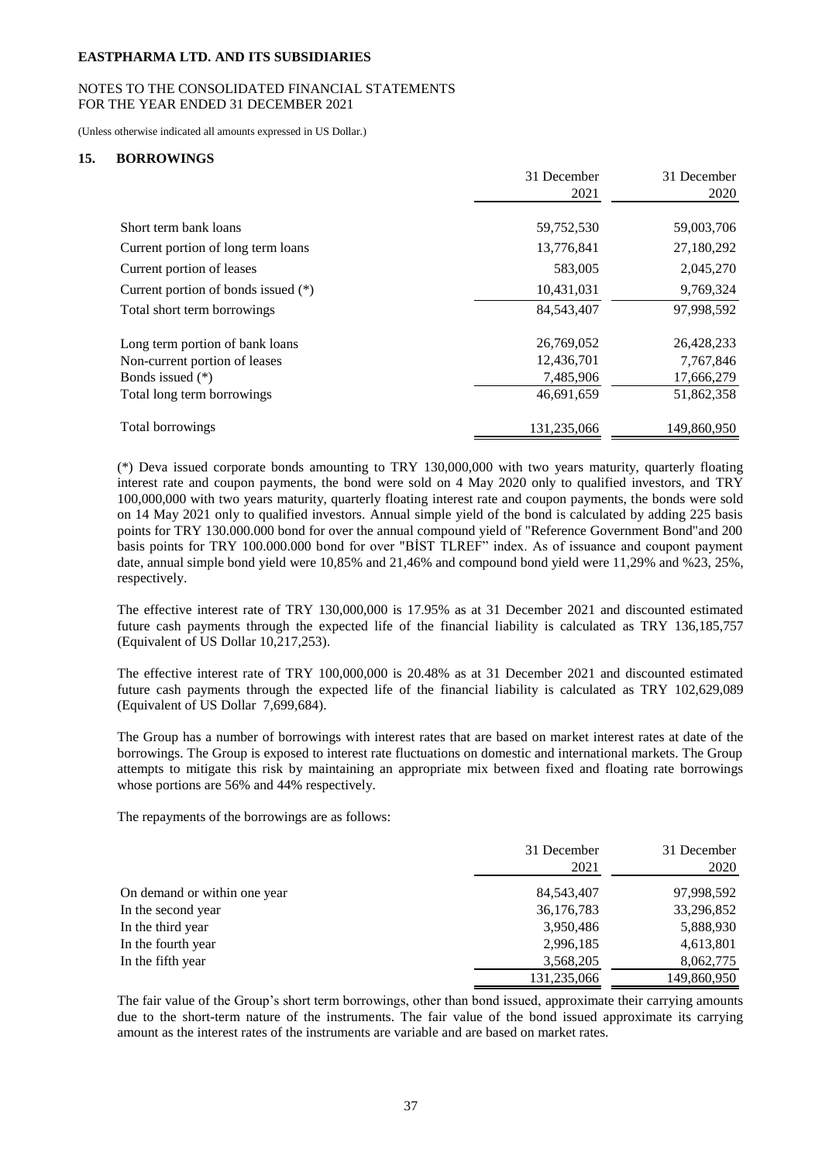## NOTES TO THE CONSOLIDATED FINANCIAL STATEMENTS FOR THE YEAR ENDED 31 DECEMBER 2021

(Unless otherwise indicated all amounts expressed in US Dollar.)

## **15. BORROWINGS**

|                                       | 31 December  | 31 December |
|---------------------------------------|--------------|-------------|
|                                       | 2021         | 2020        |
| Short term bank loans                 | 59,752,530   | 59,003,706  |
| Current portion of long term loans    | 13,776,841   | 27,180,292  |
| Current portion of leases             | 583,005      | 2,045,270   |
| Current portion of bonds issued $(*)$ | 10,431,031   | 9,769,324   |
| Total short term borrowings           | 84, 543, 407 | 97,998,592  |
| Long term portion of bank loans       | 26,769,052   | 26,428,233  |
| Non-current portion of leases         | 12,436,701   | 7,767,846   |
| Bonds issued $(*)$                    | 7,485,906    | 17,666,279  |
| Total long term borrowings            | 46,691,659   | 51,862,358  |
| Total borrowings                      | 131,235,066  | 149,860,950 |

(\*) Deva issued corporate bonds amounting to TRY 130,000,000 with two years maturity, quarterly floating interest rate and coupon payments, the bond were sold on 4 May 2020 only to qualified investors, and TRY 100,000,000 with two years maturity, quarterly floating interest rate and coupon payments, the bonds were sold on 14 May 2021 only to qualified investors. Annual simple yield of the bond is calculated by adding 225 basis points for TRY 130.000.000 bond for over the annual compound yield of "Reference Government Bond"and 200 basis points for TRY 100.000.000 bond for over "BİST TLREF" index. As of issuance and coupont payment date, annual simple bond yield were 10,85% and 21,46% and compound bond yield were 11,29% and %23, 25%, respectively.

The effective interest rate of TRY 130,000,000 is 17.95% as at 31 December 2021 and discounted estimated future cash payments through the expected life of the financial liability is calculated as TRY 136,185,757 (Equivalent of US Dollar 10,217,253).

The effective interest rate of TRY 100,000,000 is 20.48% as at 31 December 2021 and discounted estimated future cash payments through the expected life of the financial liability is calculated as TRY 102,629,089 (Equivalent of US Dollar 7,699,684).

The Group has a number of borrowings with interest rates that are based on market interest rates at date of the borrowings. The Group is exposed to interest rate fluctuations on domestic and international markets. The Group attempts to mitigate this risk by maintaining an appropriate mix between fixed and floating rate borrowings whose portions are 56% and 44% respectively.

The repayments of the borrowings are as follows:

|                              | 31 December<br>2021 | 31 December<br>2020 |
|------------------------------|---------------------|---------------------|
| On demand or within one year | 84, 543, 407        | 97,998,592          |
| In the second year           | 36,176,783          | 33,296,852          |
| In the third year            | 3,950,486           | 5,888,930           |
| In the fourth year           | 2,996,185           | 4,613,801           |
| In the fifth year            | 3,568,205           | 8,062,775           |
|                              | 131,235,066         | 149,860,950         |

The fair value of the Group's short term borrowings, other than bond issued, approximate their carrying amounts due to the short-term nature of the instruments. The fair value of the bond issued approximate its carrying amount as the interest rates of the instruments are variable and are based on market rates.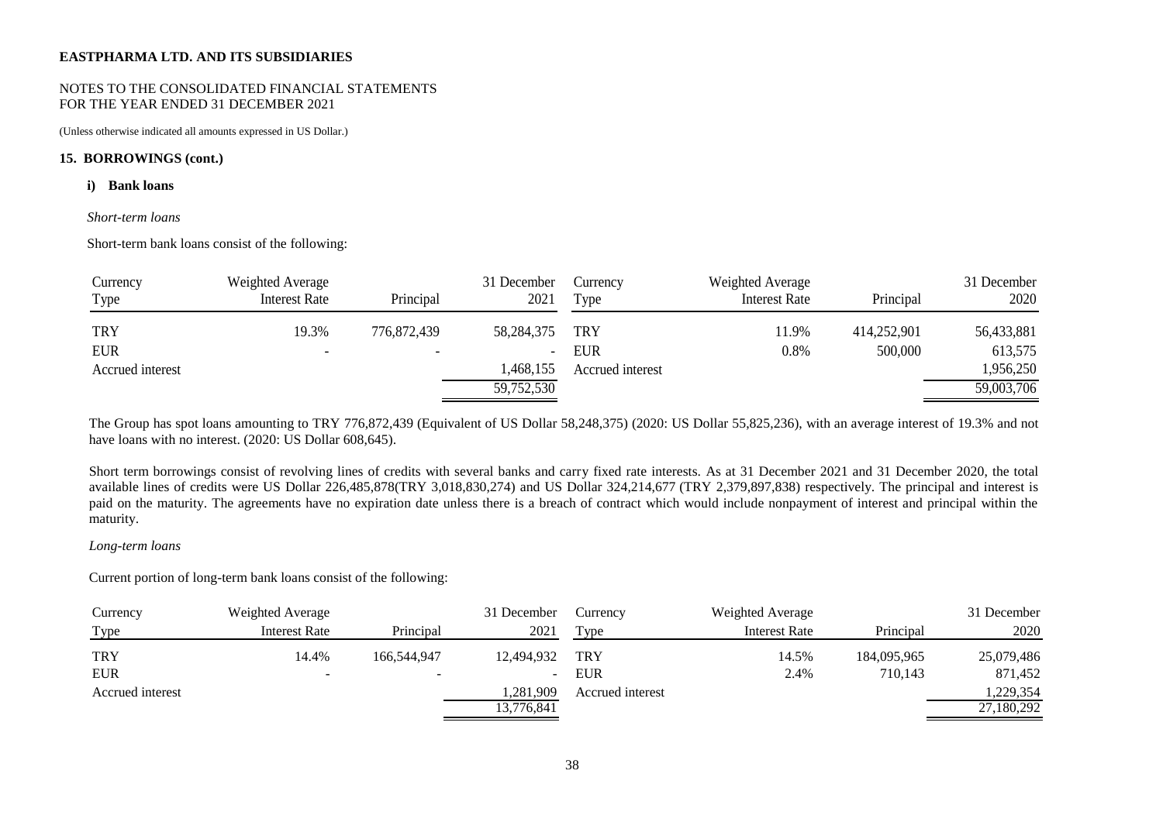#### NOTES TO THE CONSOLIDATED FINANCIAL STATEMENTS FOR THE YEAR ENDED 31 DECEMBER 2021

(Unless otherwise indicated all amounts expressed in US Dollar.)

#### **15. BORROWINGS (cont.)**

#### **i) Bank loans**

#### *Short-term loans*

Short-term bank loans consist of the following:

| Currency<br>Type | Weighted Average<br><b>Interest Rate</b> | Principal                | 31 December<br>2021      | Currency<br>Type | Weighted Average<br><b>Interest Rate</b> | Principal   | 31 December<br>2020 |
|------------------|------------------------------------------|--------------------------|--------------------------|------------------|------------------------------------------|-------------|---------------------|
| <b>TRY</b>       | 19.3%                                    | 776,872,439              | 58,284,375               | <b>TRY</b>       | 11.9%                                    | 414,252,901 | 56,433,881          |
| <b>EUR</b>       | $\overline{\phantom{0}}$                 | $\overline{\phantom{0}}$ | $\overline{\phantom{a}}$ | <b>EUR</b>       | $0.8\%$                                  | 500,000     | 613,575             |
| Accrued interest |                                          |                          | ,468,155                 | Accrued interest |                                          |             | 1,956,250           |
|                  |                                          |                          | 59,752,530               |                  |                                          |             | 59,003,706          |

The Group has spot loans amounting to TRY 776,872,439 (Equivalent of US Dollar 58,248,375) (2020: US Dollar 55,825,236), with an average interest of 19.3% and not have loans with no interest. (2020: US Dollar 608,645).

Short term borrowings consist of revolving lines of credits with several banks and carry fixed rate interests. As at 31 December 2021 and 31 December 2020, the total available lines of credits were US Dollar 226,485,878(TRY 3,018,830,274) and US Dollar 324,214,677 (TRY 2,379,897,838) respectively. The principal and interest is paid on the maturity. The agreements have no expiration date unless there is a breach of contract which would include nonpayment of interest and principal within the maturity.

#### *Long-term loans*

Current portion of long-term bank loans consist of the following:

| Currency         | Weighted Average     |             | 31 December              | Currency         | Weighted Average |             | 31 December |
|------------------|----------------------|-------------|--------------------------|------------------|------------------|-------------|-------------|
| Type             | <b>Interest Rate</b> | Principal   | 2021                     | Type             | Interest Rate    | Principal   | 2020        |
| <b>TRY</b>       | 14.4%                | 166,544,947 | 12,494,932               | <b>TRY</b>       | 14.5%            | 184,095,965 | 25,079,486  |
| <b>EUR</b>       | $\sim$               |             | $\overline{\phantom{a}}$ | EUR              | 2.4%             | 710.143     | 871,452     |
| Accrued interest |                      |             | .281.909                 | Accrued interest |                  |             | .229,354    |
|                  |                      |             | 13,776,841               |                  |                  |             | 27,180,292  |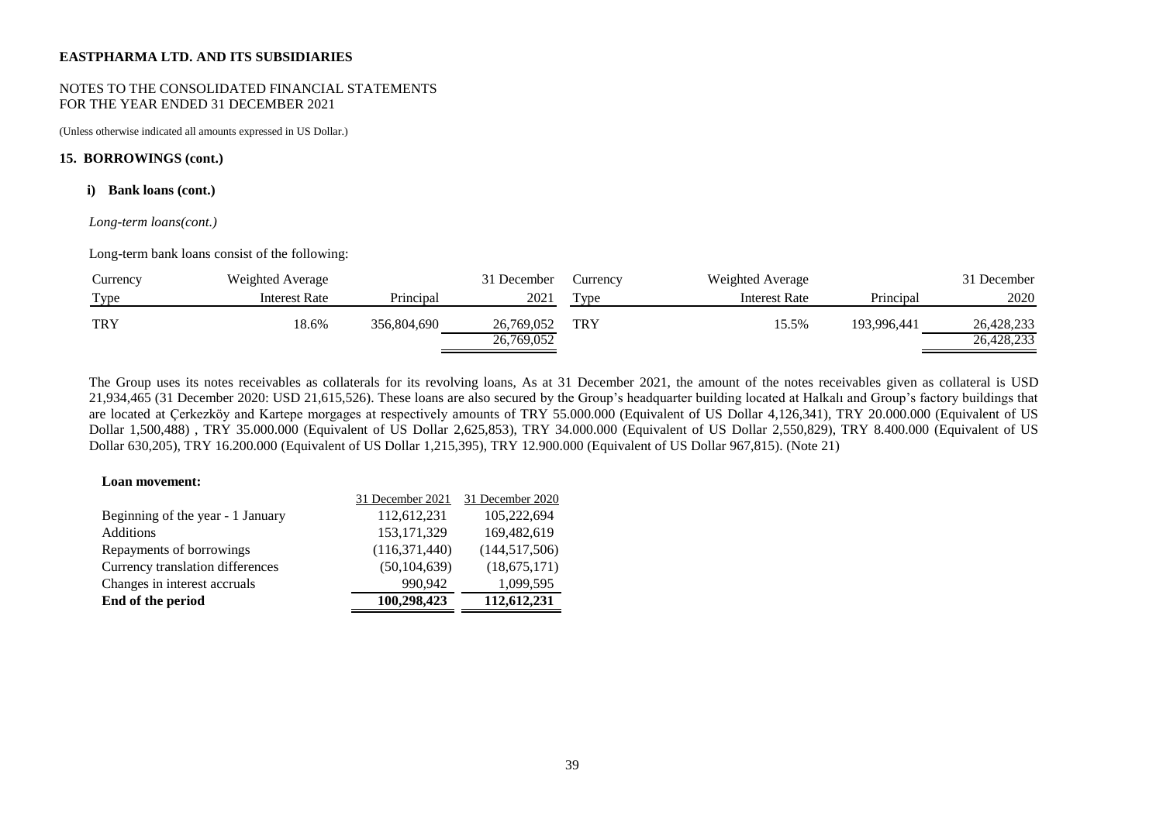#### NOTES TO THE CONSOLIDATED FINANCIAL STATEMENTS FOR THE YEAR ENDED 31 DECEMBER 2021

(Unless otherwise indicated all amounts expressed in US Dollar.)

## **15. BORROWINGS (cont.)**

#### **i) Bank loans (cont.)**

#### *Long-term loans(cont.)*

Long-term bank loans consist of the following:

| Currency   | Weighted Average |             | 31 December              | Currency         | Weighted Average     |             | 31 December              |
|------------|------------------|-------------|--------------------------|------------------|----------------------|-------------|--------------------------|
| Type       | Interest Rate    | Principal   | 2021                     | T <sub>VDE</sub> | <b>Interest Rate</b> | Principal   | 2020                     |
| <b>TRY</b> | 18.6%            | 356,804,690 | 26,769,052<br>26,769,052 | <b>TRY</b>       | 15.5%                | 193,996,441 | 26,428,233<br>26,428,233 |

The Group uses its notes receivables as collaterals for its revolving loans, As at 31 December 2021, the amount of the notes receivables given as collateral is USD 21,934,465 (31 December 2020: USD 21,615,526). These loans are also secured by the Group's headquarter building located at Halkalı and Group's factory buildings that are located at Çerkezköy and Kartepe morgages at respectively amounts of TRY 55.000.000 (Equivalent of US Dollar 4,126,341), TRY 20.000.000 (Equivalent of US Dollar 1,500,488) , TRY 35.000.000 (Equivalent of US Dollar 2,625,853), TRY 34.000.000 (Equivalent of US Dollar 2,550,829), TRY 8.400.000 (Equivalent of US Dollar 630,205), TRY 16.200.000 (Equivalent of US Dollar 1,215,395), TRY 12.900.000 (Equivalent of US Dollar 967,815). (Note 21)

#### **Loan movement:**

|                                   | 31 December 2021 | 31 December 2020 |
|-----------------------------------|------------------|------------------|
| Beginning of the year - 1 January | 112,612,231      | 105,222,694      |
| <b>Additions</b>                  | 153, 171, 329    | 169,482,619      |
| Repayments of borrowings          | (116, 371, 440)  | (144, 517, 506)  |
| Currency translation differences  | (50, 104, 639)   | (18,675,171)     |
| Changes in interest accruals      | 990.942          | 1,099,595        |
| End of the period                 | 100,298,423      | 112,612,231      |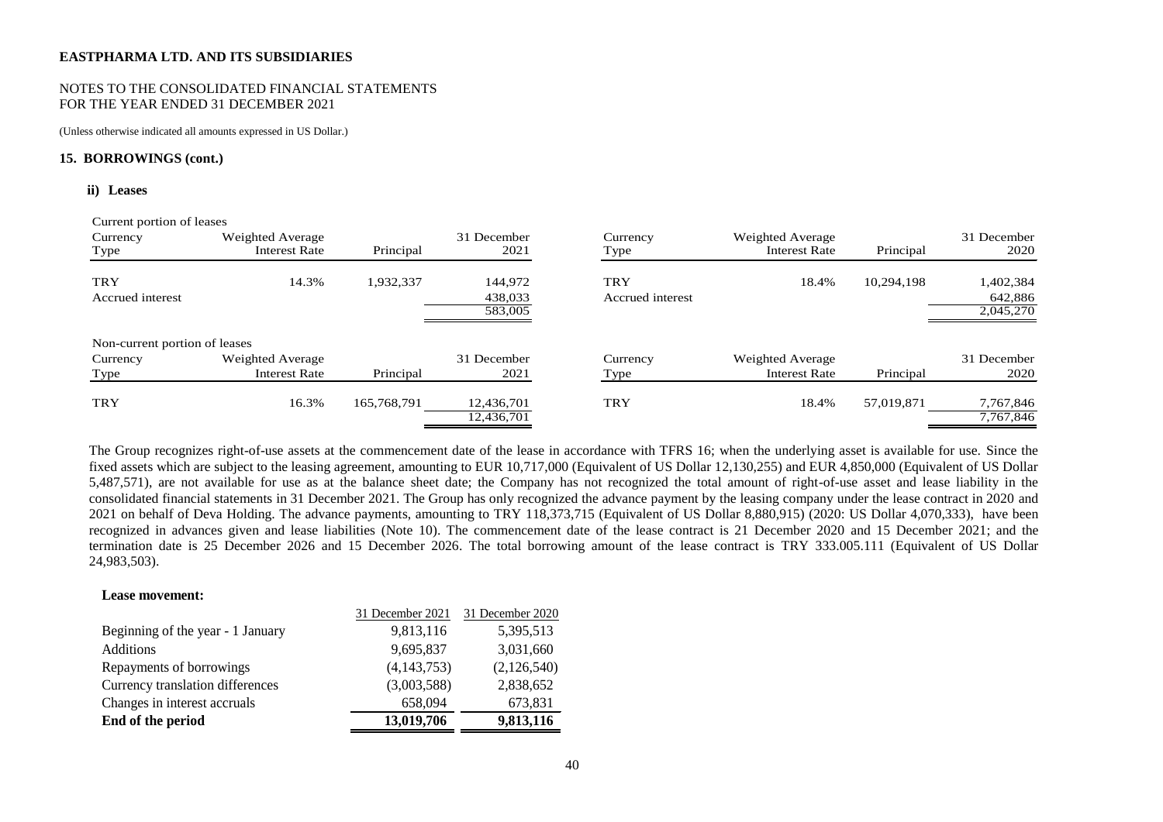#### NOTES TO THE CONSOLIDATED FINANCIAL STATEMENTS FOR THE YEAR ENDED 31 DECEMBER 2021

(Unless otherwise indicated all amounts expressed in US Dollar.)

#### **15. BORROWINGS (cont.)**

#### **ii) Leases**

| Current portion of leases     |                      |             |                          |                  |                      |            |                        |
|-------------------------------|----------------------|-------------|--------------------------|------------------|----------------------|------------|------------------------|
| Currency                      | Weighted Average     |             | 31 December              | Currency         | Weighted Average     |            | 31 December            |
| Type                          | <b>Interest Rate</b> | Principal   | 2021                     | Type             | <b>Interest Rate</b> | Principal  | 2020                   |
| <b>TRY</b>                    | 14.3%                | 1,932,337   | 144,972                  | <b>TRY</b>       | 18.4%                | 10,294,198 | 1,402,384              |
| Accrued interest              |                      |             | 438,033                  | Accrued interest |                      |            | 642,886                |
|                               |                      |             | 583,005                  |                  |                      |            | 2,045,270              |
| Non-current portion of leases |                      |             |                          |                  |                      |            |                        |
| Currency                      | Weighted Average     |             | 31 December              | Currency         | Weighted Average     |            | 31 December            |
| Type                          | <b>Interest Rate</b> | Principal   | 2021                     | Type             | <b>Interest Rate</b> | Principal  | 2020                   |
| <b>TRY</b>                    | 16.3%                | 165,768,791 | 12,436,701<br>12,436,701 | <b>TRY</b>       | 18.4%                | 57,019,871 | 7,767,846<br>7,767,846 |

The Group recognizes right-of-use assets at the commencement date of the lease in accordance with TFRS 16; when the underlying asset is available for use. Since the fixed assets which are subject to the leasing agreement, amounting to EUR 10,717,000 (Equivalent of US Dollar 12,130,255) and EUR 4,850,000 (Equivalent of US Dollar 5,487,571), are not available for use as at the balance sheet date; the Company has not recognized the total amount of right-of-use asset and lease liability in the consolidated financial statements in 31 December 2021. The Group has only recognized the advance payment by the leasing company under the lease contract in 2020 and 2021 on behalf of Deva Holding. The advance payments, amounting to TRY 118,373,715 (Equivalent of US Dollar 8,880,915) (2020: US Dollar 4,070,333), have been recognized in advances given and lease liabilities (Note 10). The commencement date of the lease contract is 21 December 2020 and 15 December 2021; and the termination date is 25 December 2026 and 15 December 2026. The total borrowing amount of the lease contract is TRY 333.005.111 (Equivalent of US Dollar 24,983,503).

#### **Lease movement:**

|                                   | 31 December 2021 | 31 December 2020 |
|-----------------------------------|------------------|------------------|
| Beginning of the year - 1 January | 9,813,116        | 5,395,513        |
| <b>Additions</b>                  | 9,695,837        | 3,031,660        |
| Repayments of borrowings          | (4, 143, 753)    | (2,126,540)      |
| Currency translation differences  | (3,003,588)      | 2,838,652        |
| Changes in interest accruals      | 658,094          | 673,831          |
| End of the period                 | 13,019,706       | 9,813,116        |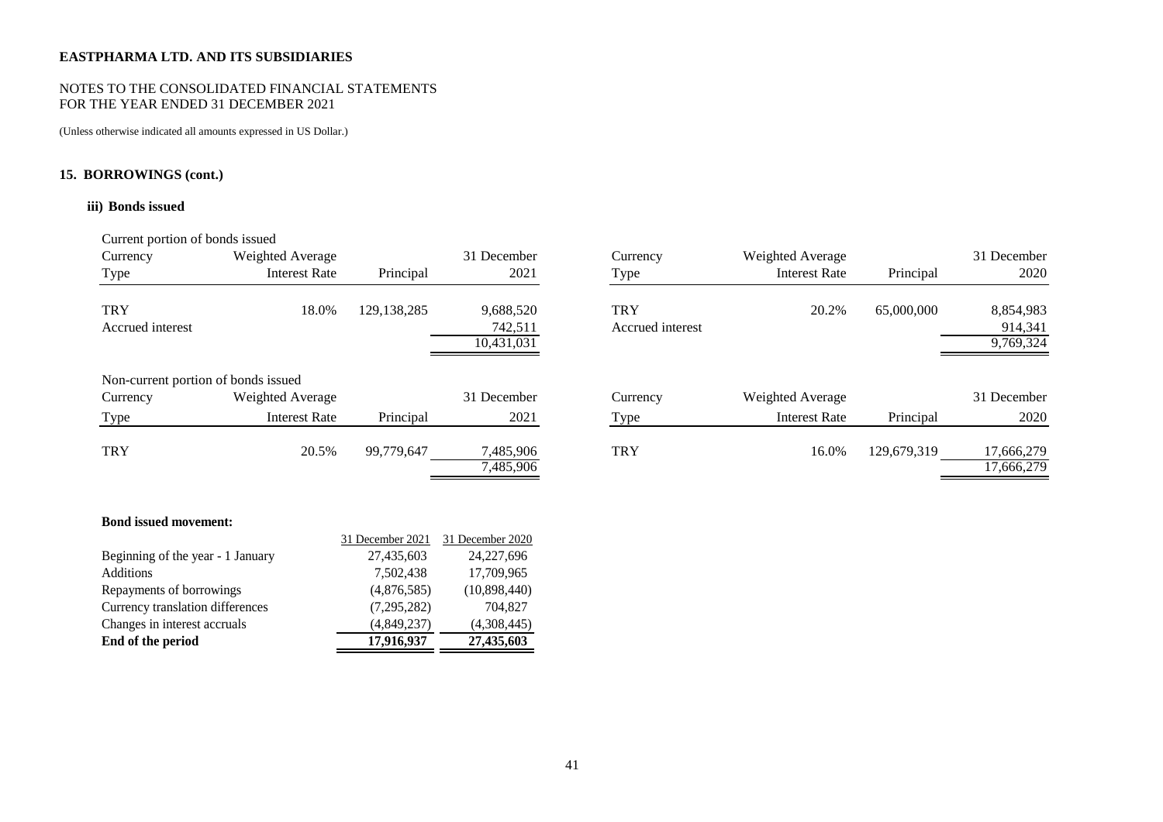## NOTES TO THE CONSOLIDATED FINANCIAL STATEMENTS FOR THE YEAR ENDED 31 DECEMBER 2021

(Unless otherwise indicated all amounts expressed in US Dollar.)

# **15. BORROWINGS (cont.)**

## **iii) Bonds issued**

# Current portion of bonds issued

| Currency<br>Type                    | Weighted Average<br><b>Interest Rate</b> | Principal     | 31 December<br>2021                | Currency<br>Type               | Weighted Average<br><b>Interest Rate</b> | Principal   | 31 December<br>2020               |
|-------------------------------------|------------------------------------------|---------------|------------------------------------|--------------------------------|------------------------------------------|-------------|-----------------------------------|
| <b>TRY</b><br>Accrued interest      | 18.0%                                    | 129, 138, 285 | 9,688,520<br>742,511<br>10.431.031 | <b>TRY</b><br>Accrued interest | 20.2%                                    | 65,000,000  | 8,854,983<br>914,341<br>9.769.324 |
| Non-current portion of bonds issued |                                          |               |                                    |                                |                                          |             |                                   |
| Currency                            | Weighted Average                         |               | 31 December                        | Currency                       | Weighted Average                         |             | 31 December                       |
| Type                                | <b>Interest Rate</b>                     | Principal     | 2021                               | <b>Type</b>                    | <b>Interest Rate</b>                     | Principal   | 2020                              |
| <b>TRY</b>                          | 20.5%                                    | 99,779,647    | 7,485,906<br>7,485,906             | <b>TRY</b>                     | 16.0%                                    | 129.679.319 | 17,666,279<br>17,666,279          |

| Currency<br>Type                    | Weighted Average<br><b>Interest Rate</b> | Principal     | 31 December<br>2021                | Currency<br>Type               | Weighted Average<br><b>Interest Rate</b> | Principal   | 31 December<br>2020               |
|-------------------------------------|------------------------------------------|---------------|------------------------------------|--------------------------------|------------------------------------------|-------------|-----------------------------------|
| <b>TRY</b><br>Accrued interest      | 18.0%                                    | 129, 138, 285 | 9,688,520<br>742,511<br>10,431,031 | <b>TRY</b><br>Accrued interest | 20.2%                                    | 65,000,000  | 8,854,983<br>914,341<br>9,769,324 |
| Non-current portion of bonds issued |                                          |               |                                    |                                |                                          |             |                                   |
| Currency                            | Weighted Average                         |               | 31 December                        | Currency                       | Weighted Average                         |             | 31 December                       |
| Type                                | Interest Rate                            | Principal     | 2021                               | Type                           | <b>Interest Rate</b>                     | Principal   | 2020                              |
| TRY                                 | 20.5%                                    | 99,779,647    | 7,485,906<br>7,485,906             | <b>TRY</b>                     | 16.0%                                    | 129,679,319 | 17,666,279<br>17,666,279          |

## **Bond issued movement:**

| End of the period                 | 17,916,937       | 27,435,603       |
|-----------------------------------|------------------|------------------|
| Changes in interest accruals      | (4,849,237)      | (4,308,445)      |
| Currency translation differences  | (7,295,282)      | 704.827          |
| Repayments of borrowings          | (4,876,585)      | (10,898,440)     |
| Additions                         | 7,502,438        | 17,709,965       |
| Beginning of the year - 1 January | 27,435,603       | 24, 227, 696     |
|                                   | 31 December 2021 | 31 December 2020 |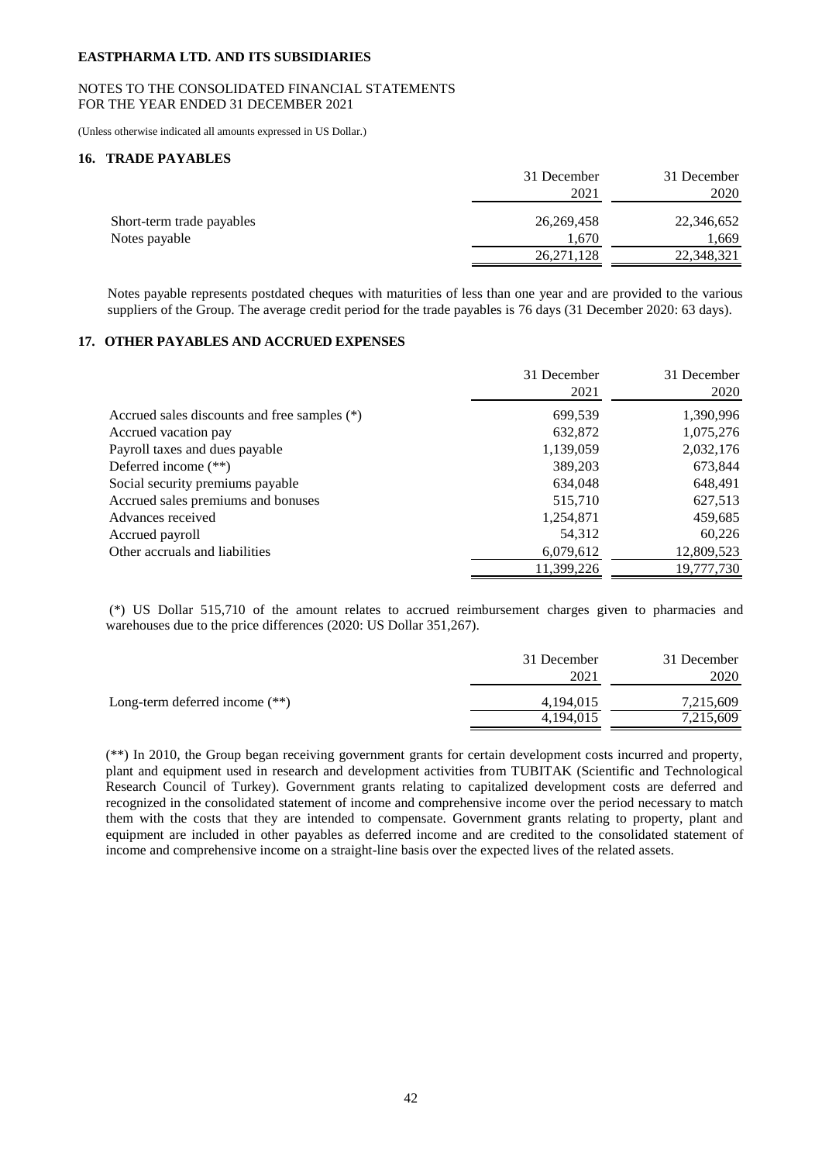## NOTES TO THE CONSOLIDATED FINANCIAL STATEMENTS FOR THE YEAR ENDED 31 DECEMBER 2021

(Unless otherwise indicated all amounts expressed in US Dollar.)

# **16. TRADE PAYABLES**

| 31 December  | 31 December |
|--------------|-------------|
| 2021         | 2020        |
| 26, 269, 458 | 22,346,652  |
| 1.670        | 1.669       |
| 26, 271, 128 | 22,348,321  |
|              |             |

Notes payable represents postdated cheques with maturities of less than one year and are provided to the various suppliers of the Group. The average credit period for the trade payables is 76 days (31 December 2020: 63 days).

# **17. OTHER PAYABLES AND ACCRUED EXPENSES**

|                                              | 31 December<br>2021 | 31 December<br>2020 |
|----------------------------------------------|---------------------|---------------------|
| Accrued sales discounts and free samples (*) | 699,539             | 1,390,996           |
| Accrued vacation pay                         | 632,872             | 1,075,276           |
| Payroll taxes and dues payable               | 1,139,059           | 2,032,176           |
| Deferred income $(**)$                       | 389,203             | 673,844             |
| Social security premiums payable             | 634,048             | 648,491             |
| Accrued sales premiums and bonuses           | 515,710             | 627,513             |
| Advances received                            | 1,254,871           | 459,685             |
| Accrued payroll                              | 54,312              | 60,226              |
| Other accruals and liabilities               | 6,079,612           | 12,809,523          |
|                                              | 11,399,226          | 19,777,730          |

(\*) US Dollar 515,710 of the amount relates to accrued reimbursement charges given to pharmacies and warehouses due to the price differences (2020: US Dollar 351,267).

|                                  | 31 December | 31 December |
|----------------------------------|-------------|-------------|
|                                  | 2021        | 2020        |
| Long-term deferred income $(**)$ | 4,194,015   | 7,215,609   |
|                                  | 4,194,015   | 7,215,609   |

(\*\*) In 2010, the Group began receiving government grants for certain development costs incurred and property, plant and equipment used in research and development activities from TUBITAK (Scientific and Technological Research Council of Turkey). Government grants relating to capitalized development costs are deferred and recognized in the consolidated statement of income and comprehensive income over the period necessary to match them with the costs that they are intended to compensate. Government grants relating to property, plant and equipment are included in other payables as deferred income and are credited to the consolidated statement of income and comprehensive income on a straight-line basis over the expected lives of the related assets.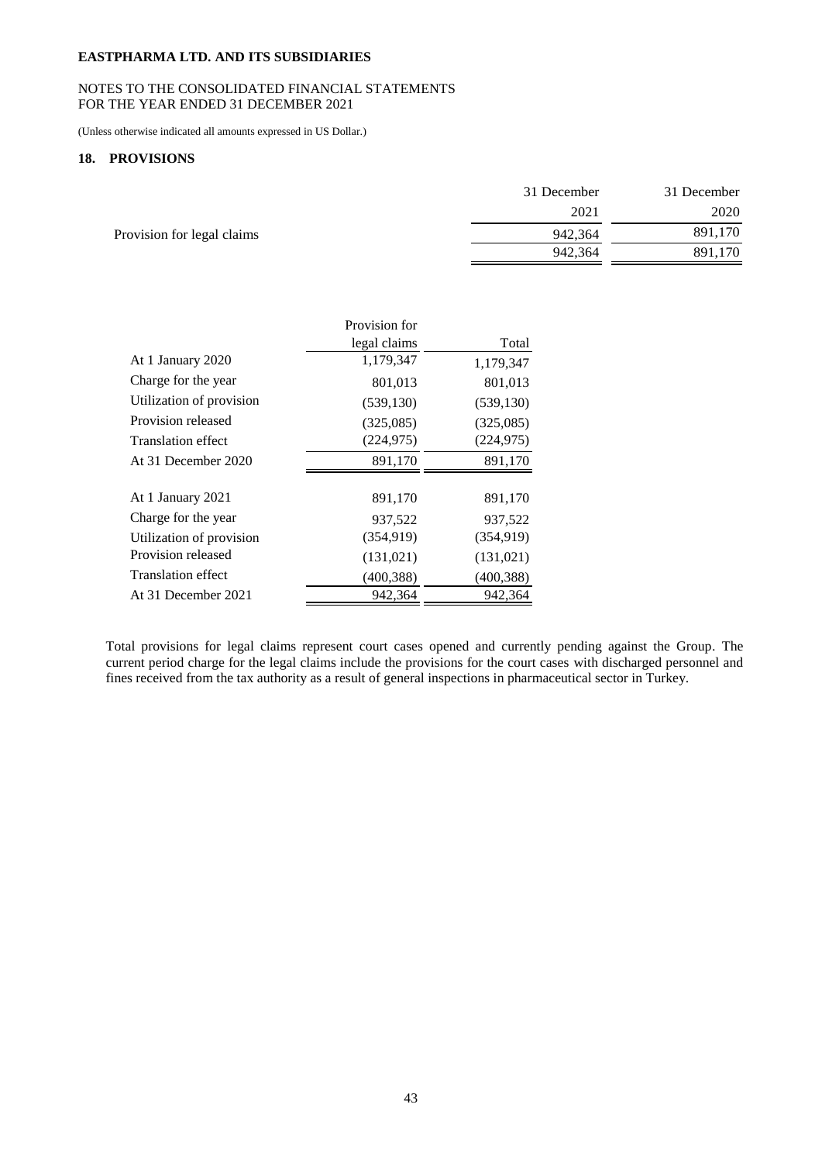## NOTES TO THE CONSOLIDATED FINANCIAL STATEMENTS FOR THE YEAR ENDED 31 DECEMBER 2021

(Unless otherwise indicated all amounts expressed in US Dollar.)

## **18. PROVISIONS**

|                            | 31 December | 31 December |
|----------------------------|-------------|-------------|
|                            | 2021        | 2020        |
| Provision for legal claims | 942,364     | 891,170     |
|                            | 942,364     | 891,170     |

|                           | Provision for |            |
|---------------------------|---------------|------------|
|                           | legal claims  | Total      |
| At 1 January 2020         | 1,179,347     | 1,179,347  |
| Charge for the year       | 801,013       | 801,013    |
| Utilization of provision  | (539, 130)    | (539, 130) |
| Provision released        | (325,085)     | (325,085)  |
| <b>Translation effect</b> | (224, 975)    | (224, 975) |
| At 31 December 2020       | 891,170       | 891,170    |
|                           |               |            |
| At 1 January 2021         | 891,170       | 891,170    |
| Charge for the year       | 937,522       | 937,522    |
| Utilization of provision  | (354, 919)    | (354, 919) |
| Provision released        | (131, 021)    | (131, 021) |
| <b>Translation effect</b> | (400, 388)    | (400, 388) |
| At 31 December 2021       | 942,364       | 942,364    |

Total provisions for legal claims represent court cases opened and currently pending against the Group. The current period charge for the legal claims include the provisions for the court cases with discharged personnel and fines received from the tax authority as a result of general inspections in pharmaceutical sector in Turkey.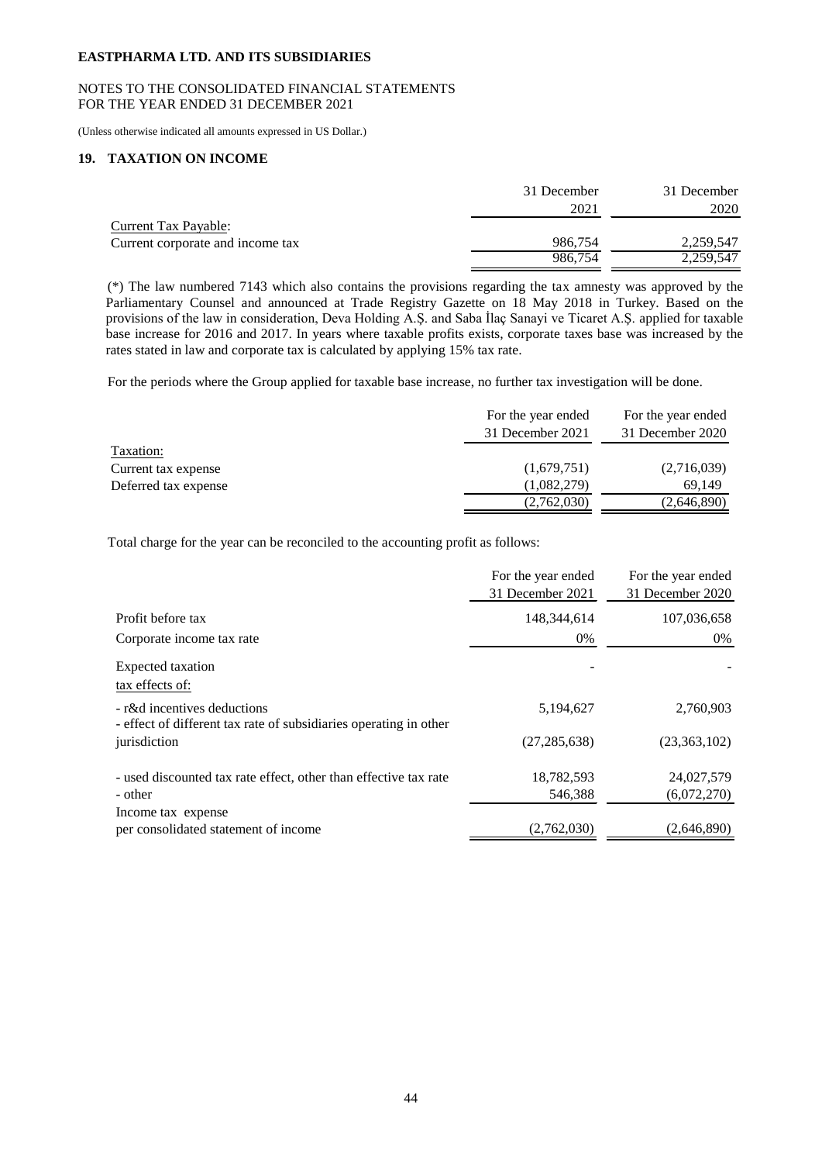## NOTES TO THE CONSOLIDATED FINANCIAL STATEMENTS FOR THE YEAR ENDED 31 DECEMBER 2021

(Unless otherwise indicated all amounts expressed in US Dollar.)

# **19. TAXATION ON INCOME**

|                                  | 31 December | 31 December |
|----------------------------------|-------------|-------------|
|                                  | 2021        | 2020        |
| <b>Current Tax Payable:</b>      |             |             |
| Current corporate and income tax | 986,754     | 2.259.547   |
|                                  | 986.754     | 2.259.547   |

(\*) The law numbered 7143 which also contains the provisions regarding the tax amnesty was approved by the Parliamentary Counsel and announced at Trade Registry Gazette on 18 May 2018 in Turkey. Based on the provisions of the law in consideration, Deva Holding A.Ş. and Saba İlaç Sanayi ve Ticaret A.Ş. applied for taxable base increase for 2016 and 2017. In years where taxable profits exists, corporate taxes base was increased by the rates stated in law and corporate tax is calculated by applying 15% tax rate.

For the periods where the Group applied for taxable base increase, no further tax investigation will be done.

|                      | For the year ended | For the year ended |
|----------------------|--------------------|--------------------|
|                      | 31 December 2021   | 31 December 2020   |
| Taxation:            |                    |                    |
| Current tax expense  | (1,679,751)        | (2,716,039)        |
| Deferred tax expense | (1,082,279)        | 69.149             |
|                      | (2,762,030)        | (2,646,890)        |

Total charge for the year can be reconciled to the accounting profit as follows:

|                                                                                                  | For the year ended<br>31 December 2021 | For the year ended<br>31 December 2020 |
|--------------------------------------------------------------------------------------------------|----------------------------------------|----------------------------------------|
| Profit before tax                                                                                | 148,344,614                            | 107,036,658                            |
| Corporate income tax rate                                                                        | 0%                                     | 0%                                     |
| Expected taxation<br>tax effects of:                                                             |                                        |                                        |
| - r&d incentives deductions<br>- effect of different tax rate of subsidiaries operating in other | 5,194,627                              | 2,760,903                              |
| jurisdiction                                                                                     | (27, 285, 638)                         | (23,363,102)                           |
| - used discounted tax rate effect, other than effective tax rate<br>- other                      | 18,782,593<br>546,388                  | 24,027,579<br>(6,072,270)              |
| Income tax expense<br>per consolidated statement of income                                       | (2,762,030)                            | (2,646,890)                            |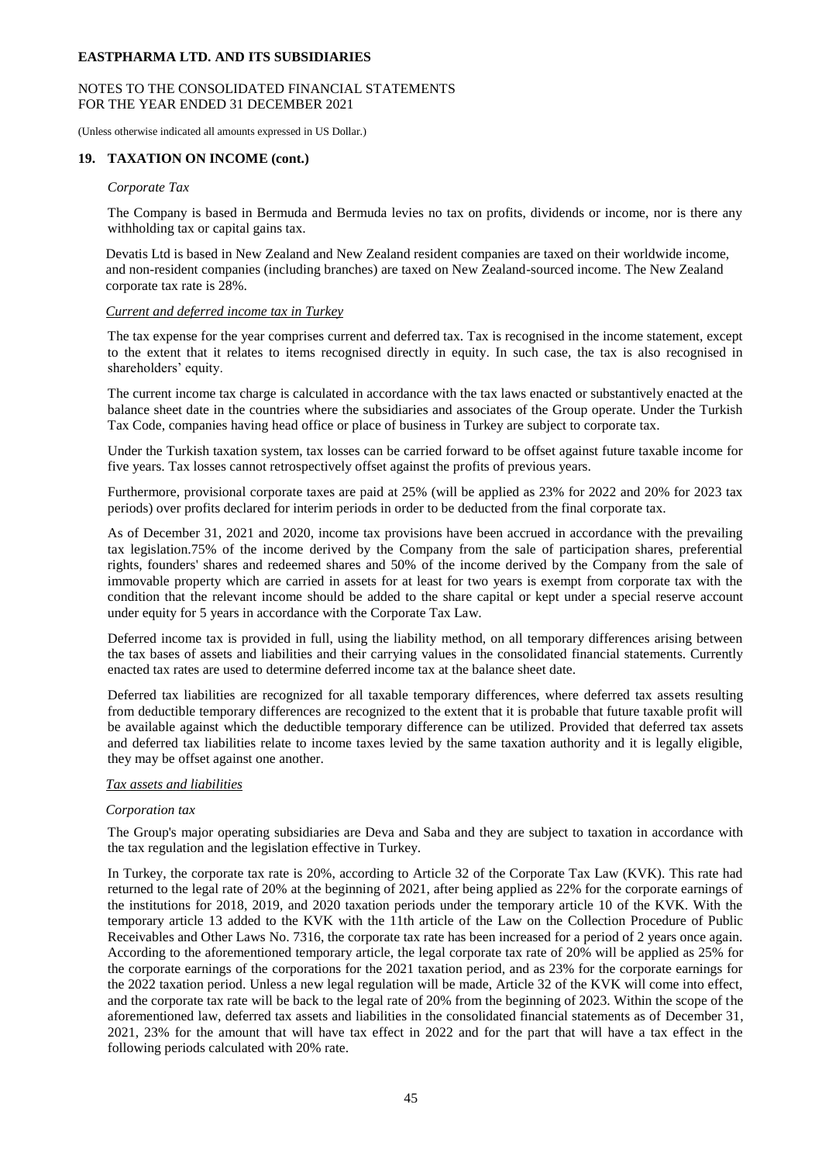## NOTES TO THE CONSOLIDATED FINANCIAL STATEMENTS FOR THE YEAR ENDED 31 DECEMBER 2021

(Unless otherwise indicated all amounts expressed in US Dollar.)

## **19. TAXATION ON INCOME (cont.)**

## *Corporate Tax*

The Company is based in Bermuda and Bermuda levies no tax on profits, dividends or income, nor is there any withholding tax or capital gains tax.

Devatis Ltd is based in New Zealand and New Zealand resident companies are taxed on their worldwide income, and non-resident companies (including branches) are taxed on New Zealand-sourced income. The New Zealand corporate tax rate is 28%.

## *Current and deferred income tax in Turkey*

The tax expense for the year comprises current and deferred tax. Tax is recognised in the income statement, except to the extent that it relates to items recognised directly in equity. In such case, the tax is also recognised in shareholders' equity.

The current income tax charge is calculated in accordance with the tax laws enacted or substantively enacted at the balance sheet date in the countries where the subsidiaries and associates of the Group operate. Under the Turkish Tax Code, companies having head office or place of business in Turkey are subject to corporate tax.

Under the Turkish taxation system, tax losses can be carried forward to be offset against future taxable income for five years. Tax losses cannot retrospectively offset against the profits of previous years.

Furthermore, provisional corporate taxes are paid at 25% (will be applied as 23% for 2022 and 20% for 2023 tax periods) over profits declared for interim periods in order to be deducted from the final corporate tax.

As of December 31, 2021 and 2020, income tax provisions have been accrued in accordance with the prevailing tax legislation.75% of the income derived by the Company from the sale of participation shares, preferential rights, founders' shares and redeemed shares and 50% of the income derived by the Company from the sale of immovable property which are carried in assets for at least for two years is exempt from corporate tax with the condition that the relevant income should be added to the share capital or kept under a special reserve account under equity for 5 years in accordance with the Corporate Tax Law.

Deferred income tax is provided in full, using the liability method, on all temporary differences arising between the tax bases of assets and liabilities and their carrying values in the consolidated financial statements. Currently enacted tax rates are used to determine deferred income tax at the balance sheet date.

Deferred tax liabilities are recognized for all taxable temporary differences, where deferred tax assets resulting from deductible temporary differences are recognized to the extent that it is probable that future taxable profit will be available against which the deductible temporary difference can be utilized. Provided that deferred tax assets and deferred tax liabilities relate to income taxes levied by the same taxation authority and it is legally eligible, they may be offset against one another.

## *Tax assets and liabilities*

#### *Corporation tax*

The Group's major operating subsidiaries are Deva and Saba and they are subject to taxation in accordance with the tax regulation and the legislation effective in Turkey.

In Turkey, the corporate tax rate is 20%, according to Article 32 of the Corporate Tax Law (KVK). This rate had returned to the legal rate of 20% at the beginning of 2021, after being applied as 22% for the corporate earnings of the institutions for 2018, 2019, and 2020 taxation periods under the temporary article 10 of the KVK. With the temporary article 13 added to the KVK with the 11th article of the Law on the Collection Procedure of Public Receivables and Other Laws No. 7316, the corporate tax rate has been increased for a period of 2 years once again. According to the aforementioned temporary article, the legal corporate tax rate of 20% will be applied as 25% for the corporate earnings of the corporations for the 2021 taxation period, and as 23% for the corporate earnings for the 2022 taxation period. Unless a new legal regulation will be made, Article 32 of the KVK will come into effect, and the corporate tax rate will be back to the legal rate of 20% from the beginning of 2023. Within the scope of the aforementioned law, deferred tax assets and liabilities in the consolidated financial statements as of December 31, 2021, 23% for the amount that will have tax effect in 2022 and for the part that will have a tax effect in the following periods calculated with 20% rate.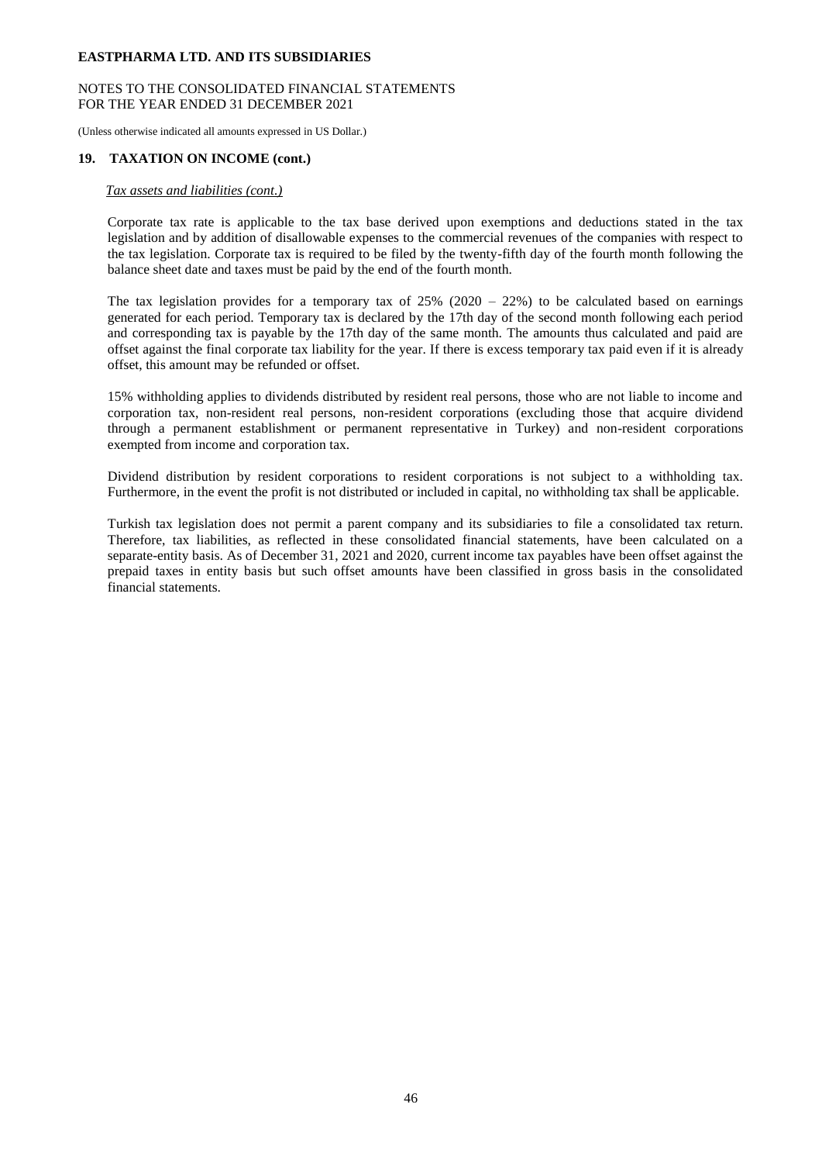## NOTES TO THE CONSOLIDATED FINANCIAL STATEMENTS FOR THE YEAR ENDED 31 DECEMBER 2021

(Unless otherwise indicated all amounts expressed in US Dollar.)

## **19. TAXATION ON INCOME (cont.)**

## *Tax assets and liabilities (cont.)*

Corporate tax rate is applicable to the tax base derived upon exemptions and deductions stated in the tax legislation and by addition of disallowable expenses to the commercial revenues of the companies with respect to the tax legislation. Corporate tax is required to be filed by the twenty-fifth day of the fourth month following the balance sheet date and taxes must be paid by the end of the fourth month.

The tax legislation provides for a temporary tax of  $25\%$  (2020 – 22%) to be calculated based on earnings generated for each period. Temporary tax is declared by the 17th day of the second month following each period and corresponding tax is payable by the 17th day of the same month. The amounts thus calculated and paid are offset against the final corporate tax liability for the year. If there is excess temporary tax paid even if it is already offset, this amount may be refunded or offset.

15% withholding applies to dividends distributed by resident real persons, those who are not liable to income and corporation tax, non-resident real persons, non-resident corporations (excluding those that acquire dividend through a permanent establishment or permanent representative in Turkey) and non-resident corporations exempted from income and corporation tax.

Dividend distribution by resident corporations to resident corporations is not subject to a withholding tax. Furthermore, in the event the profit is not distributed or included in capital, no withholding tax shall be applicable.

Turkish tax legislation does not permit a parent company and its subsidiaries to file a consolidated tax return. Therefore, tax liabilities, as reflected in these consolidated financial statements, have been calculated on a separate-entity basis. As of December 31, 2021 and 2020, current income tax payables have been offset against the prepaid taxes in entity basis but such offset amounts have been classified in gross basis in the consolidated financial statements.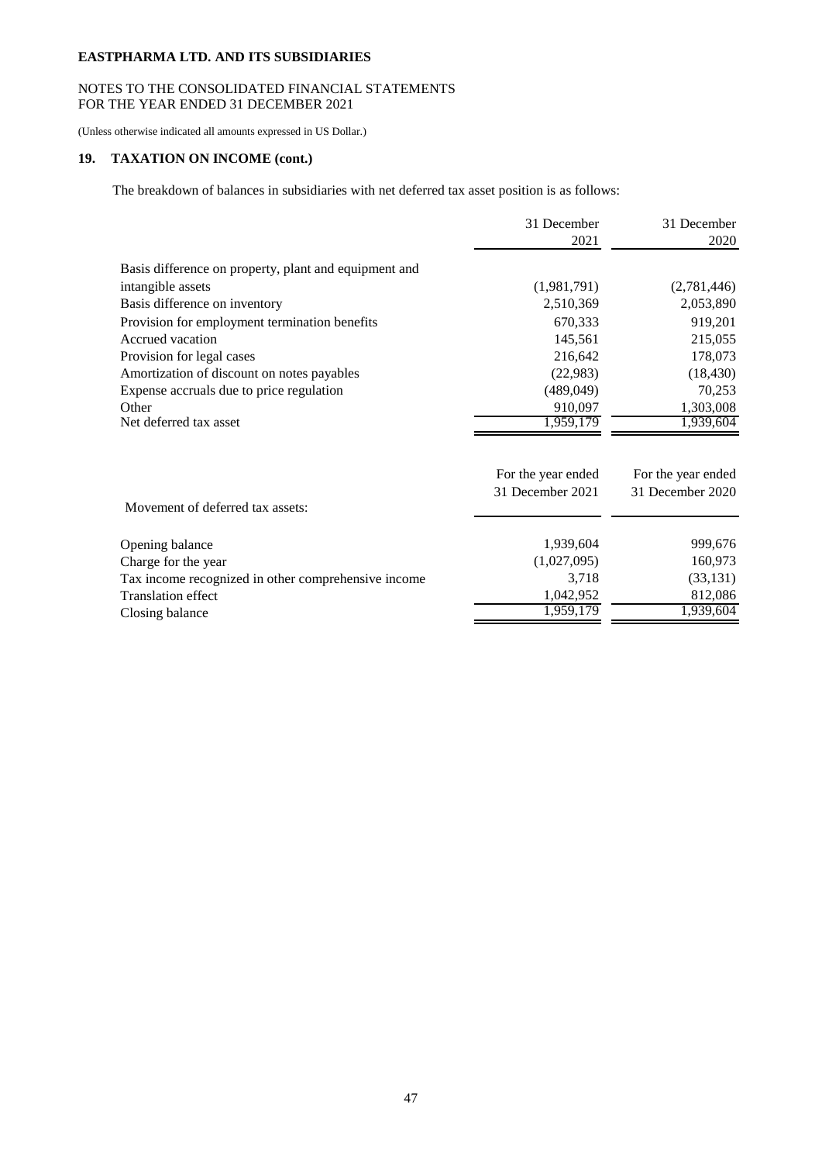# NOTES TO THE CONSOLIDATED FINANCIAL STATEMENTS FOR THE YEAR ENDED 31 DECEMBER 2021

(Unless otherwise indicated all amounts expressed in US Dollar.)

# **19. TAXATION ON INCOME (cont.)**

The breakdown of balances in subsidiaries with net deferred tax asset position is as follows:

|                                                       | 31 December        | 31 December        |
|-------------------------------------------------------|--------------------|--------------------|
|                                                       | 2021               | 2020               |
| Basis difference on property, plant and equipment and |                    |                    |
| intangible assets                                     | (1,981,791)        | (2,781,446)        |
| Basis difference on inventory                         | 2,510,369          | 2,053,890          |
| Provision for employment termination benefits         | 670,333            | 919,201            |
| Accrued vacation                                      | 145,561            | 215,055            |
| Provision for legal cases                             | 216,642            | 178,073            |
| Amortization of discount on notes payables            | (22,983)           | (18, 430)          |
| Expense accruals due to price regulation              | (489, 049)         | 70,253             |
| Other                                                 | 910,097            | 1,303,008          |
| Net deferred tax asset                                | 1,959,179          | 1,939,604          |
|                                                       | For the year ended | For the year ended |
|                                                       | 31 December 2021   | 31 December 2020   |
| Movement of deferred tax assets:                      |                    |                    |
| Opening balance                                       | 1,939,604          | 999,676            |
|                                                       |                    |                    |

| Opening balance                                     | 1,939,604   | 999.676   |
|-----------------------------------------------------|-------------|-----------|
| Charge for the year                                 | (1,027,095) | 160.973   |
| Tax income recognized in other comprehensive income | 3.718       | (33, 131) |
| Translation effect                                  | 1.042.952   | 812.086   |
| Closing balance                                     | 1.959.179   | 1.939.604 |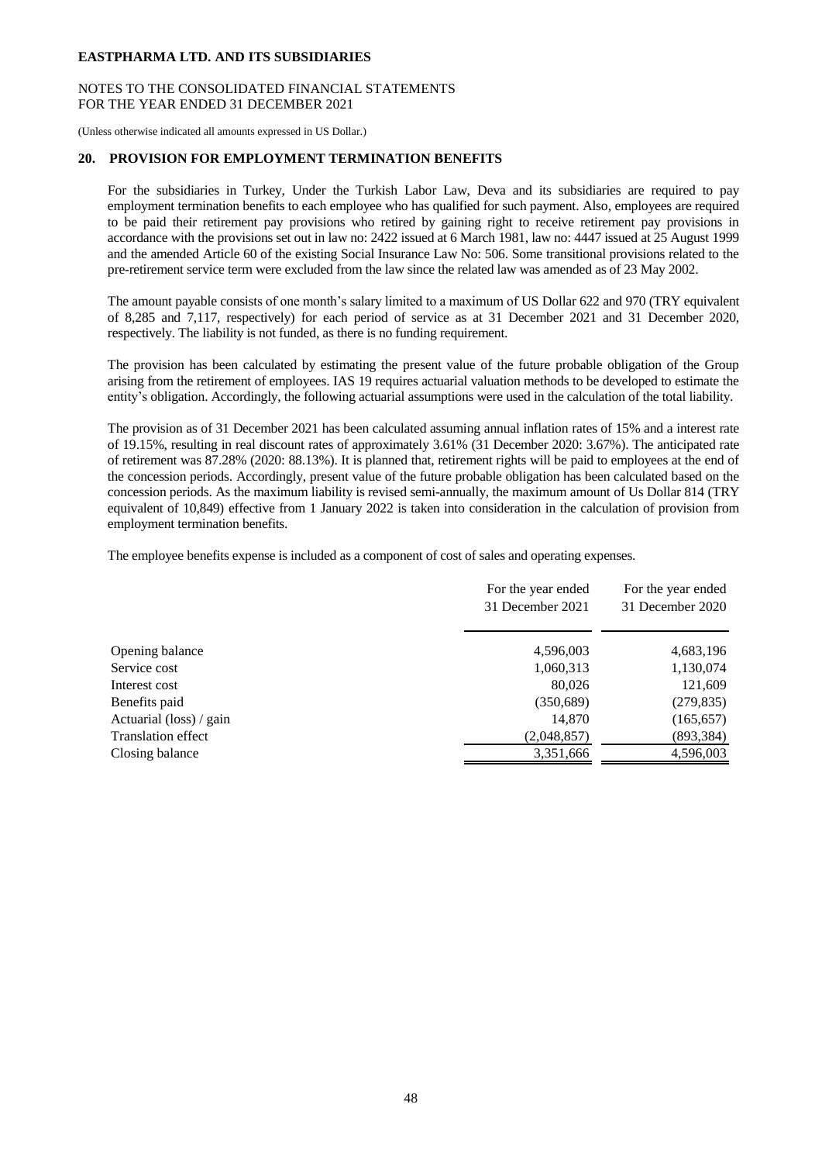## NOTES TO THE CONSOLIDATED FINANCIAL STATEMENTS FOR THE YEAR ENDED 31 DECEMBER 2021

(Unless otherwise indicated all amounts expressed in US Dollar.)

#### **20. PROVISION FOR EMPLOYMENT TERMINATION BENEFITS**

For the subsidiaries in Turkey, Under the Turkish Labor Law, Deva and its subsidiaries are required to pay employment termination benefits to each employee who has qualified for such payment. Also, employees are required to be paid their retirement pay provisions who retired by gaining right to receive retirement pay provisions in accordance with the provisions set out in law no: 2422 issued at 6 March 1981, law no: 4447 issued at 25 August 1999 and the amended Article 60 of the existing Social Insurance Law No: 506. Some transitional provisions related to the pre-retirement service term were excluded from the law since the related law was amended as of 23 May 2002.

The amount payable consists of one month's salary limited to a maximum of US Dollar 622 and 970 (TRY equivalent of 8,285 and 7,117, respectively) for each period of service as at 31 December 2021 and 31 December 2020, respectively. The liability is not funded, as there is no funding requirement.

The provision has been calculated by estimating the present value of the future probable obligation of the Group arising from the retirement of employees. IAS 19 requires actuarial valuation methods to be developed to estimate the entity's obligation. Accordingly, the following actuarial assumptions were used in the calculation of the total liability.

The provision as of 31 December 2021 has been calculated assuming annual inflation rates of 15% and a interest rate of 19.15%, resulting in real discount rates of approximately 3.61% (31 December 2020: 3.67%). The anticipated rate of retirement was 87.28% (2020: 88.13%). It is planned that, retirement rights will be paid to employees at the end of the concession periods. Accordingly, present value of the future probable obligation has been calculated based on the concession periods. As the maximum liability is revised semi-annually, the maximum amount of Us Dollar 814 (TRY equivalent of 10,849) effective from 1 January 2022 is taken into consideration in the calculation of provision from employment termination benefits.

The employee benefits expense is included as a component of cost of sales and operating expenses.

|                           | For the year ended<br>31 December 2021 | For the year ended<br>31 December 2020 |
|---------------------------|----------------------------------------|----------------------------------------|
| Opening balance           | 4,596,003                              | 4,683,196                              |
| Service cost              | 1,060,313                              | 1,130,074                              |
| Interest cost             | 80,026                                 | 121,609                                |
| Benefits paid             | (350,689)                              | (279, 835)                             |
| Actuarial (loss) / gain   | 14,870                                 | (165, 657)                             |
| <b>Translation effect</b> | (2,048,857)                            | (893,384)                              |
| Closing balance           | 3,351,666                              | 4,596,003                              |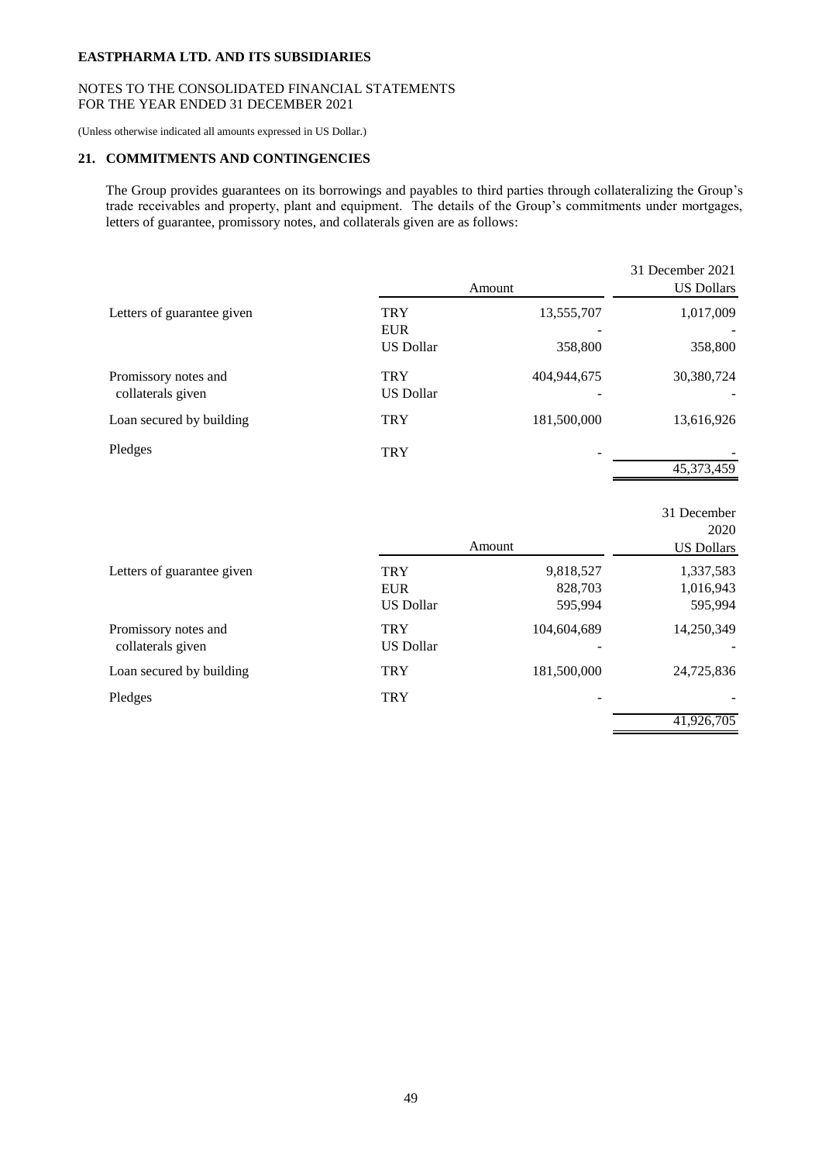# NOTES TO THE CONSOLIDATED FINANCIAL STATEMENTS FOR THE YEAR ENDED 31 DECEMBER 2021

(Unless otherwise indicated all amounts expressed in US Dollar.)

# **21. COMMITMENTS AND CONTINGENCIES**

The Group provides guarantees on its borrowings and payables to third parties through collateralizing the Group's trade receivables and property, plant and equipment. The details of the Group's commitments under mortgages, letters of guarantee, promissory notes, and collaterals given are as follows:

| 13,555,707  | 1,017,009  |
|-------------|------------|
|             |            |
| 358,800     | 358,800    |
| 404,944,675 | 30,380,724 |
| 181,500,000 | 13,616,926 |
|             |            |
|             | 45,373,459 |
|             |            |

|                                           |                                              | Amount                          | 31 December<br>2020<br><b>US Dollars</b> |
|-------------------------------------------|----------------------------------------------|---------------------------------|------------------------------------------|
| Letters of guarantee given                | <b>TRY</b><br><b>EUR</b><br><b>US Dollar</b> | 9,818,527<br>828,703<br>595,994 | 1,337,583<br>1,016,943<br>595,994        |
| Promissory notes and<br>collaterals given | <b>TRY</b><br><b>US Dollar</b>               | 104,604,689                     | 14,250,349                               |
| Loan secured by building                  | <b>TRY</b>                                   | 181,500,000                     | 24,725,836                               |
| Pledges                                   | <b>TRY</b>                                   |                                 |                                          |
|                                           |                                              |                                 | 41,926,705                               |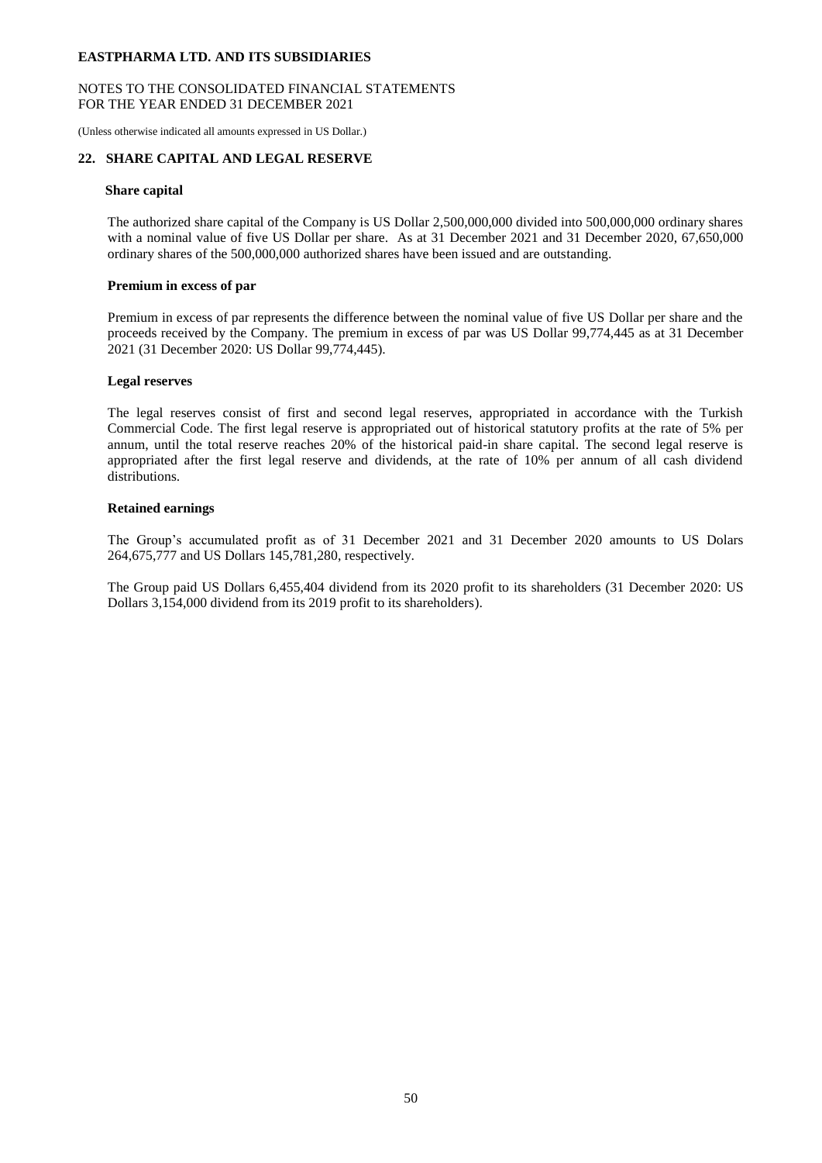## NOTES TO THE CONSOLIDATED FINANCIAL STATEMENTS FOR THE YEAR ENDED 31 DECEMBER 2021

(Unless otherwise indicated all amounts expressed in US Dollar.)

## **22. SHARE CAPITAL AND LEGAL RESERVE**

#### **Share capital**

The authorized share capital of the Company is US Dollar 2,500,000,000 divided into 500,000,000 ordinary shares with a nominal value of five US Dollar per share. As at 31 December 2021 and 31 December 2020, 67,650,000 ordinary shares of the 500,000,000 authorized shares have been issued and are outstanding.

#### **Premium in excess of par**

Premium in excess of par represents the difference between the nominal value of five US Dollar per share and the proceeds received by the Company. The premium in excess of par was US Dollar 99,774,445 as at 31 December 2021 (31 December 2020: US Dollar 99,774,445).

#### **Legal reserves**

The legal reserves consist of first and second legal reserves, appropriated in accordance with the Turkish Commercial Code. The first legal reserve is appropriated out of historical statutory profits at the rate of 5% per annum, until the total reserve reaches 20% of the historical paid-in share capital. The second legal reserve is appropriated after the first legal reserve and dividends, at the rate of 10% per annum of all cash dividend distributions.

## **Retained earnings**

The Group's accumulated profit as of 31 December 2021 and 31 December 2020 amounts to US Dolars 264,675,777 and US Dollars 145,781,280, respectively.

The Group paid US Dollars 6,455,404 dividend from its 2020 profit to its shareholders (31 December 2020: US Dollars 3,154,000 dividend from its 2019 profit to its shareholders).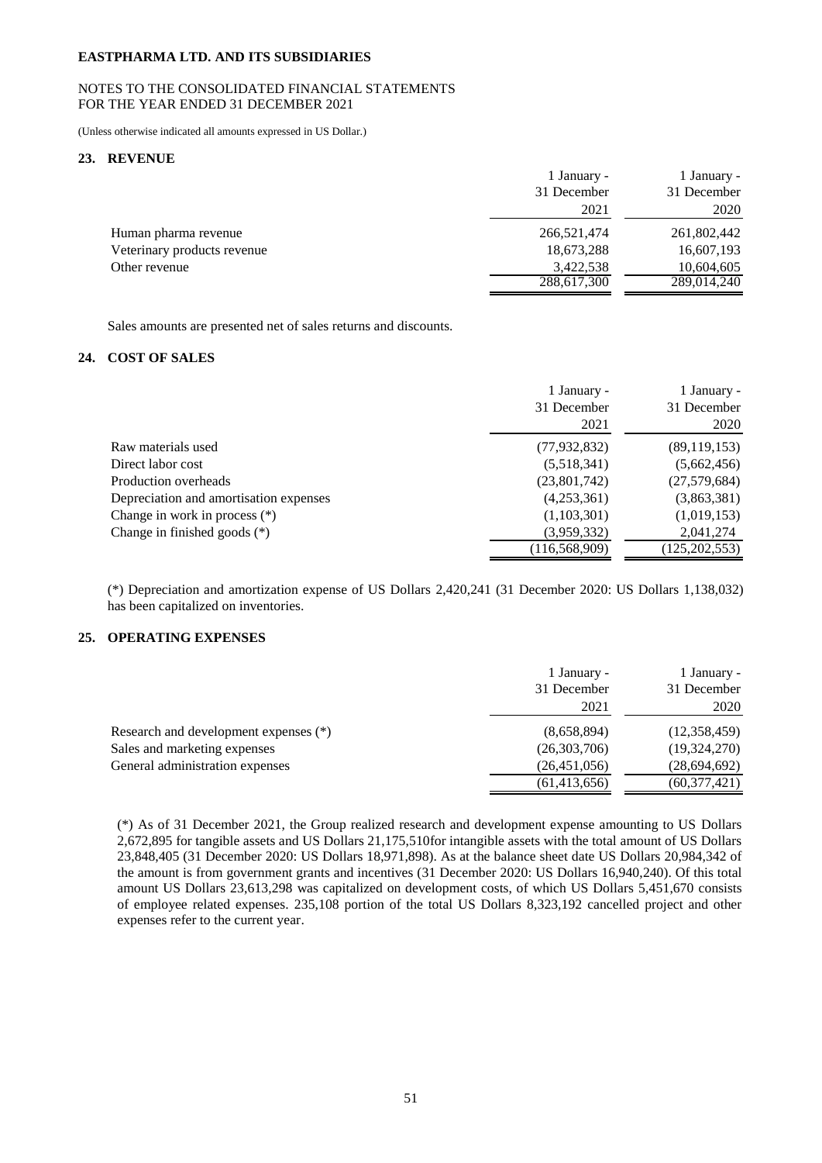## NOTES TO THE CONSOLIDATED FINANCIAL STATEMENTS FOR THE YEAR ENDED 31 DECEMBER 2021

(Unless otherwise indicated all amounts expressed in US Dollar.)

## **23. REVENUE**

|                             | 1 January - | 1 January - |
|-----------------------------|-------------|-------------|
|                             | 31 December | 31 December |
|                             | 2021        | 2020        |
| Human pharma revenue        | 266,521,474 | 261,802,442 |
| Veterinary products revenue | 18,673,288  | 16,607,193  |
| Other revenue               | 3,422,538   | 10,604,605  |
|                             | 288,617,300 | 289,014,240 |

Sales amounts are presented net of sales returns and discounts.

## **24. COST OF SALES**

|                                        | 1 January -<br>31 December<br>2021 | 1 January -<br>31 December<br>2020 |
|----------------------------------------|------------------------------------|------------------------------------|
| Raw materials used                     | (77, 932, 832)                     | (89, 119, 153)                     |
| Direct labor cost                      | (5,518,341)                        | (5,662,456)                        |
| Production overheads                   | (23,801,742)                       | (27,579,684)                       |
| Depreciation and amortisation expenses | (4,253,361)                        | (3,863,381)                        |
| Change in work in process $(*)$        | (1,103,301)                        | (1,019,153)                        |
| Change in finished goods $(*)$         | (3,959,332)                        | 2,041,274                          |
|                                        | (116, 568, 909)                    | (125, 202, 553)                    |

(\*) Depreciation and amortization expense of US Dollars 2,420,241 (31 December 2020: US Dollars 1,138,032) has been capitalized on inventories.

# **25. OPERATING EXPENSES**

|                                       | 1 January -<br>31 December<br>2021 | 1 January -<br>31 December<br>2020 |
|---------------------------------------|------------------------------------|------------------------------------|
| Research and development expenses (*) | (8,658,894)                        | (12,358,459)                       |
| Sales and marketing expenses          | (26,303,706)                       | (19, 324, 270)                     |
| General administration expenses       | (26, 451, 056)                     | (28,694,692)                       |
|                                       | (61, 413, 656)                     | (60, 377, 421)                     |

(\*) As of 31 December 2021, the Group realized research and development expense amounting to US Dollars 2,672,895 for tangible assets and US Dollars 21,175,510for intangible assets with the total amount of US Dollars 23,848,405 (31 December 2020: US Dollars 18,971,898). As at the balance sheet date US Dollars 20,984,342 of the amount is from government grants and incentives (31 December 2020: US Dollars 16,940,240). Of this total amount US Dollars 23,613,298 was capitalized on development costs, of which US Dollars 5,451,670 consists of employee related expenses. 235,108 portion of the total US Dollars 8,323,192 cancelled project and other expenses refer to the current year.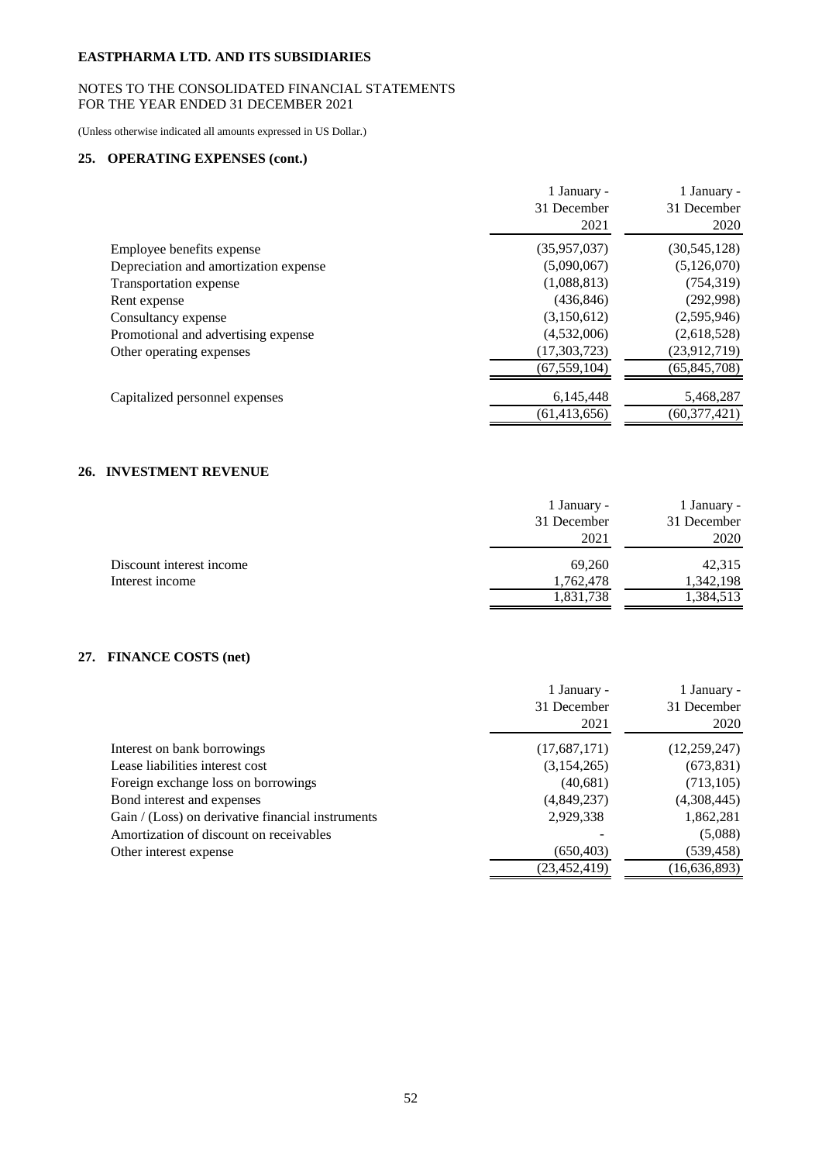# NOTES TO THE CONSOLIDATED FINANCIAL STATEMENTS FOR THE YEAR ENDED 31 DECEMBER 2021

(Unless otherwise indicated all amounts expressed in US Dollar.)

# **25. OPERATING EXPENSES (cont.)**

|                                       | 1 January -<br>31 December<br>2021 | 1 January -<br>31 December<br>2020 |
|---------------------------------------|------------------------------------|------------------------------------|
| Employee benefits expense             | (35,957,037)                       | (30, 545, 128)                     |
| Depreciation and amortization expense | (5,090,067)                        | (5, 126, 070)                      |
| Transportation expense                | (1,088,813)                        | (754, 319)                         |
| Rent expense                          | (436, 846)                         | (292,998)                          |
| Consultancy expense                   | (3,150,612)                        | (2,595,946)                        |
| Promotional and advertising expense   | (4,532,006)                        | (2,618,528)                        |
| Other operating expenses              | (17,303,723)                       | (23, 912, 719)                     |
|                                       | (67, 559, 104)                     | (65, 845, 708)                     |
| Capitalized personnel expenses        | 6,145,448                          | 5,468,287                          |
|                                       | (61, 413, 656)                     | (60, 377, 421)                     |

# **26. INVESTMENT REVENUE**

|                          | 1 January - | 1 January - |
|--------------------------|-------------|-------------|
|                          | 31 December | 31 December |
|                          | 2021        | 2020        |
| Discount interest income | 69.260      | 42,315      |
| Interest income          | 1,762,478   | 1,342,198   |
|                          | 1,831,738   | 1,384,513   |

# **27. FINANCE COSTS (net)**

|                                                   | 1 January -    | 1 January -    |
|---------------------------------------------------|----------------|----------------|
|                                                   | 31 December    | 31 December    |
|                                                   | 2021           | 2020           |
| Interest on bank borrowings                       | (17,687,171)   | (12,259,247)   |
| Lease liabilities interest cost                   | (3,154,265)    | (673, 831)     |
| Foreign exchange loss on borrowings               | (40,681)       | (713, 105)     |
| Bond interest and expenses                        | (4,849,237)    | (4,308,445)    |
| Gain / (Loss) on derivative financial instruments | 2,929,338      | 1,862,281      |
| Amortization of discount on receivables           |                | (5,088)        |
| Other interest expense                            | (650, 403)     | (539, 458)     |
|                                                   | (23, 452, 419) | (16, 636, 893) |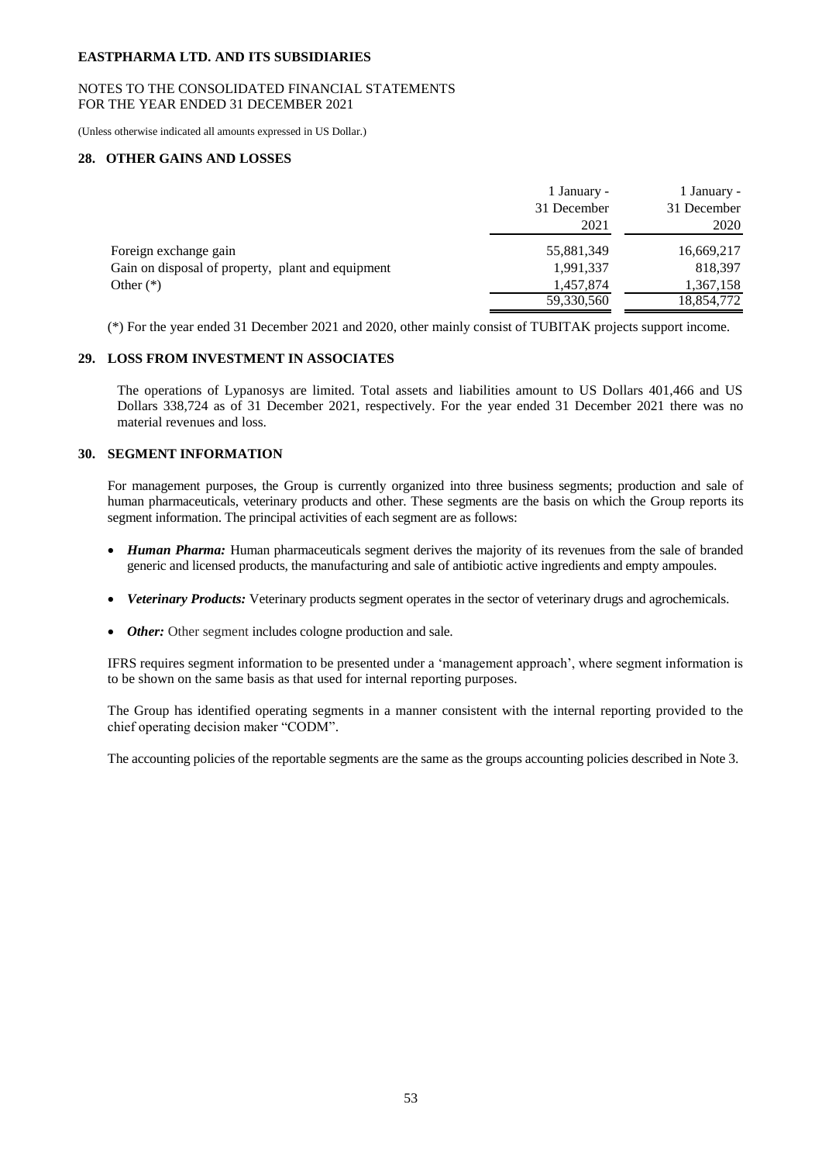## NOTES TO THE CONSOLIDATED FINANCIAL STATEMENTS FOR THE YEAR ENDED 31 DECEMBER 2021

(Unless otherwise indicated all amounts expressed in US Dollar.)

## **28. OTHER GAINS AND LOSSES**

|                                                   | 1 January - | 1 January - |
|---------------------------------------------------|-------------|-------------|
|                                                   | 31 December | 31 December |
|                                                   | 2021        | 2020        |
| Foreign exchange gain                             | 55,881,349  | 16,669,217  |
| Gain on disposal of property, plant and equipment | 1,991,337   | 818,397     |
| Other $(*)$                                       | 1,457,874   | 1,367,158   |
|                                                   | 59,330,560  | 18,854,772  |

(\*) For the year ended 31 December 2021 and 2020, other mainly consist of TUBITAK projects support income.

# **29. LOSS FROM INVESTMENT IN ASSOCIATES**

The operations of Lypanosys are limited. Total assets and liabilities amount to US Dollars 401,466 and US Dollars 338,724 as of 31 December 2021, respectively. For the year ended 31 December 2021 there was no material revenues and loss.

## **30. SEGMENT INFORMATION**

For management purposes, the Group is currently organized into three business segments; production and sale of human pharmaceuticals, veterinary products and other. These segments are the basis on which the Group reports its segment information. The principal activities of each segment are as follows:

- *Human Pharma:* Human pharmaceuticals segment derives the majority of its revenues from the sale of branded generic and licensed products, the manufacturing and sale of antibiotic active ingredients and empty ampoules.
- *Veterinary Products:* Veterinary products segment operates in the sector of veterinary drugs and agrochemicals.
- *Other:* Other segment includes cologne production and sale.

IFRS requires segment information to be presented under a 'management approach', where segment information is to be shown on the same basis as that used for internal reporting purposes.

The Group has identified operating segments in a manner consistent with the internal reporting provided to the chief operating decision maker "CODM".

The accounting policies of the reportable segments are the same as the groups accounting policies described in Note 3.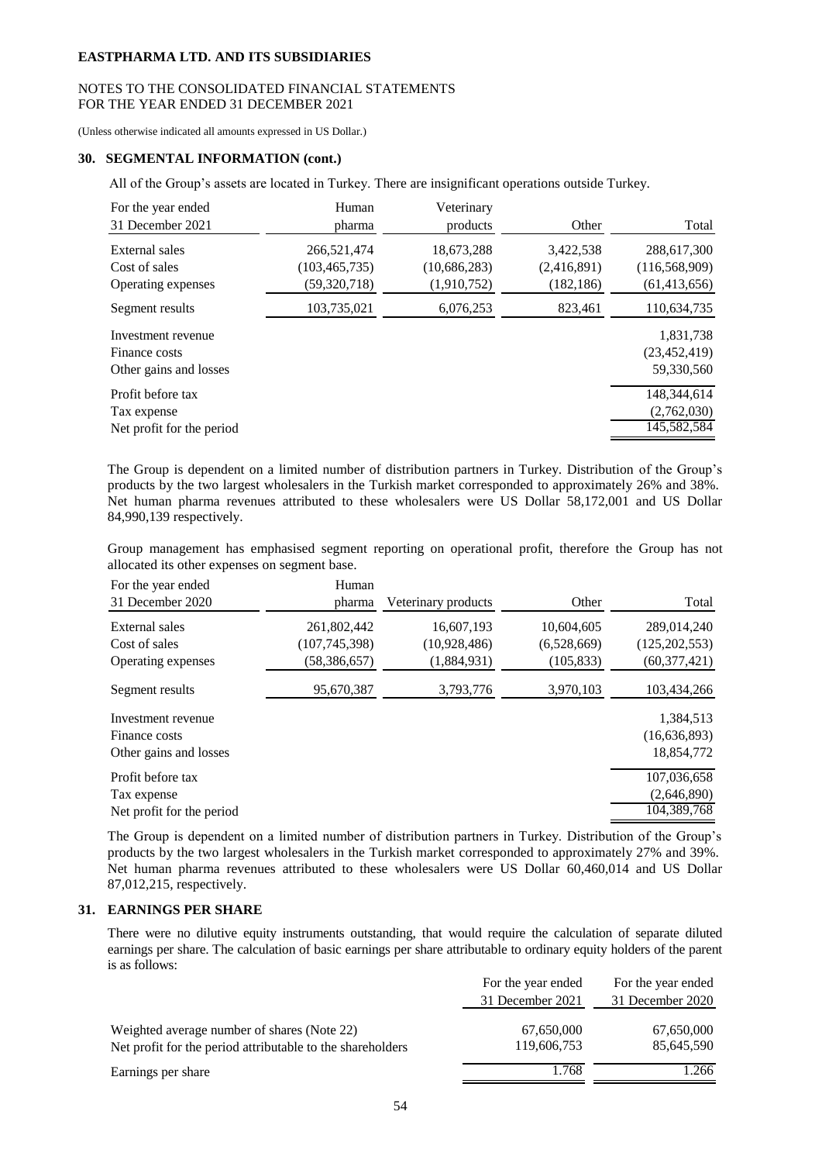## NOTES TO THE CONSOLIDATED FINANCIAL STATEMENTS FOR THE YEAR ENDED 31 DECEMBER 2021

(Unless otherwise indicated all amounts expressed in US Dollar.)

## **30. SEGMENTAL INFORMATION (cont.)**

All of the Group's assets are located in Turkey. There are insignificant operations outside Turkey.

| For the year ended<br>31 December 2021                        | Human<br>pharma                                  | Veterinary<br>products                      | Other                                  | Total                                            |
|---------------------------------------------------------------|--------------------------------------------------|---------------------------------------------|----------------------------------------|--------------------------------------------------|
| External sales<br>Cost of sales<br>Operating expenses         | 266,521,474<br>(103, 465, 735)<br>(59, 320, 718) | 18,673,288<br>(10, 686, 283)<br>(1,910,752) | 3,422,538<br>(2,416,891)<br>(182, 186) | 288,617,300<br>(116, 568, 909)<br>(61, 413, 656) |
| Segment results                                               | 103,735,021                                      | 6,076,253                                   | 823,461                                | 110,634,735                                      |
| Investment revenue<br>Finance costs<br>Other gains and losses |                                                  |                                             |                                        | 1,831,738<br>(23, 452, 419)<br>59,330,560        |
| Profit before tax<br>Tax expense<br>Net profit for the period |                                                  |                                             |                                        | 148.344.614<br>(2,762,030)<br>145,582,584        |

The Group is dependent on a limited number of distribution partners in Turkey. Distribution of the Group's products by the two largest wholesalers in the Turkish market corresponded to approximately 26% and 38%. Net human pharma revenues attributed to these wholesalers were US Dollar 58,172,001 and US Dollar 84,990,139 respectively.

Group management has emphasised segment reporting on operational profit, therefore the Group has not allocated its other expenses on segment base.

| For the year ended<br>31 December 2020                        | Human<br>pharma                                  | Veterinary products                       | Other                                   | Total                                            |
|---------------------------------------------------------------|--------------------------------------------------|-------------------------------------------|-----------------------------------------|--------------------------------------------------|
| External sales<br>Cost of sales<br>Operating expenses         | 261,802,442<br>(107, 745, 398)<br>(58, 386, 657) | 16,607,193<br>(10,928,486)<br>(1,884,931) | 10,604,605<br>(6,528,669)<br>(105, 833) | 289,014,240<br>(125, 202, 553)<br>(60, 377, 421) |
| Segment results                                               | 95,670,387                                       | 3,793,776                                 | 3,970,103                               | 103,434,266                                      |
| Investment revenue<br>Finance costs<br>Other gains and losses |                                                  |                                           |                                         | 1,384,513<br>(16,636,893)<br>18,854,772          |
| Profit before tax<br>Tax expense<br>Net profit for the period |                                                  |                                           |                                         | 107,036,658<br>(2,646,890)<br>104,389,768        |

The Group is dependent on a limited number of distribution partners in Turkey. Distribution of the Group's products by the two largest wholesalers in the Turkish market corresponded to approximately 27% and 39%. Net human pharma revenues attributed to these wholesalers were US Dollar 60,460,014 and US Dollar 87,012,215, respectively.

#### **31. EARNINGS PER SHARE**

There were no dilutive equity instruments outstanding, that would require the calculation of separate diluted earnings per share. The calculation of basic earnings per share attributable to ordinary equity holders of the parent is as follows:

|                                                                                                           | For the year ended        | For the year ended       |
|-----------------------------------------------------------------------------------------------------------|---------------------------|--------------------------|
|                                                                                                           | 31 December 2021          | 31 December 2020         |
| Weighted average number of shares (Note 22)<br>Net profit for the period attributable to the shareholders | 67,650,000<br>119,606,753 | 67,650,000<br>85,645,590 |
| Earnings per share                                                                                        | 1.768                     | 1.266                    |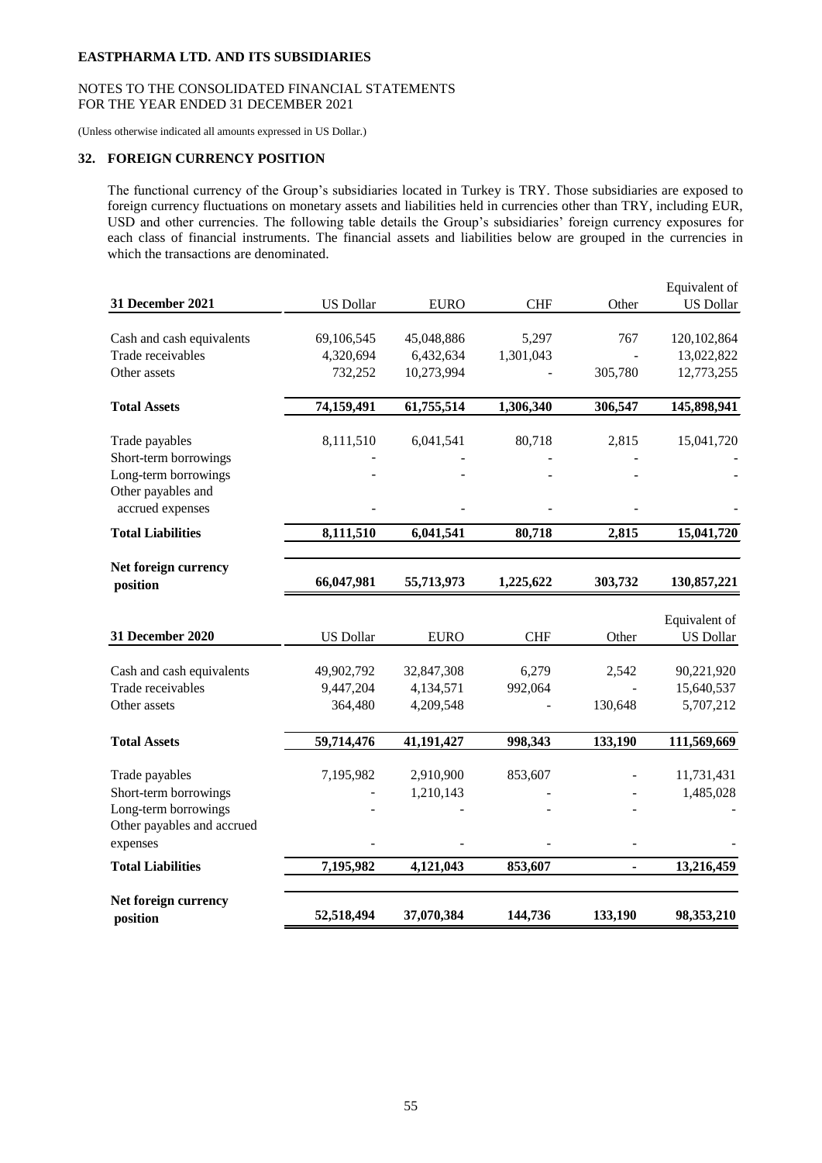## NOTES TO THE CONSOLIDATED FINANCIAL STATEMENTS FOR THE YEAR ENDED 31 DECEMBER 2021

(Unless otherwise indicated all amounts expressed in US Dollar.)

# **32. FOREIGN CURRENCY POSITION**

The functional currency of the Group's subsidiaries located in Turkey is TRY. Those subsidiaries are exposed to foreign currency fluctuations on monetary assets and liabilities held in currencies other than TRY, including EUR, USD and other currencies. The following table details the Group's subsidiaries' foreign currency exposures for each class of financial instruments. The financial assets and liabilities below are grouped in the currencies in which the transactions are denominated.

| 31 December 2021           | <b>US Dollar</b> | <b>EURO</b> | <b>CHF</b> | Other   | Equivalent of<br><b>US Dollar</b> |
|----------------------------|------------------|-------------|------------|---------|-----------------------------------|
|                            |                  |             |            |         |                                   |
| Cash and cash equivalents  | 69,106,545       | 45,048,886  | 5,297      | 767     | 120,102,864                       |
| Trade receivables          | 4,320,694        | 6,432,634   | 1,301,043  |         | 13,022,822                        |
| Other assets               | 732,252          | 10,273,994  |            | 305,780 | 12,773,255                        |
| <b>Total Assets</b>        | 74,159,491       | 61,755,514  | 1,306,340  | 306,547 | 145,898,941                       |
| Trade payables             | 8,111,510        | 6,041,541   | 80,718     | 2,815   | 15,041,720                        |
| Short-term borrowings      |                  |             |            |         |                                   |
| Long-term borrowings       |                  |             |            |         |                                   |
| Other payables and         |                  |             |            |         |                                   |
| accrued expenses           |                  |             |            |         |                                   |
| <b>Total Liabilities</b>   | 8,111,510        | 6,041,541   | 80,718     | 2,815   | 15,041,720                        |
| Net foreign currency       |                  |             |            |         |                                   |
| position                   | 66,047,981       | 55,713,973  | 1,225,622  | 303,732 | 130,857,221                       |
|                            |                  |             |            |         |                                   |
| 31 December 2020           | <b>US Dollar</b> | <b>EURO</b> | <b>CHF</b> | Other   | Equivalent of<br><b>US Dollar</b> |
|                            |                  |             |            |         |                                   |
| Cash and cash equivalents  | 49,902,792       | 32,847,308  | 6,279      | 2,542   | 90,221,920                        |
| Trade receivables          | 9,447,204        | 4,134,571   | 992,064    |         | 15,640,537                        |
| Other assets               | 364,480          | 4,209,548   |            | 130,648 | 5,707,212                         |
| <b>Total Assets</b>        | 59,714,476       | 41,191,427  | 998,343    | 133,190 | 111,569,669                       |
| Trade payables             | 7,195,982        | 2,910,900   | 853,607    |         | 11,731,431                        |
| Short-term borrowings      |                  | 1,210,143   |            |         | 1,485,028                         |
| Long-term borrowings       |                  |             |            |         |                                   |
| Other payables and accrued |                  |             |            |         |                                   |
| expenses                   |                  |             |            |         |                                   |
| <b>Total Liabilities</b>   | 7,195,982        | 4,121,043   | 853,607    |         | 13,216,459                        |
| Net foreign currency       |                  |             |            |         |                                   |
| position                   | 52,518,494       | 37,070,384  | 144,736    | 133,190 | 98,353,210                        |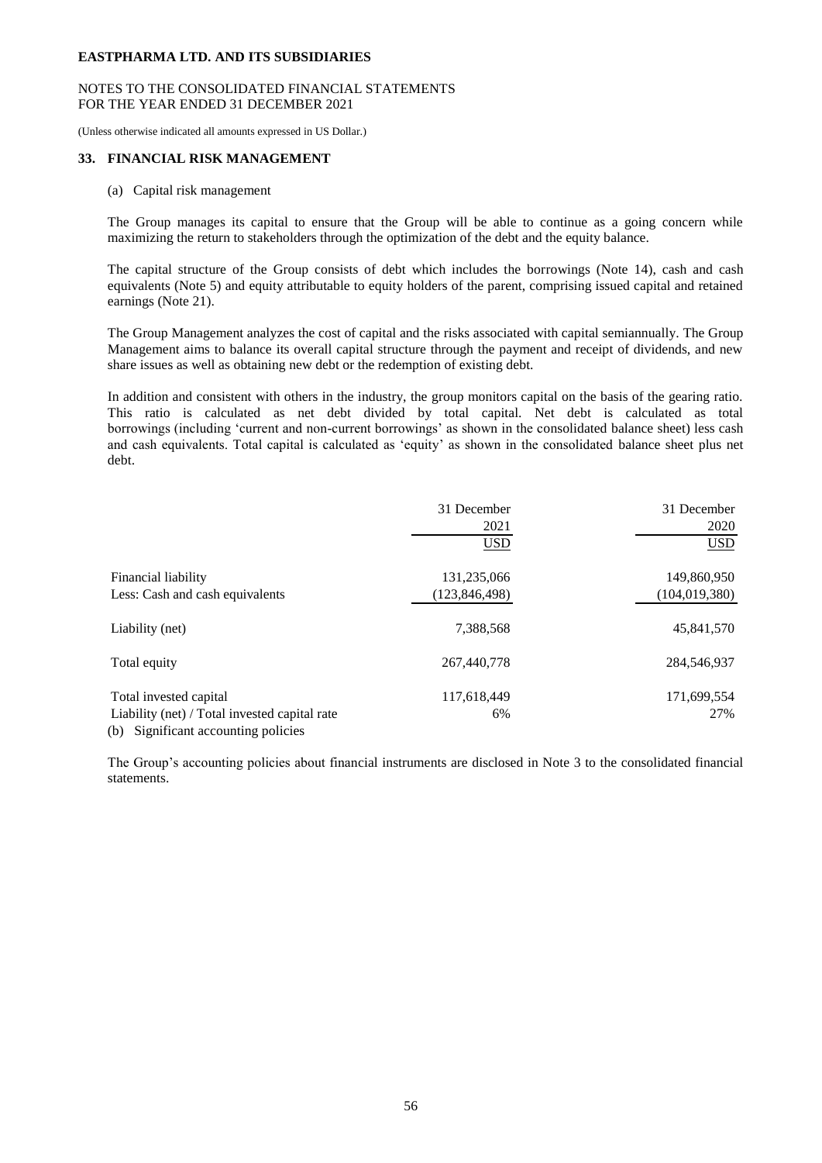## NOTES TO THE CONSOLIDATED FINANCIAL STATEMENTS FOR THE YEAR ENDED 31 DECEMBER 2021

(Unless otherwise indicated all amounts expressed in US Dollar.)

## **33. FINANCIAL RISK MANAGEMENT**

(a) Capital risk management

The Group manages its capital to ensure that the Group will be able to continue as a going concern while maximizing the return to stakeholders through the optimization of the debt and the equity balance.

The capital structure of the Group consists of debt which includes the borrowings (Note 14), cash and cash equivalents (Note 5) and equity attributable to equity holders of the parent, comprising issued capital and retained earnings (Note 21).

The Group Management analyzes the cost of capital and the risks associated with capital semiannually. The Group Management aims to balance its overall capital structure through the payment and receipt of dividends, and new share issues as well as obtaining new debt or the redemption of existing debt.

In addition and consistent with others in the industry, the group monitors capital on the basis of the gearing ratio. This ratio is calculated as net debt divided by total capital. Net debt is calculated as total borrowings (including 'current and non-current borrowings' as shown in the consolidated balance sheet) less cash and cash equivalents. Total capital is calculated as 'equity' as shown in the consolidated balance sheet plus net debt.

|                                                                                      | 31 December   | 31 December     |
|--------------------------------------------------------------------------------------|---------------|-----------------|
|                                                                                      | 2021          | 2020            |
|                                                                                      | <b>USD</b>    | <b>USD</b>      |
| Financial liability                                                                  | 131,235,066   | 149,860,950     |
| Less: Cash and cash equivalents                                                      | (123,846,498) | (104, 019, 380) |
| Liability (net)                                                                      | 7,388,568     | 45,841,570      |
| Total equity                                                                         | 267,440,778   | 284,546,937     |
| Total invested capital                                                               | 117,618,449   | 171,699,554     |
| Liability (net) / Total invested capital rate<br>(b) Significant accounting policies | 6%            | 27%             |

The Group's accounting policies about financial instruments are disclosed in Note 3 to the consolidated financial statements.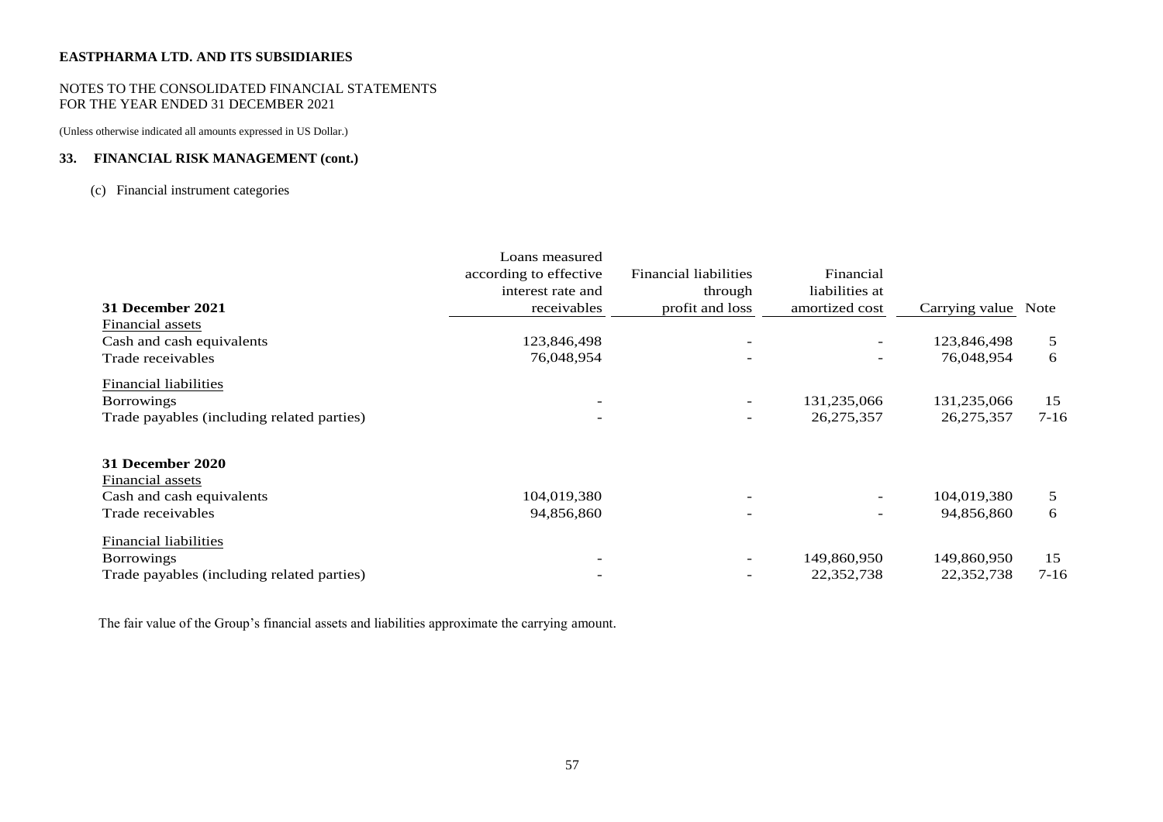## NOTES TO THE CONSOLIDATED FINANCIAL STATEMENTS FOR THE YEAR ENDED 31 DECEMBER 2021

(Unless otherwise indicated all amounts expressed in US Dollar.)

# **33. FINANCIAL RISK MANAGEMENT (cont.)**

# (c) Financial instrument categories

|                                            | Loans measured         |                              |                          |                     |          |
|--------------------------------------------|------------------------|------------------------------|--------------------------|---------------------|----------|
|                                            | according to effective | <b>Financial liabilities</b> | Financial                |                     |          |
|                                            | interest rate and      | through                      | liabilities at           |                     |          |
| 31 December 2021                           | receivables            | profit and loss              | amortized cost           | Carrying value Note |          |
| Financial assets                           |                        |                              |                          |                     |          |
| Cash and cash equivalents                  | 123,846,498            |                              | $\overline{\phantom{a}}$ | 123,846,498         | 5        |
| Trade receivables                          | 76,048,954             |                              | -                        | 76,048,954          | 6        |
| Financial liabilities                      |                        |                              |                          |                     |          |
| <b>Borrowings</b>                          |                        |                              | 131,235,066              | 131,235,066         | 15       |
| Trade payables (including related parties) |                        | $\overline{\phantom{a}}$     | 26,275,357               | 26, 275, 357        | $7 - 16$ |
| 31 December 2020                           |                        |                              |                          |                     |          |
| Financial assets                           |                        |                              |                          |                     |          |
| Cash and cash equivalents                  | 104,019,380            |                              | $\overline{\phantom{0}}$ | 104,019,380         | 5        |
| Trade receivables                          | 94,856,860             |                              | $\overline{\phantom{a}}$ | 94,856,860          | 6        |
| <b>Financial liabilities</b>               |                        |                              |                          |                     |          |
| <b>Borrowings</b>                          |                        |                              | 149,860,950              | 149,860,950         | 15       |
| Trade payables (including related parties) |                        | $\overline{\phantom{0}}$     | 22,352,738               | 22,352,738          | $7 - 16$ |

The fair value of the Group's financial assets and liabilities approximate the carrying amount.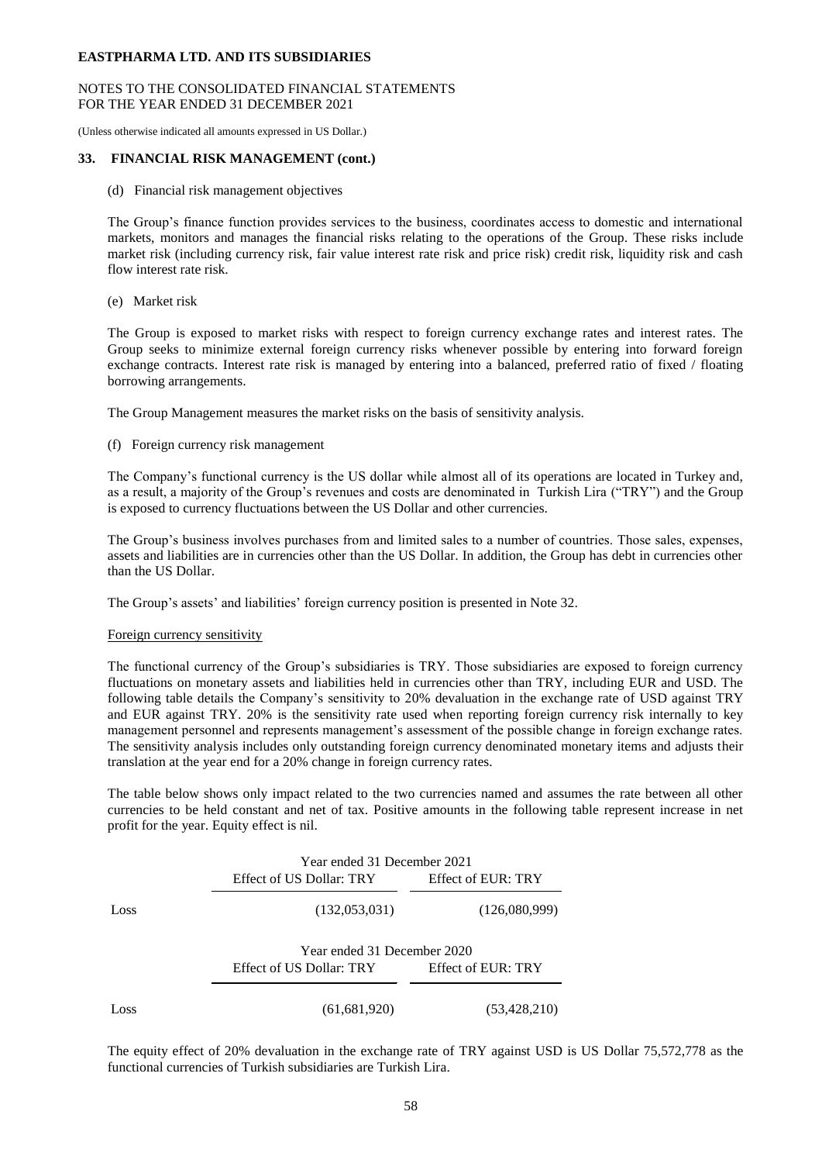## NOTES TO THE CONSOLIDATED FINANCIAL STATEMENTS FOR THE YEAR ENDED 31 DECEMBER 2021

(Unless otherwise indicated all amounts expressed in US Dollar.)

## **33. FINANCIAL RISK MANAGEMENT (cont.)**

(d) Financial risk management objectives

The Group's finance function provides services to the business, coordinates access to domestic and international markets, monitors and manages the financial risks relating to the operations of the Group. These risks include market risk (including currency risk, fair value interest rate risk and price risk) credit risk, liquidity risk and cash flow interest rate risk.

(e) Market risk

The Group is exposed to market risks with respect to foreign currency exchange rates and interest rates. The Group seeks to minimize external foreign currency risks whenever possible by entering into forward foreign exchange contracts. Interest rate risk is managed by entering into a balanced, preferred ratio of fixed / floating borrowing arrangements.

The Group Management measures the market risks on the basis of sensitivity analysis.

## (f) Foreign currency risk management

The Company's functional currency is the US dollar while almost all of its operations are located in Turkey and, as a result, a majority of the Group's revenues and costs are denominated in Turkish Lira ("TRY") and the Group is exposed to currency fluctuations between the US Dollar and other currencies.

The Group's business involves purchases from and limited sales to a number of countries. Those sales, expenses, assets and liabilities are in currencies other than the US Dollar. In addition, the Group has debt in currencies other than the US Dollar.

The Group's assets' and liabilities' foreign currency position is presented in Note 32.

#### Foreign currency sensitivity

The functional currency of the Group's subsidiaries is TRY. Those subsidiaries are exposed to foreign currency fluctuations on monetary assets and liabilities held in currencies other than TRY, including EUR and USD. The following table details the Company's sensitivity to 20% devaluation in the exchange rate of USD against TRY and EUR against TRY. 20% is the sensitivity rate used when reporting foreign currency risk internally to key management personnel and represents management's assessment of the possible change in foreign exchange rates. The sensitivity analysis includes only outstanding foreign currency denominated monetary items and adjusts their translation at the year end for a 20% change in foreign currency rates.

The table below shows only impact related to the two currencies named and assumes the rate between all other currencies to be held constant and net of tax. Positive amounts in the following table represent increase in net profit for the year. Equity effect is nil.

|      | Year ended 31 December 2021 |                    |
|------|-----------------------------|--------------------|
|      | Effect of US Dollar: TRY    | Effect of EUR: TRY |
| Loss | (132,053,031)               | (126,080,999)      |
|      | Year ended 31 December 2020 |                    |
|      | Effect of US Dollar: TRY    | Effect of EUR: TRY |
| Loss | (61, 681, 920)              | (53,428,210)       |

The equity effect of 20% devaluation in the exchange rate of TRY against USD is US Dollar 75,572,778 as the functional currencies of Turkish subsidiaries are Turkish Lira.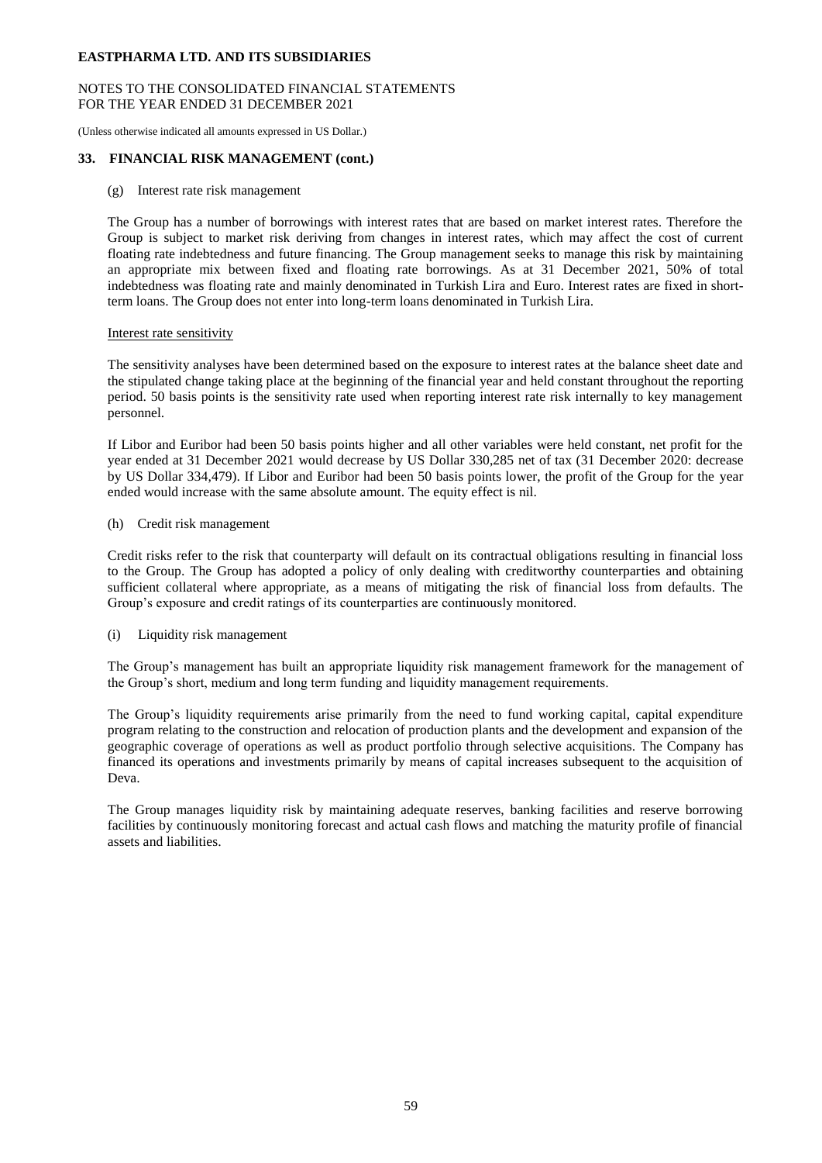## NOTES TO THE CONSOLIDATED FINANCIAL STATEMENTS FOR THE YEAR ENDED 31 DECEMBER 2021

(Unless otherwise indicated all amounts expressed in US Dollar.)

## **33. FINANCIAL RISK MANAGEMENT (cont.)**

(g) Interest rate risk management

The Group has a number of borrowings with interest rates that are based on market interest rates. Therefore the Group is subject to market risk deriving from changes in interest rates, which may affect the cost of current floating rate indebtedness and future financing. The Group management seeks to manage this risk by maintaining an appropriate mix between fixed and floating rate borrowings. As at 31 December 2021, 50% of total indebtedness was floating rate and mainly denominated in Turkish Lira and Euro. Interest rates are fixed in shortterm loans. The Group does not enter into long-term loans denominated in Turkish Lira.

#### Interest rate sensitivity

The sensitivity analyses have been determined based on the exposure to interest rates at the balance sheet date and the stipulated change taking place at the beginning of the financial year and held constant throughout the reporting period. 50 basis points is the sensitivity rate used when reporting interest rate risk internally to key management personnel.

If Libor and Euribor had been 50 basis points higher and all other variables were held constant, net profit for the year ended at 31 December 2021 would decrease by US Dollar 330,285 net of tax (31 December 2020: decrease by US Dollar 334,479). If Libor and Euribor had been 50 basis points lower, the profit of the Group for the year ended would increase with the same absolute amount. The equity effect is nil.

(h) Credit risk management

Credit risks refer to the risk that counterparty will default on its contractual obligations resulting in financial loss to the Group. The Group has adopted a policy of only dealing with creditworthy counterparties and obtaining sufficient collateral where appropriate, as a means of mitigating the risk of financial loss from defaults. The Group's exposure and credit ratings of its counterparties are continuously monitored.

(i) Liquidity risk management

The Group's management has built an appropriate liquidity risk management framework for the management of the Group's short, medium and long term funding and liquidity management requirements.

The Group's liquidity requirements arise primarily from the need to fund working capital, capital expenditure program relating to the construction and relocation of production plants and the development and expansion of the geographic coverage of operations as well as product portfolio through selective acquisitions. The Company has financed its operations and investments primarily by means of capital increases subsequent to the acquisition of Deva.

The Group manages liquidity risk by maintaining adequate reserves, banking facilities and reserve borrowing facilities by continuously monitoring forecast and actual cash flows and matching the maturity profile of financial assets and liabilities.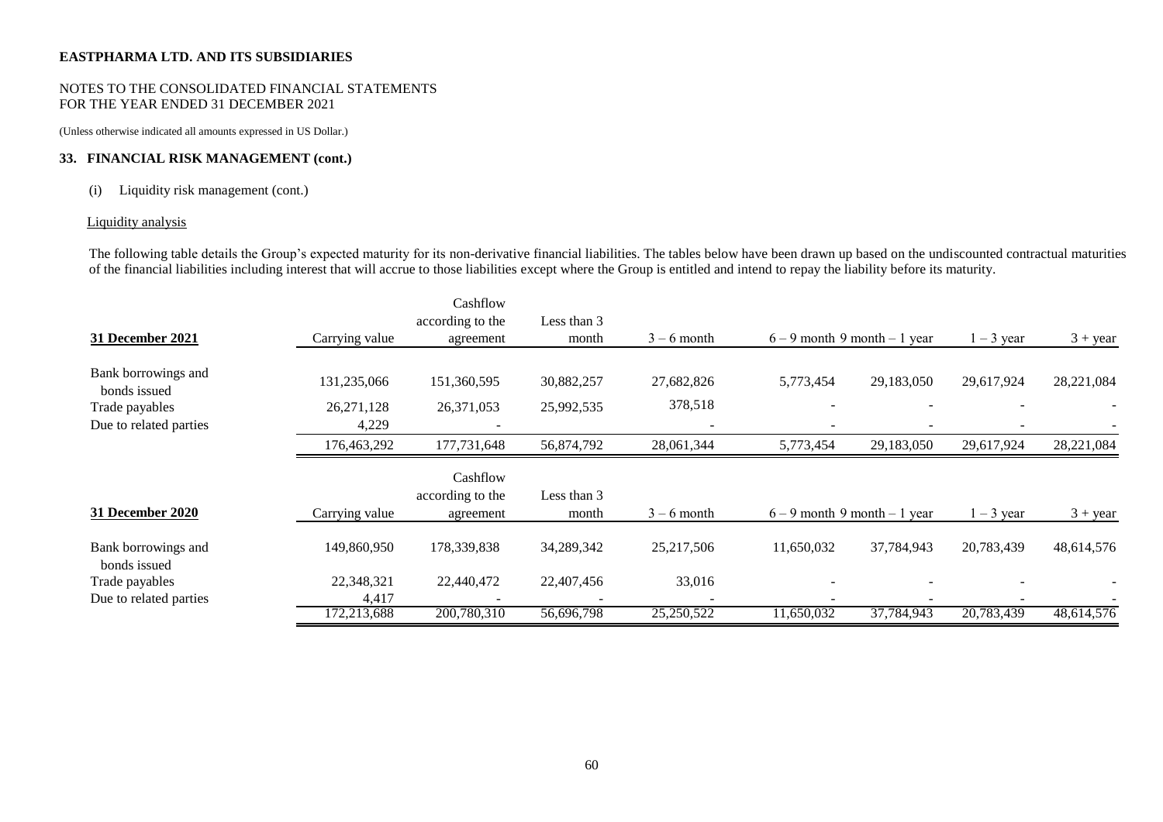## NOTES TO THE CONSOLIDATED FINANCIAL STATEMENTS FOR THE YEAR ENDED 31 DECEMBER 2021

(Unless otherwise indicated all amounts expressed in US Dollar.)

# **33. FINANCIAL RISK MANAGEMENT (cont.)**

## (i) Liquidity risk management (cont.)

# Liquidity analysis

The following table details the Group's expected maturity for its non-derivative financial liabilities. The tables below have been drawn up based on the undiscounted contractual maturities of the financial liabilities including interest that will accrue to those liabilities except where the Group is entitled and intend to repay the liability before its maturity.

|                                     |                | Cashflow                      |                      |               |                                 |                                 |              |                        |
|-------------------------------------|----------------|-------------------------------|----------------------|---------------|---------------------------------|---------------------------------|--------------|------------------------|
|                                     |                | according to the              | Less than 3          |               |                                 |                                 |              |                        |
| 31 December 2021                    | Carrying value | agreement                     | month                | $3 - 6$ month |                                 | $6 - 9$ month 9 month $-1$ year | $1 - 3$ year | $3 + \underline{year}$ |
| Bank borrowings and<br>bonds issued | 131,235,066    | 151,360,595                   | 30,882,257           | 27,682,826    | 5,773,454                       | 29,183,050                      | 29,617,924   | 28,221,084             |
| Trade payables                      | 26, 271, 128   | 26,371,053                    | 25,992,535           | 378,518       |                                 |                                 |              |                        |
| Due to related parties              | 4,229          |                               |                      |               |                                 |                                 |              |                        |
|                                     | 176,463,292    | 177,731,648                   | 56,874,792           | 28,061,344    | 5,773,454                       | 29,183,050                      | 29,617,924   | 28,221,084             |
|                                     |                | Cashflow                      |                      |               |                                 |                                 |              |                        |
| <b>31 December 2020</b>             | Carrying value | according to the<br>agreement | Less than 3<br>month | $3 - 6$ month | $6 - 9$ month 9 month $-1$ year |                                 | $1 - 3$ year | $3 + \text{year}$      |
| Bank borrowings and<br>bonds issued | 149,860,950    | 178,339,838                   | 34,289,342           | 25,217,506    | 11,650,032                      | 37,784,943                      | 20,783,439   | 48,614,576             |
| Trade payables                      | 22,348,321     | 22,440,472                    | 22,407,456           | 33,016        |                                 |                                 |              |                        |
| Due to related parties              | 4,417          |                               |                      |               |                                 |                                 |              |                        |
|                                     | 172,213,688    | 200,780,310                   | 56,696,798           | 25,250,522    | 11,650,032                      | 37,784,943                      | 20,783,439   | 48,614,576             |